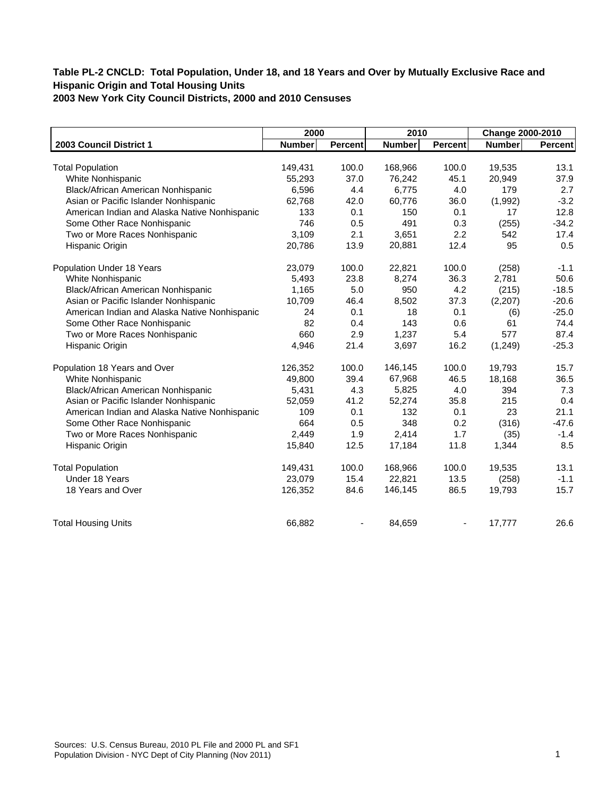| <b>Number</b><br>149,431<br>55,293<br>6,596 | <b>Percent</b><br>100.0<br>37.0                           | <b>Number</b><br>168,966                        | <b>Percent</b><br>100.0                          | Change 2000-2010<br><b>Number</b>        | Percent                                                        |
|---------------------------------------------|-----------------------------------------------------------|-------------------------------------------------|--------------------------------------------------|------------------------------------------|----------------------------------------------------------------|
|                                             |                                                           |                                                 |                                                  |                                          |                                                                |
|                                             |                                                           |                                                 |                                                  |                                          |                                                                |
|                                             |                                                           |                                                 |                                                  | 19,535                                   | 13.1                                                           |
|                                             |                                                           | 76,242                                          | 45.1                                             | 20,949                                   | 37.9                                                           |
|                                             |                                                           |                                                 |                                                  |                                          | 2.7                                                            |
|                                             |                                                           |                                                 |                                                  |                                          | $-3.2$                                                         |
|                                             |                                                           |                                                 |                                                  |                                          | 12.8                                                           |
|                                             |                                                           |                                                 |                                                  |                                          | $-34.2$                                                        |
|                                             |                                                           |                                                 |                                                  | 542                                      | 17.4                                                           |
| 20,786                                      | 13.9                                                      | 20,881                                          | 12.4                                             | 95                                       | 0.5                                                            |
| 23,079                                      | 100.0                                                     | 22,821                                          | 100.0                                            | (258)                                    | $-1.1$                                                         |
| 5,493                                       | 23.8                                                      | 8,274                                           | 36.3                                             | 2,781                                    | 50.6                                                           |
| 1,165                                       | 5.0                                                       | 950                                             | 4.2                                              | (215)                                    | $-18.5$                                                        |
| 10,709                                      | 46.4                                                      | 8,502                                           | 37.3                                             | (2,207)                                  | $-20.6$                                                        |
| 24                                          | 0.1                                                       | 18                                              | 0.1                                              |                                          | $-25.0$                                                        |
| 82                                          | 0.4                                                       | 143                                             | 0.6                                              | 61                                       | 74.4                                                           |
| 660                                         | 2.9                                                       | 1,237                                           | 5.4                                              | 577                                      | 87.4                                                           |
| 4,946                                       | 21.4                                                      | 3,697                                           | 16.2                                             | (1, 249)                                 | $-25.3$                                                        |
| 126,352                                     | 100.0                                                     | 146,145                                         | 100.0                                            | 19.793                                   | 15.7                                                           |
| 49,800                                      | 39.4                                                      | 67,968                                          | 46.5                                             | 18,168                                   | 36.5                                                           |
|                                             | 4.3                                                       | 5,825                                           | 4.0                                              | 394                                      | 7.3                                                            |
| 52,059                                      | 41.2                                                      | 52,274                                          | 35.8                                             | 215                                      | 0.4                                                            |
| 109                                         | 0.1                                                       | 132                                             | 0.1                                              | 23                                       | 21.1                                                           |
| 664                                         | 0.5                                                       | 348                                             | 0.2                                              |                                          | $-47.6$                                                        |
|                                             |                                                           | 2,414                                           | 1.7                                              |                                          | $-1.4$                                                         |
| 15,840                                      | 12.5                                                      | 17,184                                          | 11.8                                             | 1,344                                    | 8.5                                                            |
| 149,431                                     | 100.0                                                     | 168,966                                         | 100.0                                            | 19,535                                   | 13.1                                                           |
|                                             |                                                           |                                                 |                                                  |                                          | $-1.1$                                                         |
| 126,352                                     | 84.6                                                      | 146,145                                         | 86.5                                             | 19,793                                   | 15.7                                                           |
| 66,882                                      |                                                           | 84.659                                          |                                                  | 17,777                                   | 26.6                                                           |
|                                             | 62,768<br>133<br>746<br>3,109<br>5,431<br>2,449<br>23,079 | 4.4<br>42.0<br>0.1<br>0.5<br>2.1<br>1.9<br>15.4 | 6,775<br>60,776<br>150<br>491<br>3,651<br>22,821 | 4.0<br>36.0<br>0.1<br>0.3<br>2.2<br>13.5 | 179<br>(1,992)<br>17<br>(255)<br>(6)<br>(316)<br>(35)<br>(258) |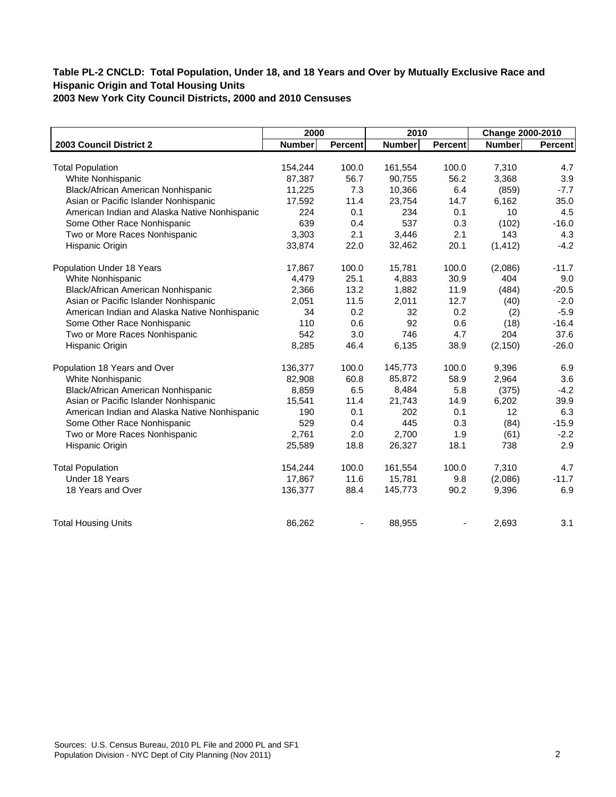|                                               | 2000          |                | 2010          |                | Change 2000-2010 |         |
|-----------------------------------------------|---------------|----------------|---------------|----------------|------------------|---------|
| 2003 Council District 2                       | <b>Number</b> | <b>Percent</b> | <b>Number</b> | <b>Percent</b> | <b>Number</b>    | Percent |
|                                               |               |                |               |                |                  |         |
| <b>Total Population</b>                       | 154,244       | 100.0          | 161,554       | 100.0          | 7,310            | 4.7     |
| White Nonhispanic                             | 87,387        | 56.7           | 90,755        | 56.2           | 3,368            | 3.9     |
| Black/African American Nonhispanic            | 11,225        | 7.3            | 10,366        | 6.4            | (859)            | $-7.7$  |
| Asian or Pacific Islander Nonhispanic         | 17,592        | 11.4           | 23,754        | 14.7           | 6,162            | 35.0    |
| American Indian and Alaska Native Nonhispanic | 224           | 0.1            | 234           | 0.1            | 10               | 4.5     |
| Some Other Race Nonhispanic                   | 639           | 0.4            | 537           | 0.3            | (102)            | $-16.0$ |
| Two or More Races Nonhispanic                 | 3,303         | 2.1            | 3,446         | 2.1            | 143              | 4.3     |
| Hispanic Origin                               | 33,874        | 22.0           | 32,462        | 20.1           | (1, 412)         | $-4.2$  |
| Population Under 18 Years                     | 17,867        | 100.0          | 15,781        | 100.0          | (2,086)          | $-11.7$ |
| White Nonhispanic                             | 4,479         | 25.1           | 4,883         | 30.9           | 404              | 9.0     |
| Black/African American Nonhispanic            | 2,366         | 13.2           | 1,882         | 11.9           | (484)            | $-20.5$ |
| Asian or Pacific Islander Nonhispanic         | 2,051         | 11.5           | 2,011         | 12.7           | (40)             | $-2.0$  |
| American Indian and Alaska Native Nonhispanic | 34            | 0.2            | 32            | 0.2            | (2)              | $-5.9$  |
| Some Other Race Nonhispanic                   | 110           | 0.6            | 92            | 0.6            | (18)             | $-16.4$ |
| Two or More Races Nonhispanic                 | 542           | 3.0            | 746           | 4.7            | 204              | 37.6    |
| Hispanic Origin                               | 8,285         | 46.4           | 6,135         | 38.9           | (2, 150)         | $-26.0$ |
| Population 18 Years and Over                  | 136,377       | 100.0          | 145,773       | 100.0          | 9,396            | 6.9     |
| White Nonhispanic                             | 82,908        | 60.8           | 85,872        | 58.9           | 2,964            | 3.6     |
| Black/African American Nonhispanic            | 8,859         | 6.5            | 8,484         | 5.8            | (375)            | $-4.2$  |
| Asian or Pacific Islander Nonhispanic         | 15,541        | 11.4           | 21,743        | 14.9           | 6,202            | 39.9    |
| American Indian and Alaska Native Nonhispanic | 190           | 0.1            | 202           | 0.1            | 12               | 6.3     |
| Some Other Race Nonhispanic                   | 529           | 0.4            | 445           | 0.3            | (84)             | $-15.9$ |
| Two or More Races Nonhispanic                 | 2,761         | 2.0            | 2,700         | 1.9            | (61)             | $-2.2$  |
| Hispanic Origin                               | 25,589        | 18.8           | 26,327        | 18.1           | 738              | 2.9     |
| <b>Total Population</b>                       | 154,244       | 100.0          | 161,554       | 100.0          | 7,310            | 4.7     |
| Under 18 Years                                | 17,867        | 11.6           | 15,781        | 9.8            | (2,086)          | $-11.7$ |
| 18 Years and Over                             | 136,377       | 88.4           | 145,773       | 90.2           | 9,396            | 6.9     |
| <b>Total Housing Units</b>                    | 86,262        |                | 88,955        |                | 2,693            | 3.1     |
|                                               |               |                |               |                |                  |         |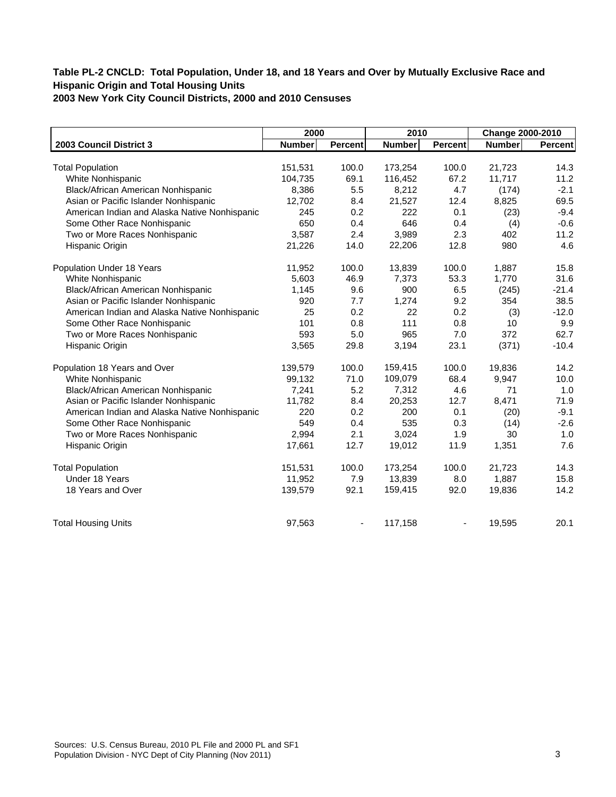|                                               | 2000          |         | 2010          |                | Change 2000-2010 |                |
|-----------------------------------------------|---------------|---------|---------------|----------------|------------------|----------------|
| 2003 Council District 3                       | <b>Number</b> | Percent | <b>Number</b> | <b>Percent</b> | Number           | <b>Percent</b> |
|                                               |               |         |               |                |                  |                |
| <b>Total Population</b>                       | 151,531       | 100.0   | 173,254       | 100.0          | 21,723           | 14.3           |
| White Nonhispanic                             | 104,735       | 69.1    | 116,452       | 67.2           | 11,717           | 11.2           |
| Black/African American Nonhispanic            | 8,386         | 5.5     | 8,212         | 4.7            | (174)            | $-2.1$         |
| Asian or Pacific Islander Nonhispanic         | 12,702        | 8.4     | 21,527        | 12.4           | 8,825            | 69.5           |
| American Indian and Alaska Native Nonhispanic | 245           | 0.2     | 222           | 0.1            | (23)             | $-9.4$         |
| Some Other Race Nonhispanic                   | 650           | 0.4     | 646           | 0.4            | (4)              | $-0.6$         |
| Two or More Races Nonhispanic                 | 3.587         | 2.4     | 3,989         | 2.3            | 402              | 11.2           |
| Hispanic Origin                               | 21,226        | 14.0    | 22,206        | 12.8           | 980              | 4.6            |
| Population Under 18 Years                     | 11,952        | 100.0   | 13,839        | 100.0          | 1,887            | 15.8           |
| White Nonhispanic                             | 5,603         | 46.9    | 7,373         | 53.3           | 1,770            | 31.6           |
| Black/African American Nonhispanic            | 1,145         | 9.6     | 900           | 6.5            | (245)            | $-21.4$        |
| Asian or Pacific Islander Nonhispanic         | 920           | 7.7     | 1,274         | 9.2            | 354              | 38.5           |
| American Indian and Alaska Native Nonhispanic | 25            | 0.2     | 22            | 0.2            | (3)              | $-12.0$        |
| Some Other Race Nonhispanic                   | 101           | 0.8     | 111           | 0.8            | 10               | 9.9            |
| Two or More Races Nonhispanic                 | 593           | 5.0     | 965           | 7.0            | 372              | 62.7           |
| Hispanic Origin                               | 3,565         | 29.8    | 3,194         | 23.1           | (371)            | $-10.4$        |
| Population 18 Years and Over                  | 139,579       | 100.0   | 159,415       | 100.0          | 19,836           | 14.2           |
| White Nonhispanic                             | 99,132        | 71.0    | 109,079       | 68.4           | 9,947            | 10.0           |
| Black/African American Nonhispanic            | 7,241         | 5.2     | 7,312         | 4.6            | 71               | 1.0            |
| Asian or Pacific Islander Nonhispanic         | 11,782        | 8.4     | 20,253        | 12.7           | 8,471            | 71.9           |
| American Indian and Alaska Native Nonhispanic | 220           | 0.2     | 200           | 0.1            | (20)             | $-9.1$         |
| Some Other Race Nonhispanic                   | 549           | 0.4     | 535           | 0.3            | (14)             | $-2.6$         |
| Two or More Races Nonhispanic                 | 2,994         | 2.1     | 3,024         | 1.9            | 30               | 1.0            |
| Hispanic Origin                               | 17,661        | 12.7    | 19,012        | 11.9           | 1,351            | 7.6            |
| <b>Total Population</b>                       | 151,531       | 100.0   | 173,254       | 100.0          | 21,723           | 14.3           |
| Under 18 Years                                | 11,952        | 7.9     | 13,839        | 8.0            | 1,887            | 15.8           |
| 18 Years and Over                             | 139,579       | 92.1    | 159,415       | 92.0           | 19,836           | 14.2           |
| <b>Total Housing Units</b>                    | 97,563        |         | 117,158       |                | 19,595           | 20.1           |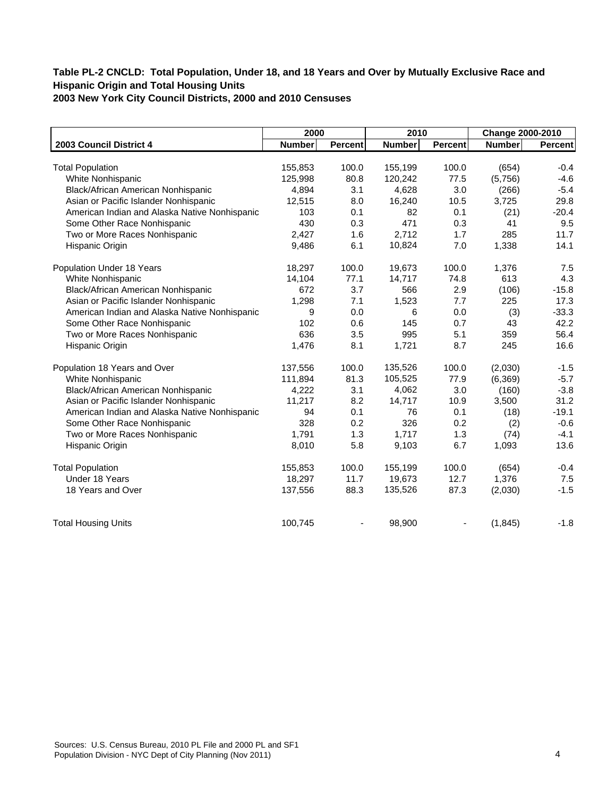|                                               | 2000          |                | 2010          |                | Change 2000-2010 |         |
|-----------------------------------------------|---------------|----------------|---------------|----------------|------------------|---------|
| 2003 Council District 4                       | <b>Number</b> | <b>Percent</b> | <b>Number</b> | <b>Percent</b> | <b>Number</b>    | Percent |
|                                               |               |                |               |                |                  |         |
| <b>Total Population</b>                       | 155,853       | 100.0          | 155,199       | 100.0          | (654)            | $-0.4$  |
| White Nonhispanic                             | 125,998       | 80.8           | 120,242       | 77.5           | (5,756)          | $-4.6$  |
| Black/African American Nonhispanic            | 4,894         | 3.1            | 4,628         | 3.0            | (266)            | $-5.4$  |
| Asian or Pacific Islander Nonhispanic         | 12,515        | 8.0            | 16,240        | 10.5           | 3,725            | 29.8    |
| American Indian and Alaska Native Nonhispanic | 103           | 0.1            | 82            | 0.1            | (21)             | $-20.4$ |
| Some Other Race Nonhispanic                   | 430           | 0.3            | 471           | 0.3            | 41               | 9.5     |
| Two or More Races Nonhispanic                 | 2,427         | 1.6            | 2,712         | 1.7            | 285              | 11.7    |
| Hispanic Origin                               | 9,486         | 6.1            | 10,824        | 7.0            | 1,338            | 14.1    |
| Population Under 18 Years                     | 18,297        | 100.0          | 19,673        | 100.0          | 1,376            | 7.5     |
| White Nonhispanic                             | 14,104        | 77.1           | 14,717        | 74.8           | 613              | 4.3     |
| Black/African American Nonhispanic            | 672           | 3.7            | 566           | 2.9            | (106)            | $-15.8$ |
| Asian or Pacific Islander Nonhispanic         | 1,298         | 7.1            | 1,523         | 7.7            | 225              | 17.3    |
| American Indian and Alaska Native Nonhispanic | 9             | 0.0            | 6             | 0.0            | (3)              | $-33.3$ |
| Some Other Race Nonhispanic                   | 102           | 0.6            | 145           | 0.7            | 43               | 42.2    |
| Two or More Races Nonhispanic                 | 636           | 3.5            | 995           | 5.1            | 359              | 56.4    |
| Hispanic Origin                               | 1,476         | 8.1            | 1,721         | 8.7            | 245              | 16.6    |
| Population 18 Years and Over                  | 137,556       | 100.0          | 135,526       | 100.0          | (2,030)          | $-1.5$  |
| White Nonhispanic                             | 111,894       | 81.3           | 105,525       | 77.9           | (6, 369)         | $-5.7$  |
| Black/African American Nonhispanic            | 4,222         | 3.1            | 4,062         | 3.0            | (160)            | $-3.8$  |
| Asian or Pacific Islander Nonhispanic         | 11,217        | 8.2            | 14,717        | 10.9           | 3,500            | 31.2    |
| American Indian and Alaska Native Nonhispanic | 94            | 0.1            | 76            | 0.1            | (18)             | $-19.1$ |
| Some Other Race Nonhispanic                   | 328           | 0.2            | 326           | 0.2            | (2)              | $-0.6$  |
| Two or More Races Nonhispanic                 | 1,791         | 1.3            | 1,717         | 1.3            | (74)             | $-4.1$  |
| Hispanic Origin                               | 8,010         | 5.8            | 9,103         | 6.7            | 1,093            | 13.6    |
| <b>Total Population</b>                       | 155,853       | 100.0          | 155,199       | 100.0          | (654)            | $-0.4$  |
| Under 18 Years                                | 18,297        | 11.7           | 19,673        | 12.7           | 1,376            | 7.5     |
| 18 Years and Over                             | 137,556       | 88.3           | 135,526       | 87.3           | (2,030)          | $-1.5$  |
| <b>Total Housing Units</b>                    | 100,745       |                | 98,900        |                | (1, 845)         | $-1.8$  |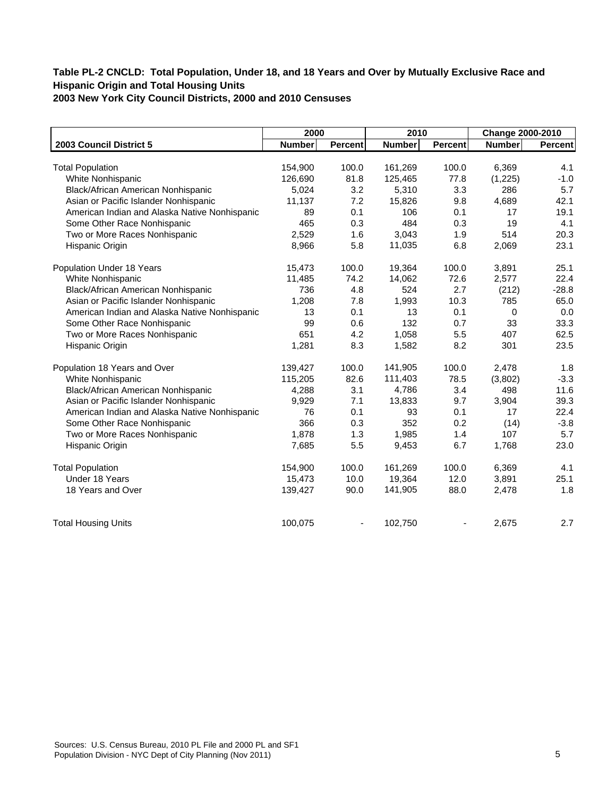|                                               | 2000          |                | 2010          |                | Change 2000-2010 |         |
|-----------------------------------------------|---------------|----------------|---------------|----------------|------------------|---------|
| 2003 Council District 5                       | <b>Number</b> | <b>Percent</b> | <b>Number</b> | <b>Percent</b> | <b>Number</b>    | Percent |
|                                               |               |                |               |                |                  |         |
| <b>Total Population</b>                       | 154,900       | 100.0          | 161,269       | 100.0          | 6,369            | 4.1     |
| White Nonhispanic                             | 126,690       | 81.8           | 125,465       | 77.8           | (1,225)          | $-1.0$  |
| Black/African American Nonhispanic            | 5,024         | 3.2            | 5,310         | 3.3            | 286              | 5.7     |
| Asian or Pacific Islander Nonhispanic         | 11,137        | 7.2            | 15,826        | 9.8            | 4,689            | 42.1    |
| American Indian and Alaska Native Nonhispanic | 89            | 0.1            | 106           | 0.1            | 17               | 19.1    |
| Some Other Race Nonhispanic                   | 465           | 0.3            | 484           | 0.3            | 19               | 4.1     |
| Two or More Races Nonhispanic                 | 2,529         | 1.6            | 3,043         | 1.9            | 514              | 20.3    |
| Hispanic Origin                               | 8,966         | 5.8            | 11,035        | 6.8            | 2,069            | 23.1    |
| Population Under 18 Years                     | 15,473        | 100.0          | 19,364        | 100.0          | 3,891            | 25.1    |
| White Nonhispanic                             | 11,485        | 74.2           | 14,062        | 72.6           | 2,577            | 22.4    |
| Black/African American Nonhispanic            | 736           | 4.8            | 524           | 2.7            | (212)            | $-28.8$ |
| Asian or Pacific Islander Nonhispanic         | 1,208         | 7.8            | 1,993         | 10.3           | 785              | 65.0    |
| American Indian and Alaska Native Nonhispanic | 13            | 0.1            | 13            | 0.1            | 0                | 0.0     |
| Some Other Race Nonhispanic                   | 99            | 0.6            | 132           | 0.7            | 33               | 33.3    |
| Two or More Races Nonhispanic                 | 651           | 4.2            | 1,058         | 5.5            | 407              | 62.5    |
| Hispanic Origin                               | 1,281         | 8.3            | 1,582         | 8.2            | 301              | 23.5    |
| Population 18 Years and Over                  | 139,427       | 100.0          | 141,905       | 100.0          | 2,478            | 1.8     |
| White Nonhispanic                             | 115,205       | 82.6           | 111,403       | 78.5           | (3,802)          | $-3.3$  |
| Black/African American Nonhispanic            | 4,288         | 3.1            | 4,786         | 3.4            | 498              | 11.6    |
| Asian or Pacific Islander Nonhispanic         | 9,929         | 7.1            | 13,833        | 9.7            | 3,904            | 39.3    |
| American Indian and Alaska Native Nonhispanic | 76            | 0.1            | 93            | 0.1            | 17               | 22.4    |
| Some Other Race Nonhispanic                   | 366           | 0.3            | 352           | 0.2            | (14)             | $-3.8$  |
| Two or More Races Nonhispanic                 | 1,878         | 1.3            | 1,985         | 1.4            | 107              | 5.7     |
| Hispanic Origin                               | 7,685         | 5.5            | 9,453         | 6.7            | 1,768            | 23.0    |
| <b>Total Population</b>                       | 154,900       | 100.0          | 161,269       | 100.0          | 6,369            | 4.1     |
| Under 18 Years                                | 15,473        | 10.0           | 19,364        | 12.0           | 3,891            | 25.1    |
| 18 Years and Over                             | 139,427       | 90.0           | 141,905       | 88.0           | 2,478            | 1.8     |
| <b>Total Housing Units</b>                    | 100,075       |                | 102,750       |                | 2,675            | 2.7     |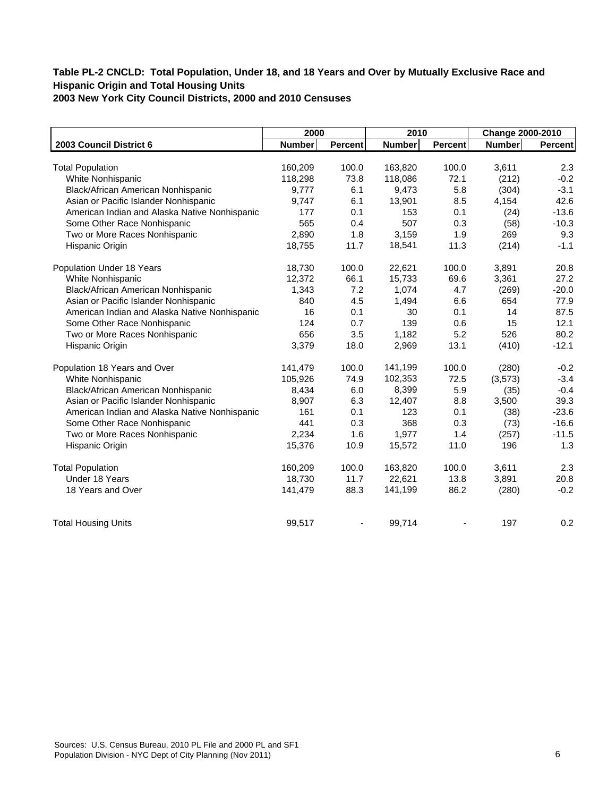|                                               | 2000          |                | 2010          |                | Change 2000-2010 |         |
|-----------------------------------------------|---------------|----------------|---------------|----------------|------------------|---------|
| 2003 Council District 6                       | <b>Number</b> | <b>Percent</b> | <b>Number</b> | <b>Percent</b> | Number           | Percent |
|                                               |               |                |               |                |                  |         |
| <b>Total Population</b>                       | 160,209       | 100.0          | 163,820       | 100.0          | 3,611            | 2.3     |
| White Nonhispanic                             | 118,298       | 73.8           | 118,086       | 72.1           | (212)            | $-0.2$  |
| Black/African American Nonhispanic            | 9,777         | 6.1            | 9,473         | 5.8            | (304)            | $-3.1$  |
| Asian or Pacific Islander Nonhispanic         | 9,747         | 6.1            | 13,901        | 8.5            | 4,154            | 42.6    |
| American Indian and Alaska Native Nonhispanic | 177           | 0.1            | 153           | 0.1            | (24)             | $-13.6$ |
| Some Other Race Nonhispanic                   | 565           | 0.4            | 507           | 0.3            | (58)             | $-10.3$ |
| Two or More Races Nonhispanic                 | 2,890         | 1.8            | 3,159         | 1.9            | 269              | 9.3     |
| Hispanic Origin                               | 18,755        | 11.7           | 18,541        | 11.3           | (214)            | $-1.1$  |
| Population Under 18 Years                     | 18,730        | 100.0          | 22,621        | 100.0          | 3,891            | 20.8    |
| White Nonhispanic                             | 12,372        | 66.1           | 15,733        | 69.6           | 3,361            | 27.2    |
| Black/African American Nonhispanic            | 1,343         | 7.2            | 1,074         | 4.7            | (269)            | $-20.0$ |
| Asian or Pacific Islander Nonhispanic         | 840           | 4.5            | 1,494         | 6.6            | 654              | 77.9    |
| American Indian and Alaska Native Nonhispanic | 16            | 0.1            | 30            | 0.1            | 14               | 87.5    |
| Some Other Race Nonhispanic                   | 124           | 0.7            | 139           | 0.6            | 15               | 12.1    |
| Two or More Races Nonhispanic                 | 656           | 3.5            | 1,182         | 5.2            | 526              | 80.2    |
| Hispanic Origin                               | 3,379         | 18.0           | 2,969         | 13.1           | (410)            | $-12.1$ |
| Population 18 Years and Over                  | 141,479       | 100.0          | 141,199       | 100.0          | (280)            | $-0.2$  |
| White Nonhispanic                             | 105,926       | 74.9           | 102,353       | 72.5           | (3, 573)         | $-3.4$  |
| Black/African American Nonhispanic            | 8,434         | 6.0            | 8,399         | 5.9            | (35)             | $-0.4$  |
| Asian or Pacific Islander Nonhispanic         | 8,907         | 6.3            | 12,407        | 8.8            | 3,500            | 39.3    |
| American Indian and Alaska Native Nonhispanic | 161           | 0.1            | 123           | 0.1            | (38)             | $-23.6$ |
| Some Other Race Nonhispanic                   | 441           | 0.3            | 368           | 0.3            | (73)             | $-16.6$ |
| Two or More Races Nonhispanic                 | 2,234         | 1.6            | 1,977         | 1.4            | (257)            | $-11.5$ |
| Hispanic Origin                               | 15,376        | 10.9           | 15,572        | 11.0           | 196              | 1.3     |
| <b>Total Population</b>                       | 160,209       | 100.0          | 163,820       | 100.0          | 3,611            | 2.3     |
| Under 18 Years                                | 18,730        | 11.7           | 22,621        | 13.8           | 3,891            | 20.8    |
| 18 Years and Over                             | 141,479       | 88.3           | 141,199       | 86.2           | (280)            | $-0.2$  |
| <b>Total Housing Units</b>                    | 99,517        |                | 99,714        |                | 197              | 0.2     |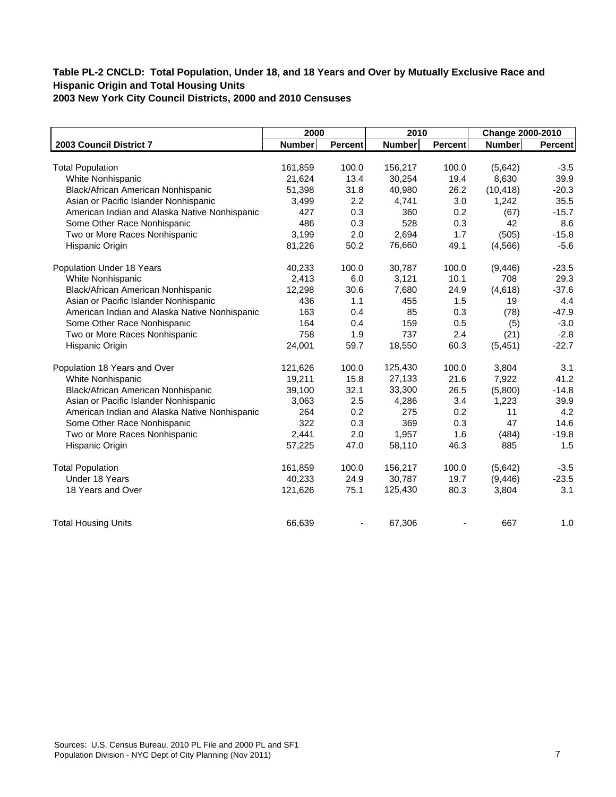|                                               | 2000          |                | 2010          |                | Change 2000-2010 |         |
|-----------------------------------------------|---------------|----------------|---------------|----------------|------------------|---------|
| 2003 Council District 7                       | <b>Number</b> | <b>Percent</b> | <b>Number</b> | <b>Percent</b> | <b>Number</b>    | Percent |
|                                               |               |                |               |                |                  |         |
| <b>Total Population</b>                       | 161,859       | 100.0          | 156,217       | 100.0          | (5,642)          | $-3.5$  |
| White Nonhispanic                             | 21,624        | 13.4           | 30,254        | 19.4           | 8,630            | 39.9    |
| Black/African American Nonhispanic            | 51,398        | 31.8           | 40,980        | 26.2           | (10, 418)        | $-20.3$ |
| Asian or Pacific Islander Nonhispanic         | 3,499         | 2.2            | 4,741         | 3.0            | 1,242            | 35.5    |
| American Indian and Alaska Native Nonhispanic | 427           | 0.3            | 360           | 0.2            | (67)             | $-15.7$ |
| Some Other Race Nonhispanic                   | 486           | 0.3            | 528           | 0.3            | 42               | 8.6     |
| Two or More Races Nonhispanic                 | 3,199         | 2.0            | 2,694         | 1.7            | (505)            | $-15.8$ |
| Hispanic Origin                               | 81,226        | 50.2           | 76,660        | 49.1           | (4, 566)         | $-5.6$  |
| Population Under 18 Years                     | 40,233        | 100.0          | 30,787        | 100.0          | (9, 446)         | $-23.5$ |
| White Nonhispanic                             | 2,413         | 6.0            | 3,121         | 10.1           | 708              | 29.3    |
| Black/African American Nonhispanic            | 12,298        | 30.6           | 7,680         | 24.9           | (4,618)          | $-37.6$ |
| Asian or Pacific Islander Nonhispanic         | 436           | 1.1            | 455           | 1.5            | 19               | 4.4     |
| American Indian and Alaska Native Nonhispanic | 163           | 0.4            | 85            | 0.3            | (78)             | $-47.9$ |
| Some Other Race Nonhispanic                   | 164           | 0.4            | 159           | 0.5            | (5)              | $-3.0$  |
| Two or More Races Nonhispanic                 | 758           | 1.9            | 737           | 2.4            | (21)             | $-2.8$  |
| Hispanic Origin                               | 24,001        | 59.7           | 18,550        | 60.3           | (5, 451)         | $-22.7$ |
| Population 18 Years and Over                  | 121,626       | 100.0          | 125,430       | 100.0          | 3,804            | 3.1     |
| White Nonhispanic                             | 19,211        | 15.8           | 27,133        | 21.6           | 7,922            | 41.2    |
| Black/African American Nonhispanic            | 39,100        | 32.1           | 33,300        | 26.5           | (5,800)          | $-14.8$ |
| Asian or Pacific Islander Nonhispanic         | 3,063         | 2.5            | 4,286         | 3.4            | 1,223            | 39.9    |
| American Indian and Alaska Native Nonhispanic | 264           | 0.2            | 275           | 0.2            | 11               | 4.2     |
| Some Other Race Nonhispanic                   | 322           | 0.3            | 369           | 0.3            | 47               | 14.6    |
| Two or More Races Nonhispanic                 | 2,441         | 2.0            | 1,957         | 1.6            | (484)            | $-19.8$ |
| Hispanic Origin                               | 57,225        | 47.0           | 58,110        | 46.3           | 885              | 1.5     |
| <b>Total Population</b>                       | 161,859       | 100.0          | 156,217       | 100.0          | (5,642)          | $-3.5$  |
| Under 18 Years                                | 40,233        | 24.9           | 30,787        | 19.7           | (9, 446)         | $-23.5$ |
| 18 Years and Over                             | 121,626       | 75.1           | 125,430       | 80.3           | 3,804            | 3.1     |
| <b>Total Housing Units</b>                    | 66,639        |                | 67,306        |                | 667              | 1.0     |
|                                               |               |                |               |                |                  |         |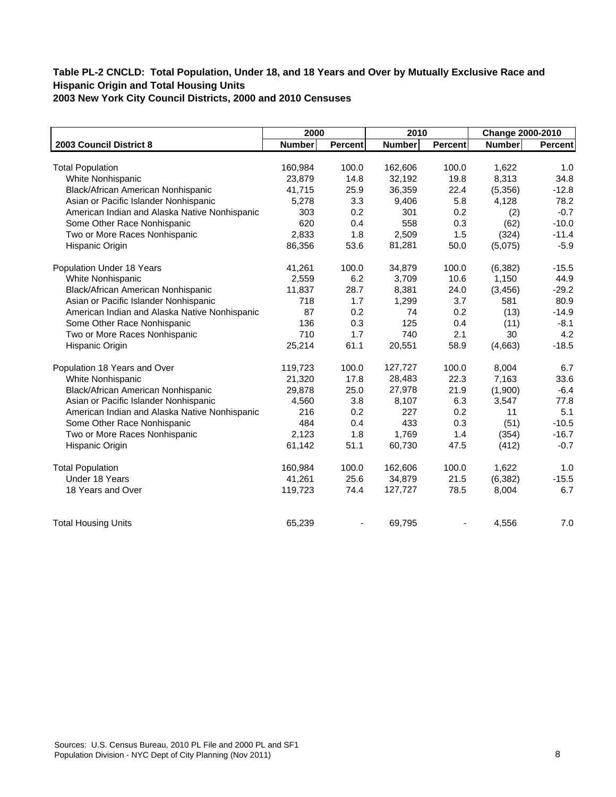|               |                                                                                 |                                                           |                                                                       |                                                           | Change 2000-2010                                                      |
|---------------|---------------------------------------------------------------------------------|-----------------------------------------------------------|-----------------------------------------------------------------------|-----------------------------------------------------------|-----------------------------------------------------------------------|
| <b>Number</b> | <b>Percent</b>                                                                  | <b>Number</b>                                             | <b>Percent</b>                                                        | <b>Number</b>                                             | Percent                                                               |
|               |                                                                                 |                                                           |                                                                       |                                                           |                                                                       |
|               |                                                                                 |                                                           |                                                                       |                                                           | 1.0                                                                   |
|               |                                                                                 |                                                           |                                                                       |                                                           | 34.8                                                                  |
|               |                                                                                 |                                                           |                                                                       |                                                           | $-12.8$                                                               |
|               |                                                                                 |                                                           |                                                                       |                                                           | 78.2                                                                  |
|               |                                                                                 |                                                           |                                                                       |                                                           | $-0.7$                                                                |
|               |                                                                                 |                                                           |                                                                       |                                                           | $-10.0$                                                               |
|               |                                                                                 |                                                           |                                                                       |                                                           | $-11.4$                                                               |
|               |                                                                                 |                                                           |                                                                       |                                                           | $-5.9$                                                                |
| 41,261        | 100.0                                                                           | 34,879                                                    | 100.0                                                                 | (6, 382)                                                  | $-15.5$                                                               |
| 2,559         | 6.2                                                                             | 3,709                                                     | 10.6                                                                  | 1,150                                                     | 44.9                                                                  |
| 11,837        | 28.7                                                                            | 8,381                                                     | 24.0                                                                  | (3, 456)                                                  | $-29.2$                                                               |
| 718           | 1.7                                                                             | 1,299                                                     | 3.7                                                                   | 581                                                       | 80.9                                                                  |
| 87            | 0.2                                                                             | 74                                                        | 0.2                                                                   | (13)                                                      | $-14.9$                                                               |
| 136           | 0.3                                                                             | 125                                                       | 0.4                                                                   | (11)                                                      | $-8.1$                                                                |
| 710           | 1.7                                                                             | 740                                                       | 2.1                                                                   | 30                                                        | 4.2                                                                   |
| 25,214        | 61.1                                                                            | 20,551                                                    | 58.9                                                                  | (4,663)                                                   | $-18.5$                                                               |
| 119,723       | 100.0                                                                           | 127,727                                                   | 100.0                                                                 | 8,004                                                     | 6.7                                                                   |
| 21,320        | 17.8                                                                            | 28,483                                                    | 22.3                                                                  | 7,163                                                     | 33.6                                                                  |
|               | 25.0                                                                            | 27,978                                                    | 21.9                                                                  | (1,900)                                                   | $-6.4$                                                                |
| 4,560         | 3.8                                                                             | 8,107                                                     | 6.3                                                                   | 3,547                                                     | 77.8                                                                  |
| 216           | 0.2                                                                             | 227                                                       | 0.2                                                                   | 11                                                        | 5.1                                                                   |
| 484           | 0.4                                                                             | 433                                                       | 0.3                                                                   | (51)                                                      | $-10.5$                                                               |
| 2,123         | 1.8                                                                             | 1,769                                                     | 1.4                                                                   | (354)                                                     | $-16.7$                                                               |
| 61,142        | 51.1                                                                            | 60,730                                                    | 47.5                                                                  | (412)                                                     | $-0.7$                                                                |
| 160,984       | 100.0                                                                           | 162,606                                                   | 100.0                                                                 | 1,622                                                     | 1.0                                                                   |
| 41,261        | 25.6                                                                            | 34,879                                                    | 21.5                                                                  | (6, 382)                                                  | $-15.5$                                                               |
| 119,723       | 74.4                                                                            | 127,727                                                   | 78.5                                                                  | 8,004                                                     | 6.7                                                                   |
| 65,239        |                                                                                 | 69,795                                                    |                                                                       | 4,556                                                     | 7.0                                                                   |
|               | 160,984<br>23,879<br>41,715<br>5,278<br>303<br>620<br>2,833<br>86,356<br>29,878 | 100.0<br>14.8<br>25.9<br>3.3<br>0.2<br>0.4<br>1.8<br>53.6 | 162,606<br>32,192<br>36,359<br>9,406<br>301<br>558<br>2,509<br>81,281 | 100.0<br>19.8<br>22.4<br>5.8<br>0.2<br>0.3<br>1.5<br>50.0 | 1,622<br>8,313<br>(5,356)<br>4,128<br>(2)<br>(62)<br>(324)<br>(5,075) |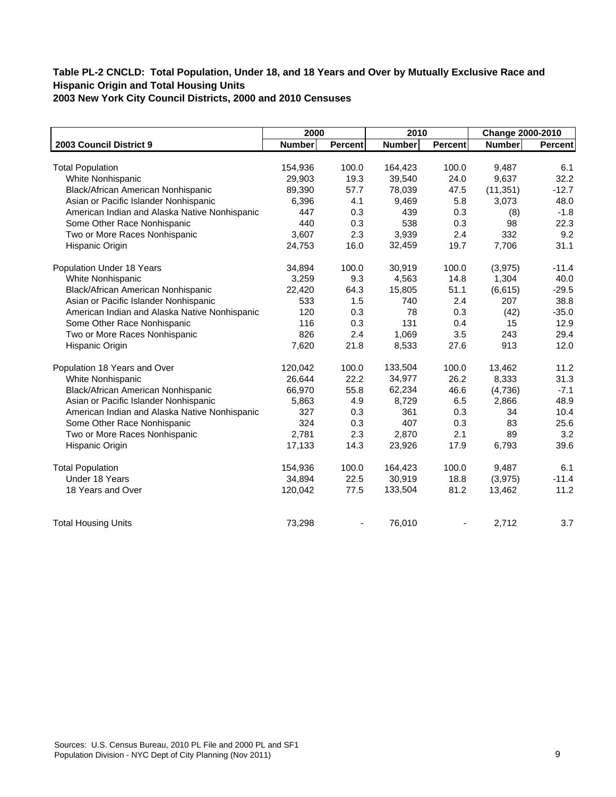| 2000          |                                                                       |                                                           |                                                                       | Change 2000-2010                                                 |                                                                              |
|---------------|-----------------------------------------------------------------------|-----------------------------------------------------------|-----------------------------------------------------------------------|------------------------------------------------------------------|------------------------------------------------------------------------------|
| <b>Number</b> | Percent                                                               | <b>Number</b>                                             | <b>Percent</b>                                                        | Number                                                           | <b>Percent</b>                                                               |
|               |                                                                       |                                                           |                                                                       |                                                                  |                                                                              |
|               |                                                                       |                                                           |                                                                       |                                                                  | 6.1                                                                          |
|               |                                                                       |                                                           |                                                                       |                                                                  | 32.2                                                                         |
|               |                                                                       |                                                           |                                                                       |                                                                  | $-12.7$                                                                      |
|               |                                                                       |                                                           |                                                                       |                                                                  | 48.0                                                                         |
|               |                                                                       |                                                           |                                                                       |                                                                  | $-1.8$                                                                       |
|               |                                                                       |                                                           |                                                                       |                                                                  | 22.3                                                                         |
|               |                                                                       |                                                           |                                                                       |                                                                  | 9.2                                                                          |
|               |                                                                       |                                                           | 19.7                                                                  |                                                                  | 31.1                                                                         |
| 34,894        | 100.0                                                                 | 30,919                                                    | 100.0                                                                 | (3,975)                                                          | $-11.4$                                                                      |
| 3,259         | 9.3                                                                   | 4,563                                                     | 14.8                                                                  | 1,304                                                            | 40.0                                                                         |
| 22,420        | 64.3                                                                  | 15,805                                                    | 51.1                                                                  | (6,615)                                                          | $-29.5$                                                                      |
| 533           | 1.5                                                                   | 740                                                       | 2.4                                                                   | 207                                                              | 38.8                                                                         |
| 120           | 0.3                                                                   | 78                                                        | 0.3                                                                   | (42)                                                             | $-35.0$                                                                      |
| 116           | 0.3                                                                   | 131                                                       | 0.4                                                                   | 15                                                               | 12.9                                                                         |
| 826           | 2.4                                                                   | 1,069                                                     | 3.5                                                                   | 243                                                              | 29.4                                                                         |
| 7,620         | 21.8                                                                  | 8,533                                                     | 27.6                                                                  | 913                                                              | 12.0                                                                         |
| 120,042       | 100.0                                                                 | 133,504                                                   | 100.0                                                                 | 13,462                                                           | 11.2                                                                         |
| 26,644        | 22.2                                                                  | 34,977                                                    | 26.2                                                                  | 8,333                                                            | 31.3                                                                         |
| 66,970        | 55.8                                                                  | 62,234                                                    | 46.6                                                                  | (4,736)                                                          | $-7.1$                                                                       |
| 5,863         | 4.9                                                                   | 8,729                                                     | 6.5                                                                   | 2,866                                                            | 48.9                                                                         |
| 327           | 0.3                                                                   | 361                                                       |                                                                       | 34                                                               | 10.4                                                                         |
| 324           | 0.3                                                                   | 407                                                       | 0.3                                                                   | 83                                                               | 25.6                                                                         |
| 2,781         | 2.3                                                                   | 2,870                                                     | 2.1                                                                   | 89                                                               | 3.2                                                                          |
| 17,133        | 14.3                                                                  | 23,926                                                    | 17.9                                                                  | 6,793                                                            | 39.6                                                                         |
| 154,936       | 100.0                                                                 | 164,423                                                   | 100.0                                                                 | 9,487                                                            | 6.1                                                                          |
| 34,894        | 22.5                                                                  | 30,919                                                    | 18.8                                                                  |                                                                  | $-11.4$                                                                      |
| 120,042       | 77.5                                                                  | 133,504                                                   | 81.2                                                                  | 13,462                                                           | 11.2                                                                         |
| 73,298        |                                                                       | 76,010                                                    |                                                                       | 2,712                                                            | 3.7                                                                          |
|               | 154,936<br>29,903<br>89,390<br>6,396<br>447<br>440<br>3,607<br>24,753 | 100.0<br>19.3<br>57.7<br>4.1<br>0.3<br>0.3<br>2.3<br>16.0 | 164,423<br>39,540<br>78,039<br>9,469<br>439<br>538<br>3,939<br>32,459 | 2010<br>100.0<br>24.0<br>47.5<br>5.8<br>0.3<br>0.3<br>2.4<br>0.3 | 9,487<br>9,637<br>(11, 351)<br>3,073<br>(8)<br>98<br>332<br>7,706<br>(3,975) |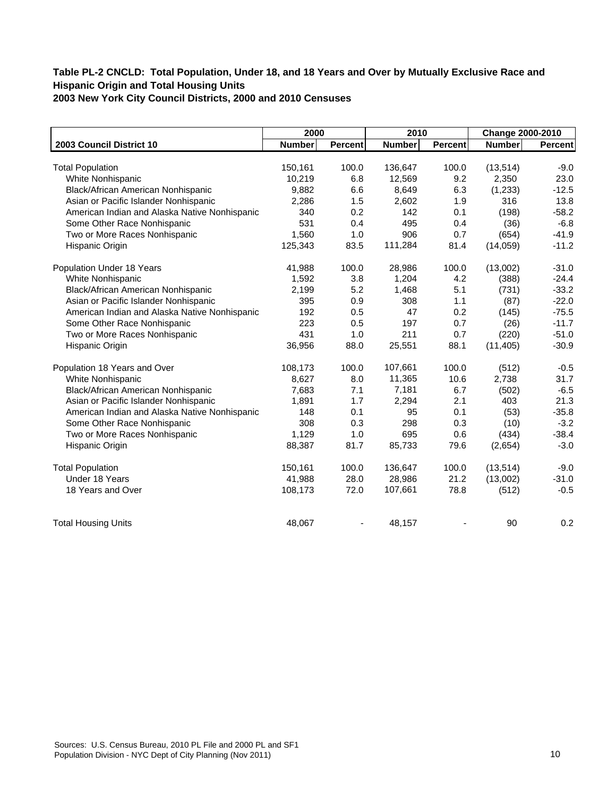|                                               | 2000          |                | 2010          |                | Change 2000-2010 |         |
|-----------------------------------------------|---------------|----------------|---------------|----------------|------------------|---------|
| 2003 Council District 10                      | <b>Number</b> | <b>Percent</b> | <b>Number</b> | <b>Percent</b> | Number           | Percent |
|                                               |               |                |               |                |                  |         |
| <b>Total Population</b>                       | 150,161       | 100.0          | 136,647       | 100.0          | (13, 514)        | $-9.0$  |
| White Nonhispanic                             | 10,219        | 6.8            | 12,569        | 9.2            | 2,350            | 23.0    |
| Black/African American Nonhispanic            | 9,882         | 6.6            | 8,649         | 6.3            | (1,233)          | $-12.5$ |
| Asian or Pacific Islander Nonhispanic         | 2,286         | 1.5            | 2,602         | 1.9            | 316              | 13.8    |
| American Indian and Alaska Native Nonhispanic | 340           | 0.2            | 142           | 0.1            | (198)            | $-58.2$ |
| Some Other Race Nonhispanic                   | 531           | 0.4            | 495           | 0.4            | (36)             | $-6.8$  |
| Two or More Races Nonhispanic                 | 1,560         | 1.0            | 906           | 0.7            | (654)            | $-41.9$ |
| Hispanic Origin                               | 125,343       | 83.5           | 111,284       | 81.4           | (14,059)         | $-11.2$ |
| Population Under 18 Years                     | 41,988        | 100.0          | 28,986        | 100.0          | (13,002)         | $-31.0$ |
| White Nonhispanic                             | 1,592         | 3.8            | 1,204         | 4.2            | (388)            | $-24.4$ |
| Black/African American Nonhispanic            | 2,199         | 5.2            | 1,468         | 5.1            | (731)            | $-33.2$ |
| Asian or Pacific Islander Nonhispanic         | 395           | 0.9            | 308           | 1.1            | (87)             | $-22.0$ |
| American Indian and Alaska Native Nonhispanic | 192           | 0.5            | 47            | 0.2            | (145)            | $-75.5$ |
| Some Other Race Nonhispanic                   | 223           | 0.5            | 197           | 0.7            | (26)             | $-11.7$ |
| Two or More Races Nonhispanic                 | 431           | 1.0            | 211           | 0.7            | (220)            | $-51.0$ |
| Hispanic Origin                               | 36,956        | 88.0           | 25,551        | 88.1           | (11, 405)        | $-30.9$ |
| Population 18 Years and Over                  | 108,173       | 100.0          | 107,661       | 100.0          | (512)            | $-0.5$  |
| White Nonhispanic                             | 8,627         | 8.0            | 11,365        | 10.6           | 2,738            | 31.7    |
| Black/African American Nonhispanic            | 7,683         | 7.1            | 7,181         | 6.7            | (502)            | $-6.5$  |
| Asian or Pacific Islander Nonhispanic         | 1,891         | 1.7            | 2,294         | 2.1            | 403              | 21.3    |
| American Indian and Alaska Native Nonhispanic | 148           | 0.1            | 95            | 0.1            | (53)             | $-35.8$ |
| Some Other Race Nonhispanic                   | 308           | 0.3            | 298           | 0.3            | (10)             | $-3.2$  |
| Two or More Races Nonhispanic                 | 1,129         | 1.0            | 695           | 0.6            | (434)            | $-38.4$ |
| Hispanic Origin                               | 88,387        | 81.7           | 85,733        | 79.6           | (2,654)          | $-3.0$  |
| <b>Total Population</b>                       | 150,161       | 100.0          | 136,647       | 100.0          | (13, 514)        | $-9.0$  |
| Under 18 Years                                | 41,988        | 28.0           | 28,986        | 21.2           | (13,002)         | $-31.0$ |
| 18 Years and Over                             | 108,173       | 72.0           | 107,661       | 78.8           | (512)            | $-0.5$  |
| <b>Total Housing Units</b>                    | 48,067        |                | 48,157        |                | 90               | 0.2     |
|                                               |               |                |               |                |                  |         |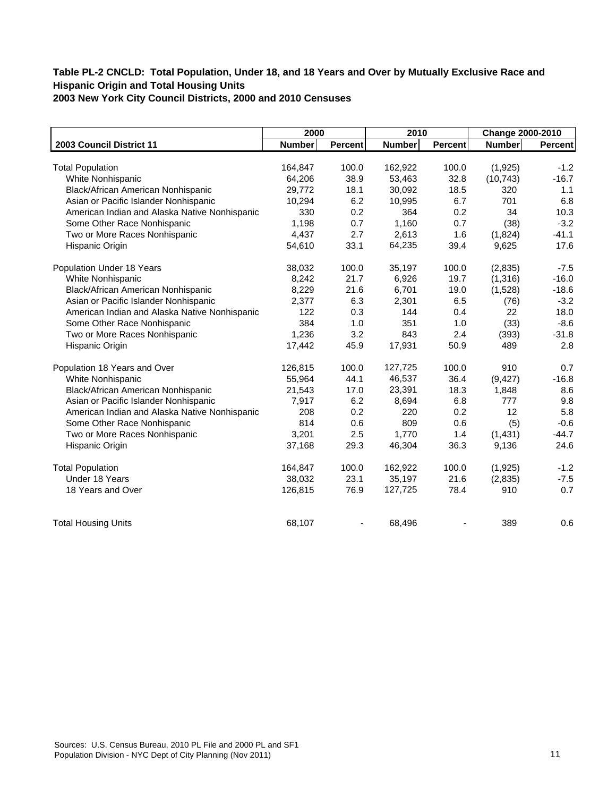|                                               | 2000          |         | 2010          |                | Change 2000-2010 |                |
|-----------------------------------------------|---------------|---------|---------------|----------------|------------------|----------------|
| 2003 Council District 11                      | <b>Number</b> | Percent | <b>Number</b> | <b>Percent</b> | <b>Number</b>    | <b>Percent</b> |
|                                               |               |         |               |                |                  |                |
| <b>Total Population</b>                       | 164,847       | 100.0   | 162,922       | 100.0          | (1, 925)         | $-1.2$         |
| White Nonhispanic                             | 64,206        | 38.9    | 53,463        | 32.8           | (10, 743)        | $-16.7$        |
| Black/African American Nonhispanic            | 29,772        | 18.1    | 30,092        | 18.5           | 320              | 1.1            |
| Asian or Pacific Islander Nonhispanic         | 10,294        | 6.2     | 10,995        | 6.7            | 701              | 6.8            |
| American Indian and Alaska Native Nonhispanic | 330           | 0.2     | 364           | 0.2            | 34               | 10.3           |
| Some Other Race Nonhispanic                   | 1,198         | 0.7     | 1,160         | 0.7            | (38)             | $-3.2$         |
| Two or More Races Nonhispanic                 | 4,437         | 2.7     | 2,613         | 1.6            | (1,824)          | $-41.1$        |
| Hispanic Origin                               | 54,610        | 33.1    | 64,235        | 39.4           | 9,625            | 17.6           |
| Population Under 18 Years                     | 38,032        | 100.0   | 35,197        | 100.0          | (2,835)          | $-7.5$         |
| White Nonhispanic                             | 8,242         | 21.7    | 6,926         | 19.7           | (1,316)          | $-16.0$        |
| Black/African American Nonhispanic            | 8,229         | 21.6    | 6,701         | 19.0           | (1,528)          | $-18.6$        |
| Asian or Pacific Islander Nonhispanic         | 2,377         | 6.3     | 2,301         | 6.5            | (76)             | $-3.2$         |
| American Indian and Alaska Native Nonhispanic | 122           | 0.3     | 144           | 0.4            | 22               | 18.0           |
| Some Other Race Nonhispanic                   | 384           | 1.0     | 351           | 1.0            | (33)             | $-8.6$         |
| Two or More Races Nonhispanic                 | 1,236         | 3.2     | 843           | 2.4            | (393)            | $-31.8$        |
| Hispanic Origin                               | 17,442        | 45.9    | 17,931        | 50.9           | 489              | 2.8            |
| Population 18 Years and Over                  | 126,815       | 100.0   | 127,725       | 100.0          | 910              | 0.7            |
| White Nonhispanic                             | 55,964        | 44.1    | 46,537        | 36.4           | (9, 427)         | $-16.8$        |
| Black/African American Nonhispanic            | 21,543        | 17.0    | 23,391        | 18.3           | 1,848            | 8.6            |
| Asian or Pacific Islander Nonhispanic         | 7,917         | 6.2     | 8,694         | 6.8            | 777              | 9.8            |
| American Indian and Alaska Native Nonhispanic | 208           | 0.2     | 220           | 0.2            | 12               | 5.8            |
| Some Other Race Nonhispanic                   | 814           | 0.6     | 809           | 0.6            | (5)              | $-0.6$         |
| Two or More Races Nonhispanic                 | 3,201         | 2.5     | 1,770         | 1.4            | (1,431)          | $-44.7$        |
| Hispanic Origin                               | 37,168        | 29.3    | 46,304        | 36.3           | 9,136            | 24.6           |
| <b>Total Population</b>                       | 164,847       | 100.0   | 162,922       | 100.0          | (1, 925)         | $-1.2$         |
| Under 18 Years                                | 38,032        | 23.1    | 35,197        | 21.6           | (2,835)          | $-7.5$         |
| 18 Years and Over                             | 126,815       | 76.9    | 127,725       | 78.4           | 910              | 0.7            |
| <b>Total Housing Units</b>                    | 68,107        |         | 68,496        |                | 389              | 0.6            |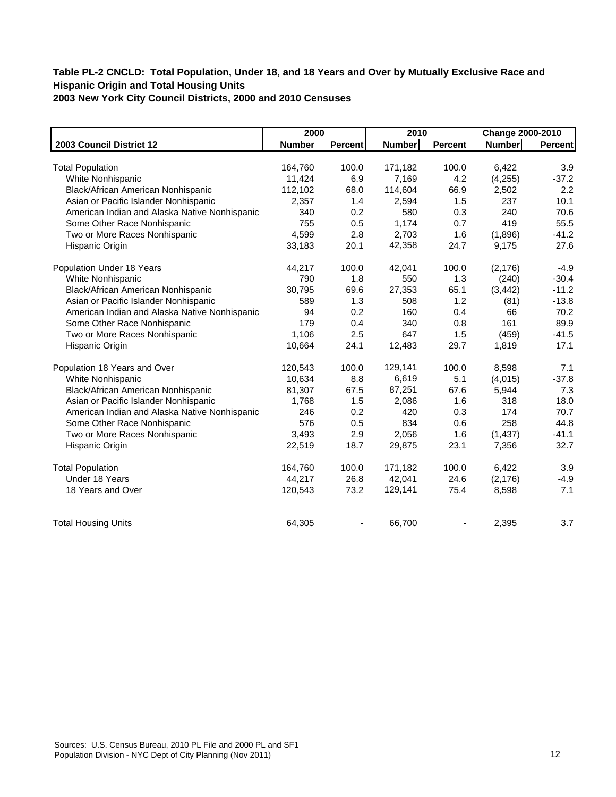|                                               | 2000          |         | 2010          |                | Change 2000-2010 |         |
|-----------------------------------------------|---------------|---------|---------------|----------------|------------------|---------|
| 2003 Council District 12                      | <b>Number</b> | Percent | <b>Number</b> | <b>Percent</b> | <b>Number</b>    | Percent |
|                                               |               |         |               |                |                  |         |
| <b>Total Population</b>                       | 164,760       | 100.0   | 171,182       | 100.0          | 6,422            | 3.9     |
| White Nonhispanic                             | 11,424        | 6.9     | 7,169         | 4.2            | (4, 255)         | $-37.2$ |
| Black/African American Nonhispanic            | 112,102       | 68.0    | 114,604       | 66.9           | 2,502            | 2.2     |
| Asian or Pacific Islander Nonhispanic         | 2,357         | 1.4     | 2,594         | 1.5            | 237              | 10.1    |
| American Indian and Alaska Native Nonhispanic | 340           | 0.2     | 580           | 0.3            | 240              | 70.6    |
| Some Other Race Nonhispanic                   | 755           | 0.5     | 1,174         | 0.7            | 419              | 55.5    |
| Two or More Races Nonhispanic                 | 4,599         | 2.8     | 2,703         | 1.6            | (1,896)          | $-41.2$ |
| Hispanic Origin                               | 33,183        | 20.1    | 42,358        | 24.7           | 9,175            | 27.6    |
| Population Under 18 Years                     | 44,217        | 100.0   | 42,041        | 100.0          | (2, 176)         | $-4.9$  |
| White Nonhispanic                             | 790           | 1.8     | 550           | 1.3            | (240)            | $-30.4$ |
| Black/African American Nonhispanic            | 30,795        | 69.6    | 27,353        | 65.1           | (3, 442)         | $-11.2$ |
| Asian or Pacific Islander Nonhispanic         | 589           | 1.3     | 508           | 1.2            | (81)             | $-13.8$ |
| American Indian and Alaska Native Nonhispanic | 94            | 0.2     | 160           | 0.4            | 66               | 70.2    |
| Some Other Race Nonhispanic                   | 179           | 0.4     | 340           | 0.8            | 161              | 89.9    |
| Two or More Races Nonhispanic                 | 1,106         | 2.5     | 647           | 1.5            | (459)            | $-41.5$ |
| Hispanic Origin                               | 10,664        | 24.1    | 12,483        | 29.7           | 1,819            | 17.1    |
| Population 18 Years and Over                  | 120,543       | 100.0   | 129,141       | 100.0          | 8,598            | 7.1     |
| White Nonhispanic                             | 10,634        | 8.8     | 6,619         | 5.1            | (4,015)          | $-37.8$ |
| Black/African American Nonhispanic            | 81,307        | 67.5    | 87,251        | 67.6           | 5,944            | 7.3     |
| Asian or Pacific Islander Nonhispanic         | 1,768         | 1.5     | 2,086         | 1.6            | 318              | 18.0    |
| American Indian and Alaska Native Nonhispanic | 246           | 0.2     | 420           | 0.3            | 174              | 70.7    |
| Some Other Race Nonhispanic                   | 576           | 0.5     | 834           | 0.6            | 258              | 44.8    |
| Two or More Races Nonhispanic                 | 3,493         | 2.9     | 2,056         | 1.6            | (1, 437)         | $-41.1$ |
| Hispanic Origin                               | 22,519        | 18.7    | 29,875        | 23.1           | 7,356            | 32.7    |
| <b>Total Population</b>                       | 164,760       | 100.0   | 171,182       | 100.0          | 6,422            | 3.9     |
| Under 18 Years                                | 44,217        | 26.8    | 42,041        | 24.6           | (2, 176)         | $-4.9$  |
| 18 Years and Over                             | 120,543       | 73.2    | 129,141       | 75.4           | 8,598            | 7.1     |
| <b>Total Housing Units</b>                    | 64,305        |         | 66,700        |                | 2,395            | 3.7     |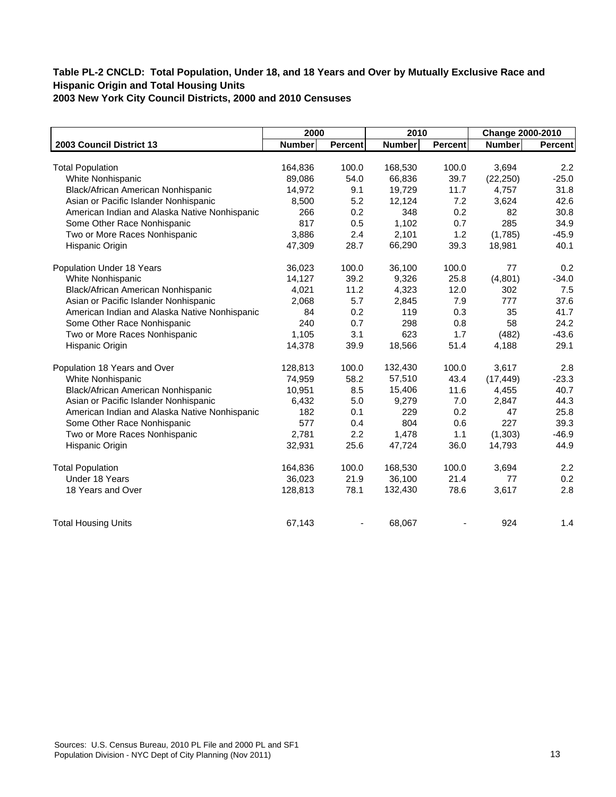|                                               | 2000          |                | 2010          |                | Change 2000-2010 |         |
|-----------------------------------------------|---------------|----------------|---------------|----------------|------------------|---------|
| 2003 Council District 13                      | <b>Number</b> | <b>Percent</b> | <b>Number</b> | <b>Percent</b> | <b>Number</b>    | Percent |
|                                               |               |                |               |                |                  |         |
| <b>Total Population</b>                       | 164,836       | 100.0          | 168,530       | 100.0          | 3,694            | 2.2     |
| White Nonhispanic                             | 89,086        | 54.0           | 66,836        | 39.7           | (22, 250)        | $-25.0$ |
| Black/African American Nonhispanic            | 14,972        | 9.1            | 19,729        | 11.7           | 4,757            | 31.8    |
| Asian or Pacific Islander Nonhispanic         | 8,500         | 5.2            | 12,124        | 7.2            | 3,624            | 42.6    |
| American Indian and Alaska Native Nonhispanic | 266           | 0.2            | 348           | 0.2            | 82               | 30.8    |
| Some Other Race Nonhispanic                   | 817           | 0.5            | 1,102         | 0.7            | 285              | 34.9    |
| Two or More Races Nonhispanic                 | 3,886         | 2.4            | 2,101         | 1.2            | (1,785)          | $-45.9$ |
| Hispanic Origin                               | 47,309        | 28.7           | 66,290        | 39.3           | 18,981           | 40.1    |
| Population Under 18 Years                     | 36,023        | 100.0          | 36,100        | 100.0          | 77               | 0.2     |
| White Nonhispanic                             | 14,127        | 39.2           | 9,326         | 25.8           | (4,801)          | $-34.0$ |
| Black/African American Nonhispanic            | 4,021         | 11.2           | 4,323         | 12.0           | 302              | 7.5     |
| Asian or Pacific Islander Nonhispanic         | 2,068         | 5.7            | 2,845         | 7.9            | 777              | 37.6    |
| American Indian and Alaska Native Nonhispanic | 84            | 0.2            | 119           | 0.3            | 35               | 41.7    |
| Some Other Race Nonhispanic                   | 240           | 0.7            | 298           | 0.8            | 58               | 24.2    |
| Two or More Races Nonhispanic                 | 1,105         | 3.1            | 623           | 1.7            | (482)            | $-43.6$ |
| Hispanic Origin                               | 14,378        | 39.9           | 18,566        | 51.4           | 4,188            | 29.1    |
| Population 18 Years and Over                  | 128,813       | 100.0          | 132,430       | 100.0          | 3,617            | 2.8     |
| White Nonhispanic                             | 74,959        | 58.2           | 57,510        | 43.4           | (17, 449)        | $-23.3$ |
| Black/African American Nonhispanic            | 10,951        | 8.5            | 15,406        | 11.6           | 4,455            | 40.7    |
| Asian or Pacific Islander Nonhispanic         | 6,432         | 5.0            | 9,279         | 7.0            | 2,847            | 44.3    |
| American Indian and Alaska Native Nonhispanic | 182           | 0.1            | 229           | 0.2            | 47               | 25.8    |
| Some Other Race Nonhispanic                   | 577           | 0.4            | 804           | 0.6            | 227              | 39.3    |
| Two or More Races Nonhispanic                 | 2,781         | 2.2            | 1,478         | 1.1            | (1, 303)         | $-46.9$ |
| Hispanic Origin                               | 32,931        | 25.6           | 47,724        | 36.0           | 14,793           | 44.9    |
| <b>Total Population</b>                       | 164,836       | 100.0          | 168,530       | 100.0          | 3,694            | 2.2     |
| Under 18 Years                                | 36,023        | 21.9           | 36,100        | 21.4           | 77               | 0.2     |
| 18 Years and Over                             | 128,813       | 78.1           | 132,430       | 78.6           | 3,617            | 2.8     |
| <b>Total Housing Units</b>                    | 67,143        |                | 68,067        |                | 924              | 1.4     |
|                                               |               |                |               |                |                  |         |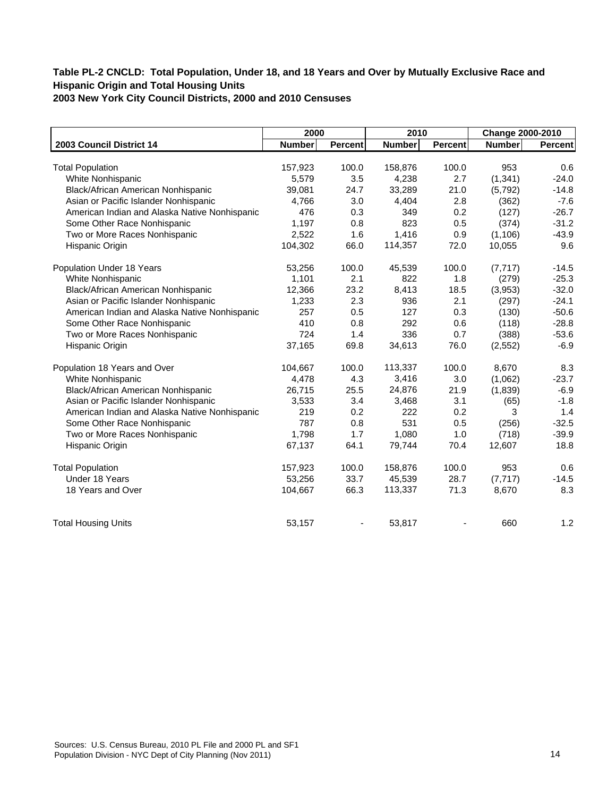|                                               | 2000          |                | 2010          |                | Change 2000-2010 |         |
|-----------------------------------------------|---------------|----------------|---------------|----------------|------------------|---------|
| 2003 Council District 14                      | <b>Number</b> | <b>Percent</b> | <b>Number</b> | <b>Percent</b> | <b>Number</b>    | Percent |
|                                               |               |                |               |                |                  |         |
| <b>Total Population</b>                       | 157,923       | 100.0          | 158,876       | 100.0          | 953              | 0.6     |
| White Nonhispanic                             | 5,579         | 3.5            | 4,238         | 2.7            | (1, 341)         | $-24.0$ |
| Black/African American Nonhispanic            | 39,081        | 24.7           | 33,289        | 21.0           | (5,792)          | $-14.8$ |
| Asian or Pacific Islander Nonhispanic         | 4,766         | 3.0            | 4,404         | 2.8            | (362)            | $-7.6$  |
| American Indian and Alaska Native Nonhispanic | 476           | 0.3            | 349           | 0.2            | (127)            | $-26.7$ |
| Some Other Race Nonhispanic                   | 1,197         | 0.8            | 823           | 0.5            | (374)            | $-31.2$ |
| Two or More Races Nonhispanic                 | 2,522         | 1.6            | 1,416         | 0.9            | (1, 106)         | $-43.9$ |
| Hispanic Origin                               | 104,302       | 66.0           | 114,357       | 72.0           | 10,055           | 9.6     |
| Population Under 18 Years                     | 53,256        | 100.0          | 45,539        | 100.0          | (7, 717)         | $-14.5$ |
| White Nonhispanic                             | 1,101         | 2.1            | 822           | 1.8            | (279)            | $-25.3$ |
| Black/African American Nonhispanic            | 12,366        | 23.2           | 8,413         | 18.5           | (3,953)          | $-32.0$ |
| Asian or Pacific Islander Nonhispanic         | 1,233         | 2.3            | 936           | 2.1            | (297)            | $-24.1$ |
| American Indian and Alaska Native Nonhispanic | 257           | 0.5            | 127           | 0.3            | (130)            | $-50.6$ |
| Some Other Race Nonhispanic                   | 410           | 0.8            | 292           | 0.6            | (118)            | $-28.8$ |
| Two or More Races Nonhispanic                 | 724           | 1.4            | 336           | 0.7            | (388)            | $-53.6$ |
| Hispanic Origin                               | 37,165        | 69.8           | 34,613        | 76.0           | (2,552)          | $-6.9$  |
| Population 18 Years and Over                  | 104,667       | 100.0          | 113,337       | 100.0          | 8.670            | 8.3     |
| White Nonhispanic                             | 4,478         | 4.3            | 3,416         | 3.0            | (1,062)          | $-23.7$ |
| Black/African American Nonhispanic            | 26,715        | 25.5           | 24,876        | 21.9           | (1,839)          | $-6.9$  |
| Asian or Pacific Islander Nonhispanic         | 3,533         | 3.4            | 3,468         | 3.1            | (65)             | $-1.8$  |
| American Indian and Alaska Native Nonhispanic | 219           | 0.2            | 222           | 0.2            | 3                | 1.4     |
| Some Other Race Nonhispanic                   | 787           | 0.8            | 531           | 0.5            | (256)            | $-32.5$ |
| Two or More Races Nonhispanic                 | 1,798         | 1.7            | 1,080         | 1.0            | (718)            | $-39.9$ |
| Hispanic Origin                               | 67,137        | 64.1           | 79,744        | 70.4           | 12,607           | 18.8    |
| <b>Total Population</b>                       | 157,923       | 100.0          | 158,876       | 100.0          | 953              | 0.6     |
| Under 18 Years                                | 53,256        | 33.7           | 45,539        | 28.7           | (7, 717)         | $-14.5$ |
| 18 Years and Over                             | 104,667       | 66.3           | 113,337       | 71.3           | 8,670            | 8.3     |
| <b>Total Housing Units</b>                    | 53,157        |                | 53,817        |                | 660              | 1.2     |
|                                               |               |                |               |                |                  |         |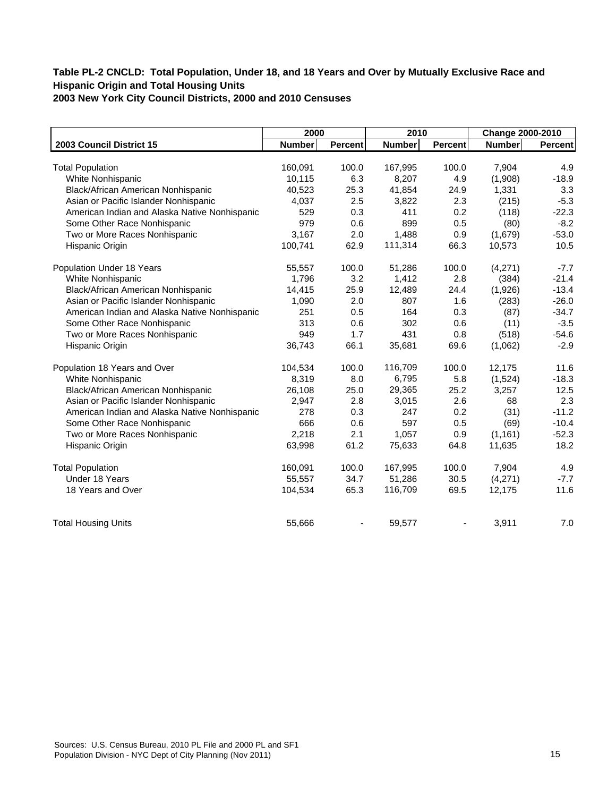|                                               | 2000          |         | 2010          |                | Change 2000-2010 |                |
|-----------------------------------------------|---------------|---------|---------------|----------------|------------------|----------------|
| 2003 Council District 15                      | <b>Number</b> | Percent | <b>Number</b> | <b>Percent</b> | <b>Number</b>    | <b>Percent</b> |
|                                               |               |         |               |                |                  |                |
| <b>Total Population</b>                       | 160,091       | 100.0   | 167,995       | 100.0          | 7,904            | 4.9            |
| White Nonhispanic                             | 10,115        | 6.3     | 8,207         | 4.9            | (1,908)          | $-18.9$        |
| Black/African American Nonhispanic            | 40,523        | 25.3    | 41,854        | 24.9           | 1,331            | 3.3            |
| Asian or Pacific Islander Nonhispanic         | 4,037         | 2.5     | 3,822         | 2.3            | (215)            | $-5.3$         |
| American Indian and Alaska Native Nonhispanic | 529           | 0.3     | 411           | 0.2            | (118)            | $-22.3$        |
| Some Other Race Nonhispanic                   | 979           | 0.6     | 899           | 0.5            | (80)             | $-8.2$         |
| Two or More Races Nonhispanic                 | 3,167         | 2.0     | 1,488         | 0.9            | (1,679)          | $-53.0$        |
| Hispanic Origin                               | 100,741       | 62.9    | 111,314       | 66.3           | 10,573           | 10.5           |
| Population Under 18 Years                     | 55,557        | 100.0   | 51,286        | 100.0          | (4,271)          | $-7.7$         |
| White Nonhispanic                             | 1,796         | 3.2     | 1,412         | 2.8            | (384)            | $-21.4$        |
| Black/African American Nonhispanic            | 14,415        | 25.9    | 12,489        | 24.4           | (1,926)          | $-13.4$        |
| Asian or Pacific Islander Nonhispanic         | 1,090         | 2.0     | 807           | 1.6            | (283)            | $-26.0$        |
| American Indian and Alaska Native Nonhispanic | 251           | 0.5     | 164           | 0.3            | (87)             | $-34.7$        |
| Some Other Race Nonhispanic                   | 313           | 0.6     | 302           | 0.6            | (11)             | $-3.5$         |
| Two or More Races Nonhispanic                 | 949           | 1.7     | 431           | 0.8            | (518)            | $-54.6$        |
| Hispanic Origin                               | 36,743        | 66.1    | 35,681        | 69.6           | (1,062)          | $-2.9$         |
| Population 18 Years and Over                  | 104,534       | 100.0   | 116,709       | 100.0          | 12,175           | 11.6           |
| White Nonhispanic                             | 8,319         | 8.0     | 6,795         | 5.8            | (1,524)          | $-18.3$        |
| Black/African American Nonhispanic            | 26,108        | 25.0    | 29,365        | 25.2           | 3,257            | 12.5           |
| Asian or Pacific Islander Nonhispanic         | 2,947         | 2.8     | 3,015         | 2.6            | 68               | 2.3            |
| American Indian and Alaska Native Nonhispanic | 278           | 0.3     | 247           | 0.2            | (31)             | $-11.2$        |
| Some Other Race Nonhispanic                   | 666           | 0.6     | 597           | 0.5            | (69)             | $-10.4$        |
| Two or More Races Nonhispanic                 | 2,218         | 2.1     | 1,057         | 0.9            | (1, 161)         | $-52.3$        |
| Hispanic Origin                               | 63,998        | 61.2    | 75,633        | 64.8           | 11,635           | 18.2           |
| <b>Total Population</b>                       | 160,091       | 100.0   | 167,995       | 100.0          | 7,904            | 4.9            |
| Under 18 Years                                | 55,557        | 34.7    | 51,286        | 30.5           | (4,271)          | $-7.7$         |
| 18 Years and Over                             | 104,534       | 65.3    | 116,709       | 69.5           | 12,175           | 11.6           |
| <b>Total Housing Units</b>                    | 55,666        |         | 59,577        |                | 3,911            | 7.0            |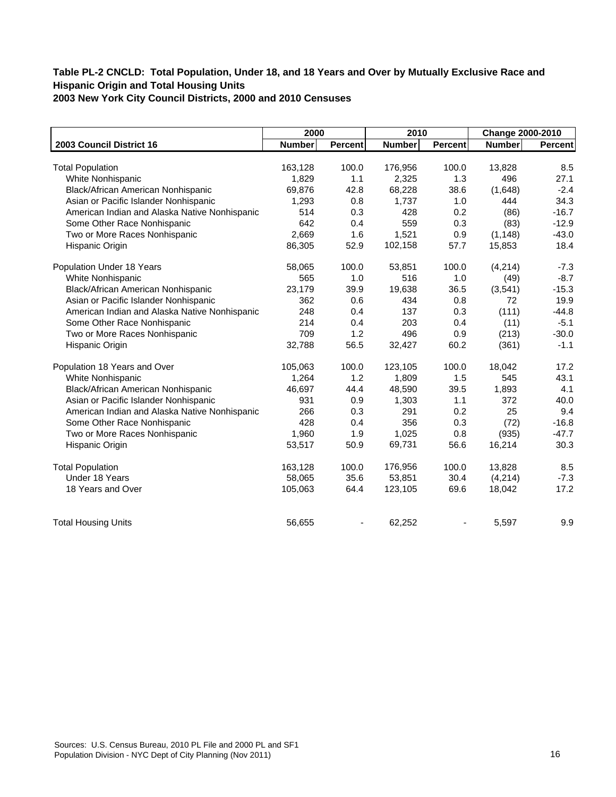|                                               | 2000          |                | 2010          |                | Change 2000-2010 |         |
|-----------------------------------------------|---------------|----------------|---------------|----------------|------------------|---------|
| 2003 Council District 16                      | <b>Number</b> | <b>Percent</b> | <b>Number</b> | <b>Percent</b> | Number           | Percent |
|                                               |               |                |               |                |                  |         |
| <b>Total Population</b>                       | 163,128       | 100.0          | 176,956       | 100.0          | 13,828           | 8.5     |
| White Nonhispanic                             | 1,829         | 1.1            | 2,325         | 1.3            | 496              | 27.1    |
| Black/African American Nonhispanic            | 69,876        | 42.8           | 68,228        | 38.6           | (1,648)          | $-2.4$  |
| Asian or Pacific Islander Nonhispanic         | 1,293         | 0.8            | 1,737         | 1.0            | 444              | 34.3    |
| American Indian and Alaska Native Nonhispanic | 514           | 0.3            | 428           | 0.2            | (86)             | $-16.7$ |
| Some Other Race Nonhispanic                   | 642           | 0.4            | 559           | 0.3            | (83)             | $-12.9$ |
| Two or More Races Nonhispanic                 | 2,669         | 1.6            | 1,521         | 0.9            | (1, 148)         | $-43.0$ |
| Hispanic Origin                               | 86,305        | 52.9           | 102,158       | 57.7           | 15,853           | 18.4    |
| Population Under 18 Years                     | 58,065        | 100.0          | 53,851        | 100.0          | (4, 214)         | $-7.3$  |
| White Nonhispanic                             | 565           | 1.0            | 516           | 1.0            | (49)             | $-8.7$  |
| Black/African American Nonhispanic            | 23,179        | 39.9           | 19,638        | 36.5           | (3, 541)         | $-15.3$ |
| Asian or Pacific Islander Nonhispanic         | 362           | 0.6            | 434           | 0.8            | 72               | 19.9    |
| American Indian and Alaska Native Nonhispanic | 248           | 0.4            | 137           | 0.3            | (111)            | $-44.8$ |
| Some Other Race Nonhispanic                   | 214           | 0.4            | 203           | 0.4            | (11)             | $-5.1$  |
| Two or More Races Nonhispanic                 | 709           | 1.2            | 496           | 0.9            | (213)            | $-30.0$ |
| Hispanic Origin                               | 32,788        | 56.5           | 32,427        | 60.2           | (361)            | $-1.1$  |
| Population 18 Years and Over                  | 105,063       | 100.0          | 123,105       | 100.0          | 18,042           | 17.2    |
| White Nonhispanic                             | 1,264         | 1.2            | 1,809         | 1.5            | 545              | 43.1    |
| Black/African American Nonhispanic            | 46,697        | 44.4           | 48,590        | 39.5           | 1,893            | 4.1     |
| Asian or Pacific Islander Nonhispanic         | 931           | 0.9            | 1,303         | 1.1            | 372              | 40.0    |
| American Indian and Alaska Native Nonhispanic | 266           | 0.3            | 291           | 0.2            | 25               | 9.4     |
| Some Other Race Nonhispanic                   | 428           | 0.4            | 356           | 0.3            | (72)             | $-16.8$ |
| Two or More Races Nonhispanic                 | 1,960         | 1.9            | 1,025         | 0.8            | (935)            | $-47.7$ |
| Hispanic Origin                               | 53,517        | 50.9           | 69,731        | 56.6           | 16,214           | 30.3    |
| <b>Total Population</b>                       | 163,128       | 100.0          | 176,956       | 100.0          | 13,828           | 8.5     |
| Under 18 Years                                | 58,065        | 35.6           | 53,851        | 30.4           | (4,214)          | $-7.3$  |
| 18 Years and Over                             | 105,063       | 64.4           | 123,105       | 69.6           | 18,042           | 17.2    |
| <b>Total Housing Units</b>                    | 56,655        |                | 62,252        |                | 5,597            | 9.9     |
|                                               |               |                |               |                |                  |         |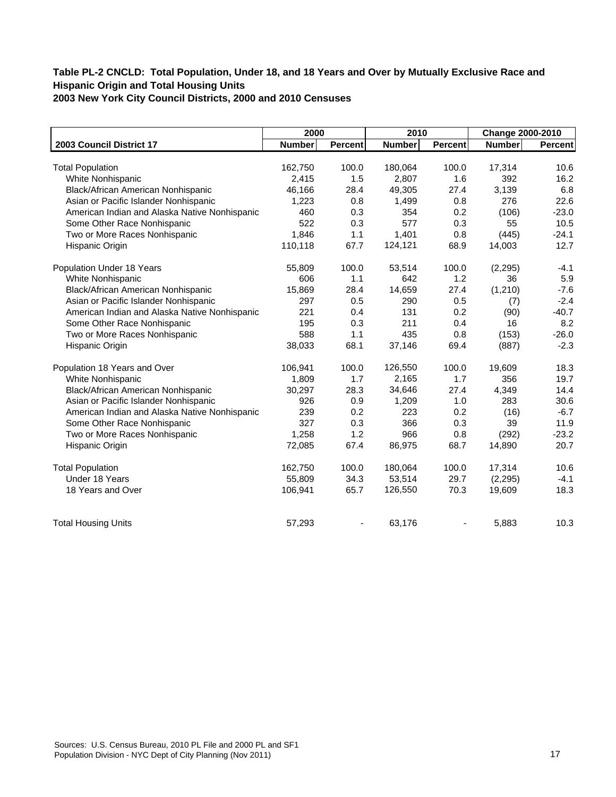|                                               | 2000          |                | 2010          |                | Change 2000-2010 |         |
|-----------------------------------------------|---------------|----------------|---------------|----------------|------------------|---------|
| 2003 Council District 17                      | <b>Number</b> | <b>Percent</b> | <b>Number</b> | <b>Percent</b> | <b>Number</b>    | Percent |
|                                               |               |                |               |                |                  |         |
| <b>Total Population</b>                       | 162,750       | 100.0          | 180,064       | 100.0          | 17,314           | 10.6    |
| White Nonhispanic                             | 2,415         | 1.5            | 2,807         | 1.6            | 392              | 16.2    |
| Black/African American Nonhispanic            | 46,166        | 28.4           | 49,305        | 27.4           | 3,139            | 6.8     |
| Asian or Pacific Islander Nonhispanic         | 1,223         | 0.8            | 1,499         | 0.8            | 276              | 22.6    |
| American Indian and Alaska Native Nonhispanic | 460           | 0.3            | 354           | 0.2            | (106)            | $-23.0$ |
| Some Other Race Nonhispanic                   | 522           | 0.3            | 577           | 0.3            | 55               | 10.5    |
| Two or More Races Nonhispanic                 | 1,846         | 1.1            | 1,401         | 0.8            | (445)            | $-24.1$ |
| Hispanic Origin                               | 110,118       | 67.7           | 124,121       | 68.9           | 14,003           | 12.7    |
| Population Under 18 Years                     | 55,809        | 100.0          | 53,514        | 100.0          | (2, 295)         | $-4.1$  |
| White Nonhispanic                             | 606           | 1.1            | 642           | 1.2            | 36               | 5.9     |
| Black/African American Nonhispanic            | 15,869        | 28.4           | 14,659        | 27.4           | (1,210)          | $-7.6$  |
| Asian or Pacific Islander Nonhispanic         | 297           | 0.5            | 290           | 0.5            | (7)              | $-2.4$  |
| American Indian and Alaska Native Nonhispanic | 221           | 0.4            | 131           | 0.2            | (90)             | $-40.7$ |
| Some Other Race Nonhispanic                   | 195           | 0.3            | 211           | 0.4            | 16               | 8.2     |
| Two or More Races Nonhispanic                 | 588           | 1.1            | 435           | 0.8            | (153)            | $-26.0$ |
| Hispanic Origin                               | 38,033        | 68.1           | 37,146        | 69.4           | (887)            | $-2.3$  |
| Population 18 Years and Over                  | 106,941       | 100.0          | 126,550       | 100.0          | 19,609           | 18.3    |
| White Nonhispanic                             | 1,809         | 1.7            | 2,165         | 1.7            | 356              | 19.7    |
| Black/African American Nonhispanic            | 30,297        | 28.3           | 34,646        | 27.4           | 4,349            | 14.4    |
| Asian or Pacific Islander Nonhispanic         | 926           | 0.9            | 1,209         | 1.0            | 283              | 30.6    |
| American Indian and Alaska Native Nonhispanic | 239           | 0.2            | 223           | 0.2            | (16)             | $-6.7$  |
| Some Other Race Nonhispanic                   | 327           | 0.3            | 366           | 0.3            | 39               | 11.9    |
| Two or More Races Nonhispanic                 | 1,258         | 1.2            | 966           | 0.8            | (292)            | $-23.2$ |
| Hispanic Origin                               | 72,085        | 67.4           | 86,975        | 68.7           | 14,890           | 20.7    |
| <b>Total Population</b>                       | 162,750       | 100.0          | 180,064       | 100.0          | 17,314           | 10.6    |
| Under 18 Years                                | 55,809        | 34.3           | 53,514        | 29.7           | (2, 295)         | $-4.1$  |
| 18 Years and Over                             | 106,941       | 65.7           | 126,550       | 70.3           | 19,609           | 18.3    |
| <b>Total Housing Units</b>                    | 57,293        |                | 63,176        |                | 5,883            | 10.3    |
|                                               |               |                |               |                |                  |         |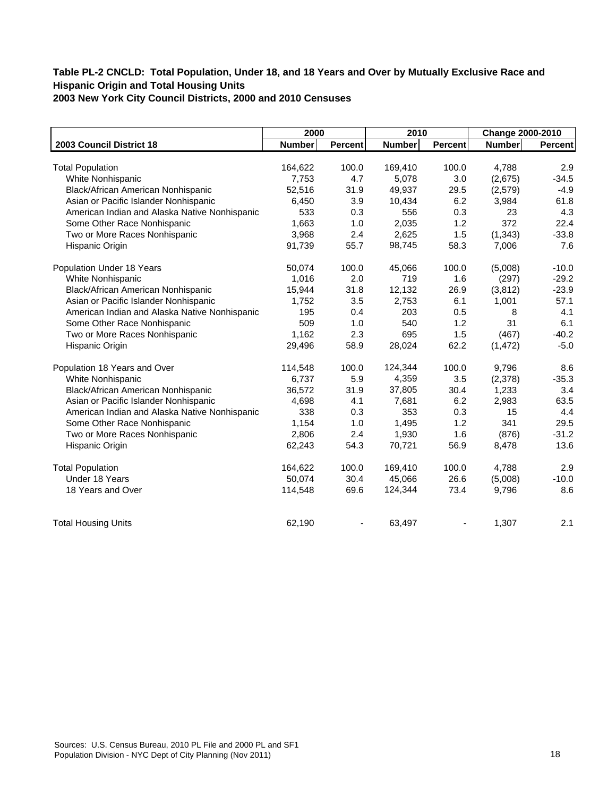|                                               | 2000          |                | 2010          |                | Change 2000-2010 |         |
|-----------------------------------------------|---------------|----------------|---------------|----------------|------------------|---------|
| 2003 Council District 18                      | <b>Number</b> | <b>Percent</b> | <b>Number</b> | <b>Percent</b> | <b>Number</b>    | Percent |
|                                               |               |                |               |                |                  |         |
| <b>Total Population</b>                       | 164,622       | 100.0          | 169,410       | 100.0          | 4,788            | 2.9     |
| White Nonhispanic                             | 7,753         | 4.7            | 5,078         | 3.0            | (2,675)          | $-34.5$ |
| Black/African American Nonhispanic            | 52,516        | 31.9           | 49,937        | 29.5           | (2,579)          | $-4.9$  |
| Asian or Pacific Islander Nonhispanic         | 6,450         | 3.9            | 10,434        | 6.2            | 3,984            | 61.8    |
| American Indian and Alaska Native Nonhispanic | 533           | 0.3            | 556           | 0.3            | 23               | 4.3     |
| Some Other Race Nonhispanic                   | 1,663         | 1.0            | 2,035         | 1.2            | 372              | 22.4    |
| Two or More Races Nonhispanic                 | 3,968         | 2.4            | 2,625         | 1.5            | (1, 343)         | $-33.8$ |
| Hispanic Origin                               | 91,739        | 55.7           | 98,745        | 58.3           | 7,006            | 7.6     |
| Population Under 18 Years                     | 50,074        | 100.0          | 45,066        | 100.0          | (5,008)          | $-10.0$ |
| White Nonhispanic                             | 1,016         | 2.0            | 719           | 1.6            | (297)            | $-29.2$ |
| Black/African American Nonhispanic            | 15,944        | 31.8           | 12,132        | 26.9           | (3,812)          | $-23.9$ |
| Asian or Pacific Islander Nonhispanic         | 1,752         | 3.5            | 2,753         | 6.1            | 1,001            | 57.1    |
| American Indian and Alaska Native Nonhispanic | 195           | 0.4            | 203           | 0.5            | 8                | 4.1     |
| Some Other Race Nonhispanic                   | 509           | 1.0            | 540           | 1.2            | 31               | 6.1     |
| Two or More Races Nonhispanic                 | 1,162         | 2.3            | 695           | 1.5            | (467)            | $-40.2$ |
| Hispanic Origin                               | 29,496        | 58.9           | 28,024        | 62.2           | (1, 472)         | $-5.0$  |
| Population 18 Years and Over                  | 114,548       | 100.0          | 124,344       | 100.0          | 9,796            | 8.6     |
| White Nonhispanic                             | 6,737         | 5.9            | 4,359         | 3.5            | (2,378)          | $-35.3$ |
| Black/African American Nonhispanic            | 36,572        | 31.9           | 37,805        | 30.4           | 1,233            | 3.4     |
| Asian or Pacific Islander Nonhispanic         | 4,698         | 4.1            | 7,681         | 6.2            | 2,983            | 63.5    |
| American Indian and Alaska Native Nonhispanic | 338           | 0.3            | 353           | 0.3            | 15               | 4.4     |
| Some Other Race Nonhispanic                   | 1,154         | 1.0            | 1,495         | 1.2            | 341              | 29.5    |
| Two or More Races Nonhispanic                 | 2,806         | 2.4            | 1,930         | 1.6            | (876)            | $-31.2$ |
| Hispanic Origin                               | 62,243        | 54.3           | 70,721        | 56.9           | 8,478            | 13.6    |
| <b>Total Population</b>                       | 164,622       | 100.0          | 169,410       | 100.0          | 4,788            | 2.9     |
| Under 18 Years                                | 50,074        | 30.4           | 45,066        | 26.6           | (5,008)          | $-10.0$ |
| 18 Years and Over                             | 114,548       | 69.6           | 124,344       | 73.4           | 9,796            | 8.6     |
| <b>Total Housing Units</b>                    | 62,190        |                | 63,497        |                | 1,307            | 2.1     |
|                                               |               |                |               |                |                  |         |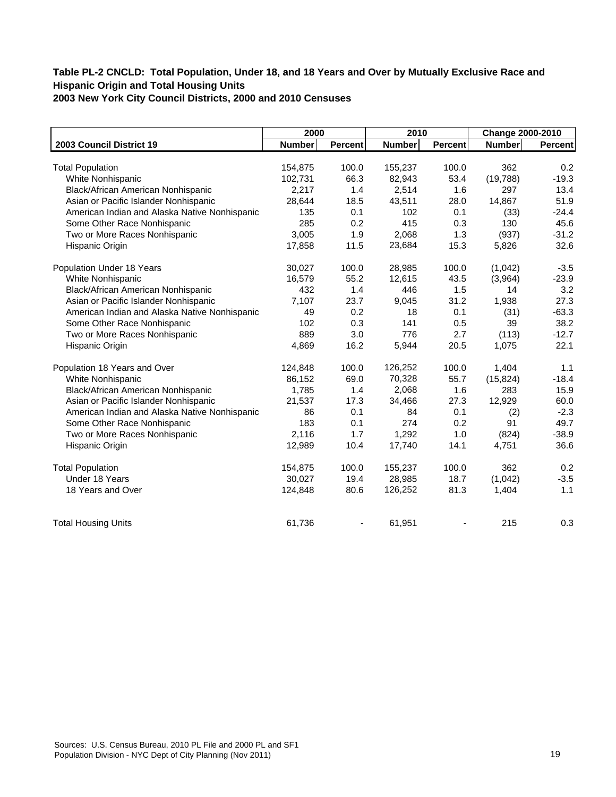|                                               | 2000          |         | 2010          |                | Change 2000-2010 |                |
|-----------------------------------------------|---------------|---------|---------------|----------------|------------------|----------------|
| 2003 Council District 19                      | <b>Number</b> | Percent | <b>Number</b> | <b>Percent</b> | <b>Number</b>    | <b>Percent</b> |
|                                               |               |         |               |                |                  |                |
| <b>Total Population</b>                       | 154,875       | 100.0   | 155,237       | 100.0          | 362              | 0.2            |
| White Nonhispanic                             | 102,731       | 66.3    | 82,943        | 53.4           | (19, 788)        | $-19.3$        |
| Black/African American Nonhispanic            | 2,217         | 1.4     | 2,514         | 1.6            | 297              | 13.4           |
| Asian or Pacific Islander Nonhispanic         | 28,644        | 18.5    | 43,511        | 28.0           | 14,867           | 51.9           |
| American Indian and Alaska Native Nonhispanic | 135           | 0.1     | 102           | 0.1            | (33)             | $-24.4$        |
| Some Other Race Nonhispanic                   | 285           | 0.2     | 415           | 0.3            | 130              | 45.6           |
| Two or More Races Nonhispanic                 | 3,005         | 1.9     | 2,068         | 1.3            | (937)            | $-31.2$        |
| Hispanic Origin                               | 17,858        | 11.5    | 23,684        | 15.3           | 5,826            | 32.6           |
| Population Under 18 Years                     | 30,027        | 100.0   | 28,985        | 100.0          | (1,042)          | $-3.5$         |
| White Nonhispanic                             | 16,579        | 55.2    | 12,615        | 43.5           | (3,964)          | $-23.9$        |
| Black/African American Nonhispanic            | 432           | 1.4     | 446           | 1.5            | 14               | 3.2            |
| Asian or Pacific Islander Nonhispanic         | 7,107         | 23.7    | 9,045         | 31.2           | 1,938            | 27.3           |
| American Indian and Alaska Native Nonhispanic | 49            | 0.2     | 18            | 0.1            | (31)             | $-63.3$        |
| Some Other Race Nonhispanic                   | 102           | 0.3     | 141           | 0.5            | 39               | 38.2           |
| Two or More Races Nonhispanic                 | 889           | 3.0     | 776           | 2.7            | (113)            | $-12.7$        |
| Hispanic Origin                               | 4,869         | 16.2    | 5,944         | 20.5           | 1,075            | 22.1           |
| Population 18 Years and Over                  | 124,848       | 100.0   | 126,252       | 100.0          | 1,404            | 1.1            |
| White Nonhispanic                             | 86,152        | 69.0    | 70,328        | 55.7           | (15, 824)        | $-18.4$        |
| Black/African American Nonhispanic            | 1,785         | 1.4     | 2,068         | 1.6            | 283              | 15.9           |
| Asian or Pacific Islander Nonhispanic         | 21,537        | 17.3    | 34,466        | 27.3           | 12,929           | 60.0           |
| American Indian and Alaska Native Nonhispanic | 86            | 0.1     | 84            | 0.1            | (2)              | $-2.3$         |
| Some Other Race Nonhispanic                   | 183           | 0.1     | 274           | 0.2            | 91               | 49.7           |
| Two or More Races Nonhispanic                 | 2,116         | 1.7     | 1,292         | 1.0            | (824)            | $-38.9$        |
| Hispanic Origin                               | 12,989        | 10.4    | 17,740        | 14.1           | 4,751            | 36.6           |
| <b>Total Population</b>                       | 154,875       | 100.0   | 155,237       | 100.0          | 362              | 0.2            |
| Under 18 Years                                | 30,027        | 19.4    | 28,985        | 18.7           | (1,042)          | $-3.5$         |
| 18 Years and Over                             | 124,848       | 80.6    | 126,252       | 81.3           | 1,404            | 1.1            |
| <b>Total Housing Units</b>                    | 61,736        |         | 61,951        |                | 215              | 0.3            |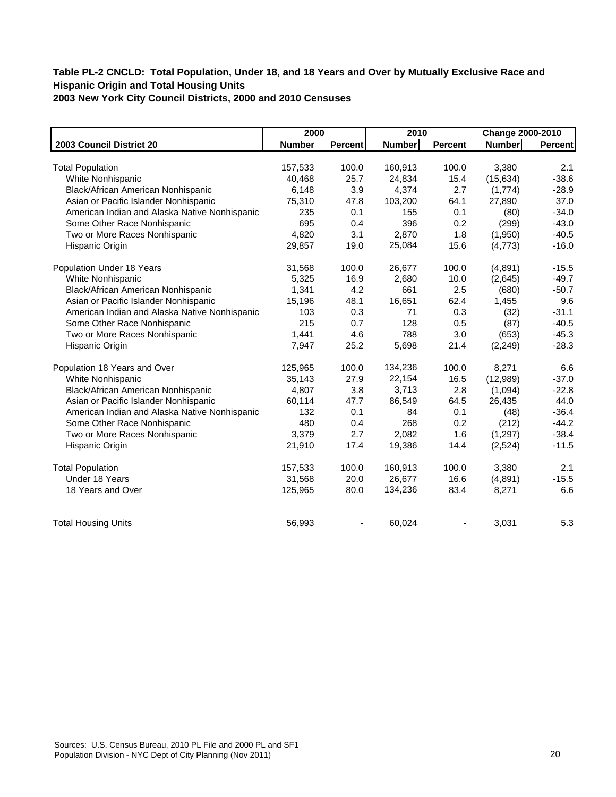|                                               | 2000          |         | 2010          |                | Change 2000-2010 |         |
|-----------------------------------------------|---------------|---------|---------------|----------------|------------------|---------|
| 2003 Council District 20                      | <b>Number</b> | Percent | <b>Number</b> | <b>Percent</b> | <b>Number</b>    | Percent |
|                                               |               |         |               |                |                  |         |
| <b>Total Population</b>                       | 157,533       | 100.0   | 160,913       | 100.0          | 3,380            | 2.1     |
| White Nonhispanic                             | 40,468        | 25.7    | 24,834        | 15.4           | (15, 634)        | $-38.6$ |
| Black/African American Nonhispanic            | 6,148         | 3.9     | 4,374         | 2.7            | (1,774)          | $-28.9$ |
| Asian or Pacific Islander Nonhispanic         | 75,310        | 47.8    | 103,200       | 64.1           | 27,890           | 37.0    |
| American Indian and Alaska Native Nonhispanic | 235           | 0.1     | 155           | 0.1            | (80)             | $-34.0$ |
| Some Other Race Nonhispanic                   | 695           | 0.4     | 396           | 0.2            | (299)            | $-43.0$ |
| Two or More Races Nonhispanic                 | 4,820         | 3.1     | 2,870         | 1.8            | (1,950)          | $-40.5$ |
| Hispanic Origin                               | 29,857        | 19.0    | 25,084        | 15.6           | (4, 773)         | $-16.0$ |
| Population Under 18 Years                     | 31,568        | 100.0   | 26,677        | 100.0          | (4,891)          | $-15.5$ |
| White Nonhispanic                             | 5,325         | 16.9    | 2,680         | 10.0           | (2,645)          | $-49.7$ |
| Black/African American Nonhispanic            | 1,341         | 4.2     | 661           | 2.5            | (680)            | $-50.7$ |
| Asian or Pacific Islander Nonhispanic         | 15,196        | 48.1    | 16,651        | 62.4           | 1,455            | 9.6     |
| American Indian and Alaska Native Nonhispanic | 103           | 0.3     | 71            | 0.3            | (32)             | $-31.1$ |
| Some Other Race Nonhispanic                   | 215           | 0.7     | 128           | 0.5            | (87)             | $-40.5$ |
| Two or More Races Nonhispanic                 | 1,441         | 4.6     | 788           | 3.0            | (653)            | $-45.3$ |
| Hispanic Origin                               | 7,947         | 25.2    | 5,698         | 21.4           | (2, 249)         | $-28.3$ |
| Population 18 Years and Over                  | 125,965       | 100.0   | 134,236       | 100.0          | 8,271            | 6.6     |
| White Nonhispanic                             | 35,143        | 27.9    | 22,154        | 16.5           | (12,989)         | $-37.0$ |
| Black/African American Nonhispanic            | 4,807         | 3.8     | 3,713         | 2.8            | (1,094)          | $-22.8$ |
| Asian or Pacific Islander Nonhispanic         | 60,114        | 47.7    | 86,549        | 64.5           | 26,435           | 44.0    |
| American Indian and Alaska Native Nonhispanic | 132           | 0.1     | 84            | 0.1            | (48)             | $-36.4$ |
| Some Other Race Nonhispanic                   | 480           | 0.4     | 268           | 0.2            | (212)            | $-44.2$ |
| Two or More Races Nonhispanic                 | 3,379         | 2.7     | 2,082         | 1.6            | (1, 297)         | $-38.4$ |
| Hispanic Origin                               | 21,910        | 17.4    | 19,386        | 14.4           | (2,524)          | $-11.5$ |
| <b>Total Population</b>                       | 157,533       | 100.0   | 160,913       | 100.0          | 3,380            | 2.1     |
| Under 18 Years                                | 31,568        | 20.0    | 26,677        | 16.6           | (4,891)          | $-15.5$ |
| 18 Years and Over                             | 125,965       | 80.0    | 134,236       | 83.4           | 8,271            | 6.6     |
| <b>Total Housing Units</b>                    | 56,993        |         | 60,024        |                | 3,031            | 5.3     |
|                                               |               |         |               |                |                  |         |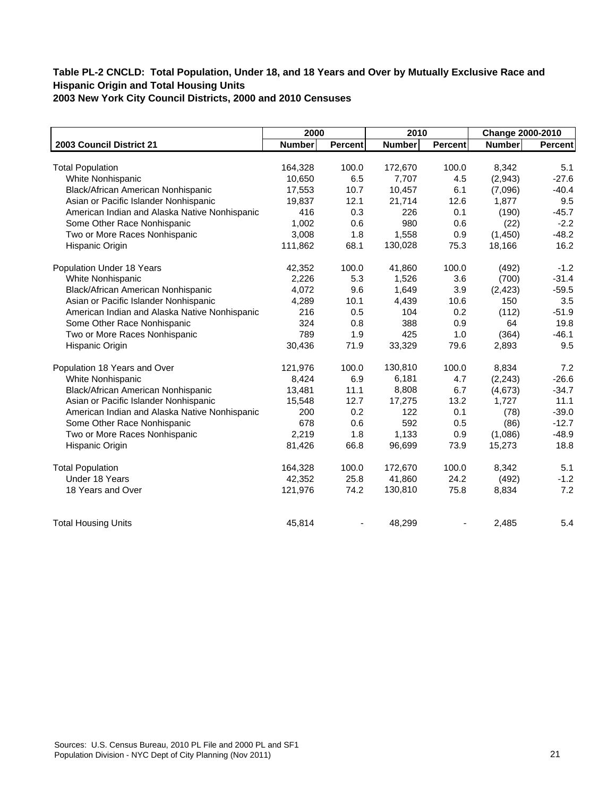|                                               | 2000          |                | 2010          |                | Change 2000-2010 |         |
|-----------------------------------------------|---------------|----------------|---------------|----------------|------------------|---------|
| 2003 Council District 21                      | <b>Number</b> | <b>Percent</b> | <b>Number</b> | <b>Percent</b> | <b>Number</b>    | Percent |
|                                               |               |                |               |                |                  |         |
| <b>Total Population</b>                       | 164,328       | 100.0          | 172,670       | 100.0          | 8,342            | 5.1     |
| White Nonhispanic                             | 10,650        | 6.5            | 7,707         | 4.5            | (2,943)          | $-27.6$ |
| Black/African American Nonhispanic            | 17,553        | 10.7           | 10,457        | 6.1            | (7,096)          | $-40.4$ |
| Asian or Pacific Islander Nonhispanic         | 19,837        | 12.1           | 21,714        | 12.6           | 1,877            | 9.5     |
| American Indian and Alaska Native Nonhispanic | 416           | 0.3            | 226           | 0.1            | (190)            | $-45.7$ |
| Some Other Race Nonhispanic                   | 1,002         | 0.6            | 980           | 0.6            | (22)             | $-2.2$  |
| Two or More Races Nonhispanic                 | 3,008         | 1.8            | 1,558         | 0.9            | (1,450)          | $-48.2$ |
| Hispanic Origin                               | 111,862       | 68.1           | 130,028       | 75.3           | 18,166           | 16.2    |
| Population Under 18 Years                     | 42,352        | 100.0          | 41,860        | 100.0          | (492)            | $-1.2$  |
| White Nonhispanic                             | 2,226         | 5.3            | 1,526         | 3.6            | (700)            | $-31.4$ |
| Black/African American Nonhispanic            | 4,072         | 9.6            | 1,649         | 3.9            | (2, 423)         | $-59.5$ |
| Asian or Pacific Islander Nonhispanic         | 4,289         | 10.1           | 4,439         | 10.6           | 150              | 3.5     |
| American Indian and Alaska Native Nonhispanic | 216           | 0.5            | 104           | 0.2            | (112)            | $-51.9$ |
| Some Other Race Nonhispanic                   | 324           | 0.8            | 388           | 0.9            | 64               | 19.8    |
| Two or More Races Nonhispanic                 | 789           | 1.9            | 425           | 1.0            | (364)            | $-46.1$ |
| Hispanic Origin                               | 30,436        | 71.9           | 33,329        | 79.6           | 2,893            | 9.5     |
| Population 18 Years and Over                  | 121,976       | 100.0          | 130,810       | 100.0          | 8,834            | 7.2     |
| White Nonhispanic                             | 8,424         | 6.9            | 6,181         | 4.7            | (2, 243)         | $-26.6$ |
| Black/African American Nonhispanic            | 13,481        | 11.1           | 8,808         | 6.7            | (4,673)          | $-34.7$ |
| Asian or Pacific Islander Nonhispanic         | 15,548        | 12.7           | 17,275        | 13.2           | 1,727            | 11.1    |
| American Indian and Alaska Native Nonhispanic | 200           | 0.2            | 122           | 0.1            | (78)             | $-39.0$ |
| Some Other Race Nonhispanic                   | 678           | 0.6            | 592           | 0.5            | (86)             | $-12.7$ |
| Two or More Races Nonhispanic                 | 2,219         | 1.8            | 1,133         | 0.9            | (1,086)          | $-48.9$ |
| Hispanic Origin                               | 81,426        | 66.8           | 96,699        | 73.9           | 15,273           | 18.8    |
| <b>Total Population</b>                       | 164,328       | 100.0          | 172,670       | 100.0          | 8,342            | 5.1     |
| Under 18 Years                                | 42,352        | 25.8           | 41,860        | 24.2           | (492)            | $-1.2$  |
| 18 Years and Over                             | 121,976       | 74.2           | 130,810       | 75.8           | 8,834            | 7.2     |
| <b>Total Housing Units</b>                    | 45,814        |                | 48,299        |                | 2,485            | 5.4     |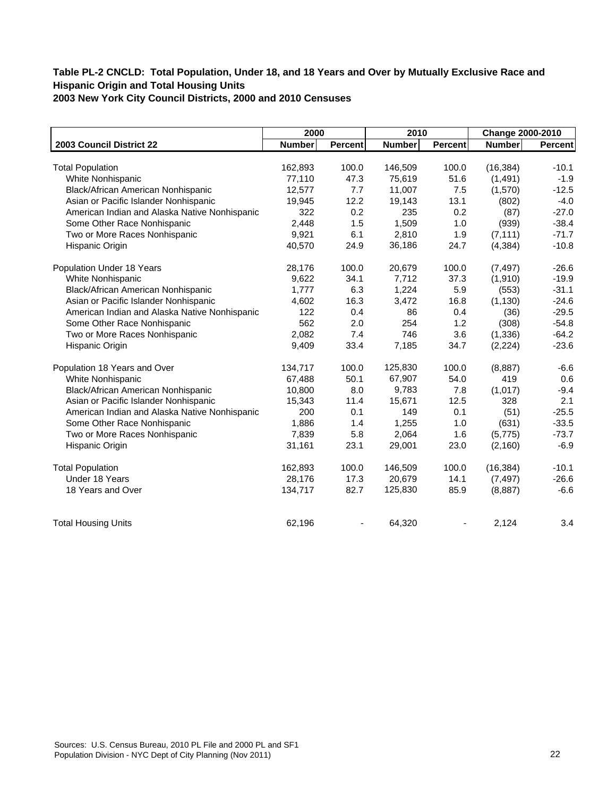|                                               | 2000          |                | 2010          |                | Change 2000-2010 |         |
|-----------------------------------------------|---------------|----------------|---------------|----------------|------------------|---------|
| 2003 Council District 22                      | <b>Number</b> | <b>Percent</b> | <b>Number</b> | <b>Percent</b> | Number           | Percent |
|                                               |               |                |               |                |                  |         |
| <b>Total Population</b>                       | 162,893       | 100.0          | 146,509       | 100.0          | (16, 384)        | $-10.1$ |
| White Nonhispanic                             | 77,110        | 47.3           | 75,619        | 51.6           | (1, 491)         | $-1.9$  |
| Black/African American Nonhispanic            | 12,577        | 7.7            | 11,007        | 7.5            | (1,570)          | $-12.5$ |
| Asian or Pacific Islander Nonhispanic         | 19,945        | 12.2           | 19,143        | 13.1           | (802)            | $-4.0$  |
| American Indian and Alaska Native Nonhispanic | 322           | 0.2            | 235           | 0.2            | (87)             | $-27.0$ |
| Some Other Race Nonhispanic                   | 2,448         | 1.5            | 1,509         | 1.0            | (939)            | $-38.4$ |
| Two or More Races Nonhispanic                 | 9,921         | 6.1            | 2,810         | 1.9            | (7, 111)         | $-71.7$ |
| Hispanic Origin                               | 40,570        | 24.9           | 36,186        | 24.7           | (4, 384)         | $-10.8$ |
| Population Under 18 Years                     | 28,176        | 100.0          | 20,679        | 100.0          | (7, 497)         | $-26.6$ |
| White Nonhispanic                             | 9,622         | 34.1           | 7,712         | 37.3           | (1,910)          | $-19.9$ |
| Black/African American Nonhispanic            | 1,777         | 6.3            | 1,224         | 5.9            | (553)            | $-31.1$ |
| Asian or Pacific Islander Nonhispanic         | 4,602         | 16.3           | 3,472         | 16.8           | (1, 130)         | $-24.6$ |
| American Indian and Alaska Native Nonhispanic | 122           | 0.4            | 86            | 0.4            | (36)             | $-29.5$ |
| Some Other Race Nonhispanic                   | 562           | 2.0            | 254           | 1.2            | (308)            | $-54.8$ |
| Two or More Races Nonhispanic                 | 2,082         | 7.4            | 746           | 3.6            | (1, 336)         | $-64.2$ |
| Hispanic Origin                               | 9,409         | 33.4           | 7,185         | 34.7           | (2,224)          | $-23.6$ |
| Population 18 Years and Over                  | 134,717       | 100.0          | 125,830       | 100.0          | (8,887)          | $-6.6$  |
| White Nonhispanic                             | 67,488        | 50.1           | 67,907        | 54.0           | 419              | 0.6     |
| Black/African American Nonhispanic            | 10,800        | 8.0            | 9,783         | 7.8            | (1,017)          | $-9.4$  |
| Asian or Pacific Islander Nonhispanic         | 15,343        | 11.4           | 15,671        | 12.5           | 328              | 2.1     |
| American Indian and Alaska Native Nonhispanic | 200           | 0.1            | 149           | 0.1            | (51)             | $-25.5$ |
| Some Other Race Nonhispanic                   | 1,886         | 1.4            | 1,255         | 1.0            | (631)            | $-33.5$ |
| Two or More Races Nonhispanic                 | 7,839         | 5.8            | 2,064         | 1.6            | (5,775)          | $-73.7$ |
| Hispanic Origin                               | 31,161        | 23.1           | 29,001        | 23.0           | (2, 160)         | $-6.9$  |
| <b>Total Population</b>                       | 162,893       | 100.0          | 146,509       | 100.0          | (16, 384)        | $-10.1$ |
| Under 18 Years                                | 28,176        | 17.3           | 20,679        | 14.1           | (7, 497)         | $-26.6$ |
| 18 Years and Over                             | 134,717       | 82.7           | 125,830       | 85.9           | (8,887)          | $-6.6$  |
| <b>Total Housing Units</b>                    | 62,196        |                | 64,320        |                | 2,124            | 3.4     |
|                                               |               |                |               |                |                  |         |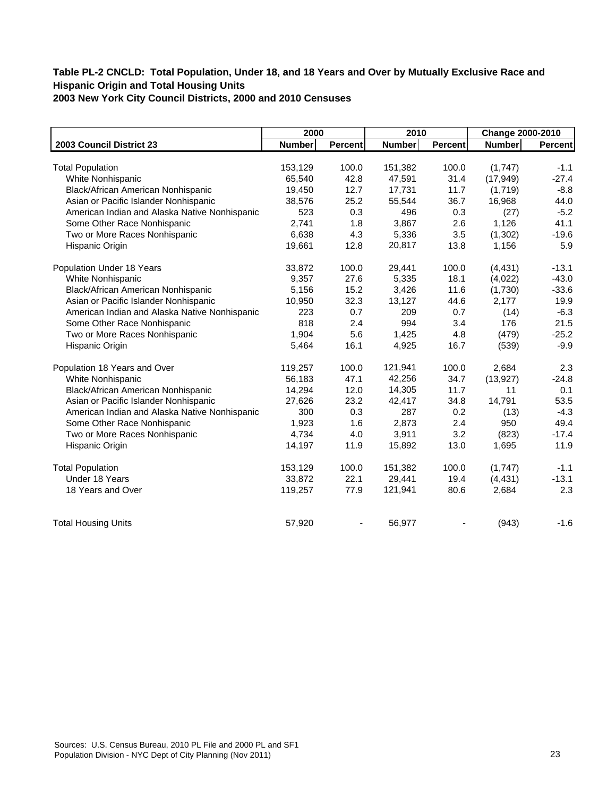|                                               | 2000          |         | 2010          |                | Change 2000-2010 |         |
|-----------------------------------------------|---------------|---------|---------------|----------------|------------------|---------|
| 2003 Council District 23                      | <b>Number</b> | Percent | <b>Number</b> | <b>Percent</b> | <b>Number</b>    | Percent |
|                                               |               |         |               |                |                  |         |
| <b>Total Population</b>                       | 153,129       | 100.0   | 151,382       | 100.0          | (1,747)          | $-1.1$  |
| White Nonhispanic                             | 65,540        | 42.8    | 47,591        | 31.4           | (17, 949)        | $-27.4$ |
| Black/African American Nonhispanic            | 19,450        | 12.7    | 17,731        | 11.7           | (1,719)          | $-8.8$  |
| Asian or Pacific Islander Nonhispanic         | 38,576        | 25.2    | 55,544        | 36.7           | 16,968           | 44.0    |
| American Indian and Alaska Native Nonhispanic | 523           | 0.3     | 496           | 0.3            | (27)             | $-5.2$  |
| Some Other Race Nonhispanic                   | 2,741         | 1.8     | 3,867         | 2.6            | 1,126            | 41.1    |
| Two or More Races Nonhispanic                 | 6,638         | 4.3     | 5,336         | 3.5            | (1,302)          | $-19.6$ |
| Hispanic Origin                               | 19,661        | 12.8    | 20,817        | 13.8           | 1,156            | 5.9     |
| Population Under 18 Years                     | 33,872        | 100.0   | 29,441        | 100.0          | (4, 431)         | $-13.1$ |
| White Nonhispanic                             | 9,357         | 27.6    | 5,335         | 18.1           | (4,022)          | $-43.0$ |
| Black/African American Nonhispanic            | 5,156         | 15.2    | 3,426         | 11.6           | (1,730)          | $-33.6$ |
| Asian or Pacific Islander Nonhispanic         | 10,950        | 32.3    | 13,127        | 44.6           | 2,177            | 19.9    |
| American Indian and Alaska Native Nonhispanic | 223           | 0.7     | 209           | 0.7            | (14)             | $-6.3$  |
| Some Other Race Nonhispanic                   | 818           | 2.4     | 994           | 3.4            | 176              | 21.5    |
| Two or More Races Nonhispanic                 | 1,904         | 5.6     | 1,425         | 4.8            | (479)            | $-25.2$ |
| Hispanic Origin                               | 5,464         | 16.1    | 4,925         | 16.7           | (539)            | $-9.9$  |
| Population 18 Years and Over                  | 119,257       | 100.0   | 121,941       | 100.0          | 2,684            | 2.3     |
| White Nonhispanic                             | 56,183        | 47.1    | 42,256        | 34.7           | (13, 927)        | $-24.8$ |
| Black/African American Nonhispanic            | 14,294        | 12.0    | 14,305        | 11.7           | 11               | 0.1     |
| Asian or Pacific Islander Nonhispanic         | 27,626        | 23.2    | 42,417        | 34.8           | 14,791           | 53.5    |
| American Indian and Alaska Native Nonhispanic | 300           | 0.3     | 287           | 0.2            | (13)             | $-4.3$  |
| Some Other Race Nonhispanic                   | 1,923         | 1.6     | 2,873         | 2.4            | 950              | 49.4    |
| Two or More Races Nonhispanic                 | 4,734         | 4.0     | 3,911         | 3.2            | (823)            | $-17.4$ |
| Hispanic Origin                               | 14,197        | 11.9    | 15,892        | 13.0           | 1,695            | 11.9    |
| <b>Total Population</b>                       | 153,129       | 100.0   | 151,382       | 100.0          | (1,747)          | $-1.1$  |
| Under 18 Years                                | 33,872        | 22.1    | 29,441        | 19.4           | (4, 431)         | $-13.1$ |
| 18 Years and Over                             | 119,257       | 77.9    | 121,941       | 80.6           | 2,684            | 2.3     |
| <b>Total Housing Units</b>                    | 57,920        |         | 56,977        |                | (943)            | $-1.6$  |
|                                               |               |         |               |                |                  |         |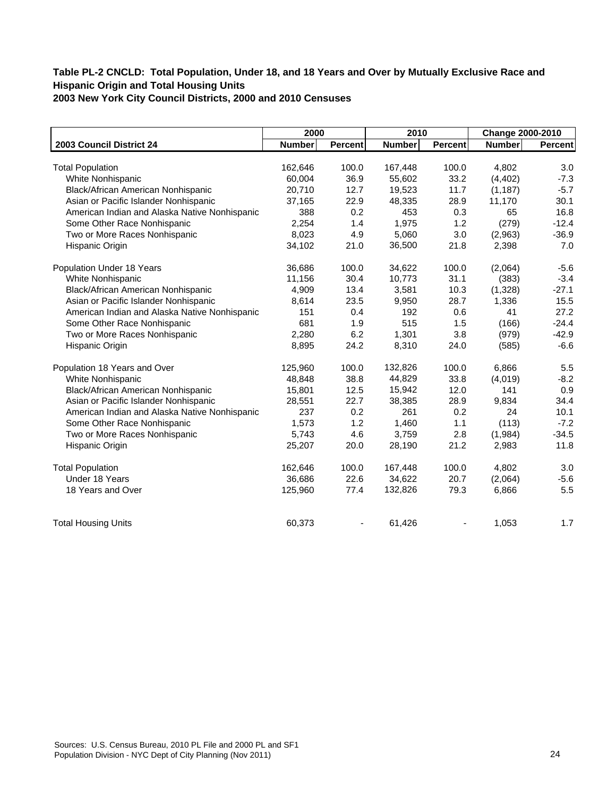|                                               | 2000          |         | 2010          |                | Change 2000-2010 |                |
|-----------------------------------------------|---------------|---------|---------------|----------------|------------------|----------------|
| 2003 Council District 24                      | <b>Number</b> | Percent | <b>Number</b> | <b>Percent</b> | <b>Number</b>    | <b>Percent</b> |
|                                               |               |         |               |                |                  |                |
| <b>Total Population</b>                       | 162,646       | 100.0   | 167,448       | 100.0          | 4,802            | 3.0            |
| White Nonhispanic                             | 60,004        | 36.9    | 55,602        | 33.2           | (4, 402)         | $-7.3$         |
| Black/African American Nonhispanic            | 20,710        | 12.7    | 19,523        | 11.7           | (1, 187)         | $-5.7$         |
| Asian or Pacific Islander Nonhispanic         | 37,165        | 22.9    | 48,335        | 28.9           | 11,170           | 30.1           |
| American Indian and Alaska Native Nonhispanic | 388           | 0.2     | 453           | 0.3            | 65               | 16.8           |
| Some Other Race Nonhispanic                   | 2,254         | 1.4     | 1,975         | 1.2            | (279)            | $-12.4$        |
| Two or More Races Nonhispanic                 | 8,023         | 4.9     | 5,060         | 3.0            | (2,963)          | $-36.9$        |
| Hispanic Origin                               | 34,102        | 21.0    | 36,500        | 21.8           | 2,398            | 7.0            |
| Population Under 18 Years                     | 36,686        | 100.0   | 34,622        | 100.0          | (2,064)          | $-5.6$         |
| White Nonhispanic                             | 11,156        | 30.4    | 10,773        | 31.1           | (383)            | $-3.4$         |
| Black/African American Nonhispanic            | 4,909         | 13.4    | 3,581         | 10.3           | (1,328)          | $-27.1$        |
| Asian or Pacific Islander Nonhispanic         | 8,614         | 23.5    | 9,950         | 28.7           | 1,336            | 15.5           |
| American Indian and Alaska Native Nonhispanic | 151           | 0.4     | 192           | 0.6            | 41               | 27.2           |
| Some Other Race Nonhispanic                   | 681           | 1.9     | 515           | 1.5            | (166)            | $-24.4$        |
| Two or More Races Nonhispanic                 | 2,280         | 6.2     | 1,301         | 3.8            | (979)            | $-42.9$        |
| Hispanic Origin                               | 8,895         | 24.2    | 8,310         | 24.0           | (585)            | $-6.6$         |
| Population 18 Years and Over                  | 125,960       | 100.0   | 132,826       | 100.0          | 6,866            | 5.5            |
| White Nonhispanic                             | 48,848        | 38.8    | 44,829        | 33.8           | (4,019)          | $-8.2$         |
| Black/African American Nonhispanic            | 15,801        | 12.5    | 15,942        | 12.0           | 141              | 0.9            |
| Asian or Pacific Islander Nonhispanic         | 28,551        | 22.7    | 38,385        | 28.9           | 9,834            | 34.4           |
| American Indian and Alaska Native Nonhispanic | 237           | 0.2     | 261           | 0.2            | 24               | 10.1           |
| Some Other Race Nonhispanic                   | 1,573         | 1.2     | 1,460         | 1.1            | (113)            | $-7.2$         |
| Two or More Races Nonhispanic                 | 5,743         | 4.6     | 3,759         | 2.8            | (1,984)          | $-34.5$        |
| Hispanic Origin                               | 25,207        | 20.0    | 28,190        | 21.2           | 2,983            | 11.8           |
| <b>Total Population</b>                       | 162,646       | 100.0   | 167,448       | 100.0          | 4,802            | 3.0            |
| Under 18 Years                                | 36,686        | 22.6    | 34,622        | 20.7           | (2,064)          | $-5.6$         |
| 18 Years and Over                             | 125,960       | 77.4    | 132,826       | 79.3           | 6,866            | 5.5            |
| <b>Total Housing Units</b>                    | 60,373        |         | 61,426        |                | 1,053            | 1.7            |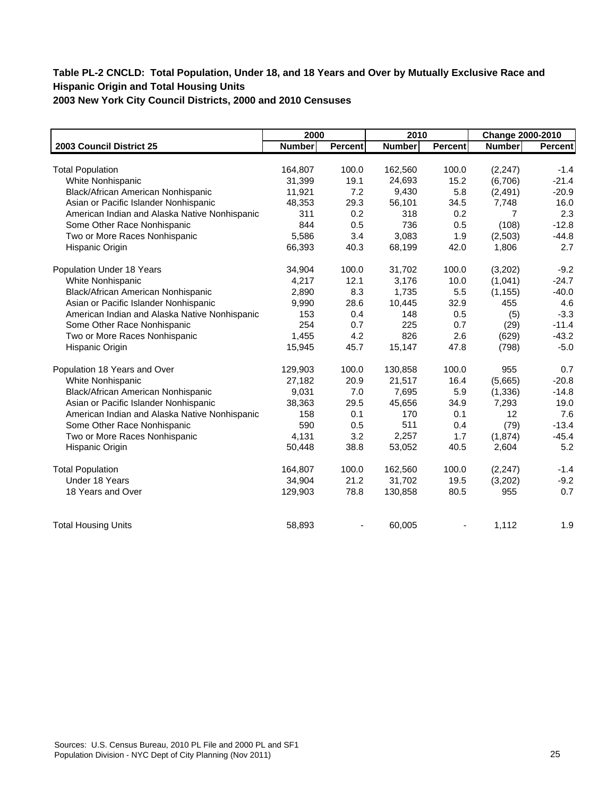# **Table PL-2 CNCLD: Total Population, Under 18, and 18 Years and Over by Mutually Exclusive Race and Hispanic Origin and Total Housing Units**

**2003 New York City Council Districts, 2000 and 2010 Censuses**

|                                               | 2000          |         | 2010          |         | Change 2000-2010 |         |
|-----------------------------------------------|---------------|---------|---------------|---------|------------------|---------|
| 2003 Council District 25                      | <b>Number</b> | Percent | <b>Number</b> | Percent | <b>Number</b>    | Percent |
|                                               |               |         |               |         |                  |         |
| <b>Total Population</b>                       | 164,807       | 100.0   | 162,560       | 100.0   | (2, 247)         | $-1.4$  |
| White Nonhispanic                             | 31,399        | 19.1    | 24,693        | 15.2    | (6,706)          | $-21.4$ |
| Black/African American Nonhispanic            | 11,921        | 7.2     | 9,430         | 5.8     | (2, 491)         | $-20.9$ |
| Asian or Pacific Islander Nonhispanic         | 48,353        | 29.3    | 56,101        | 34.5    | 7,748            | 16.0    |
| American Indian and Alaska Native Nonhispanic | 311           | 0.2     | 318           | 0.2     | $\overline{7}$   | 2.3     |
| Some Other Race Nonhispanic                   | 844           | 0.5     | 736           | 0.5     | (108)            | $-12.8$ |
| Two or More Races Nonhispanic                 | 5,586         | 3.4     | 3,083         | 1.9     | (2,503)          | $-44.8$ |
| Hispanic Origin                               | 66,393        | 40.3    | 68,199        | 42.0    | 1,806            | 2.7     |
| Population Under 18 Years                     | 34,904        | 100.0   | 31,702        | 100.0   | (3,202)          | $-9.2$  |
| White Nonhispanic                             | 4,217         | 12.1    | 3,176         | 10.0    | (1,041)          | $-24.7$ |
| Black/African American Nonhispanic            | 2,890         | 8.3     | 1,735         | 5.5     | (1, 155)         | $-40.0$ |
| Asian or Pacific Islander Nonhispanic         | 9,990         | 28.6    | 10,445        | 32.9    | 455              | 4.6     |
| American Indian and Alaska Native Nonhispanic | 153           | 0.4     | 148           | 0.5     | (5)              | $-3.3$  |
| Some Other Race Nonhispanic                   | 254           | 0.7     | 225           | 0.7     | (29)             | $-11.4$ |
| Two or More Races Nonhispanic                 | 1,455         | 4.2     | 826           | 2.6     | (629)            | $-43.2$ |
| Hispanic Origin                               | 15,945        | 45.7    | 15,147        | 47.8    | (798)            | $-5.0$  |
| Population 18 Years and Over                  | 129,903       | 100.0   | 130,858       | 100.0   | 955              | 0.7     |
| White Nonhispanic                             | 27,182        | 20.9    | 21,517        | 16.4    | (5,665)          | $-20.8$ |
| Black/African American Nonhispanic            | 9,031         | 7.0     | 7,695         | 5.9     | (1, 336)         | $-14.8$ |
| Asian or Pacific Islander Nonhispanic         | 38,363        | 29.5    | 45,656        | 34.9    | 7,293            | 19.0    |
| American Indian and Alaska Native Nonhispanic | 158           | 0.1     | 170           | 0.1     | 12               | 7.6     |
| Some Other Race Nonhispanic                   | 590           | 0.5     | 511           | 0.4     | (79)             | $-13.4$ |
| Two or More Races Nonhispanic                 | 4,131         | 3.2     | 2,257         | 1.7     | (1,874)          | $-45.4$ |
| Hispanic Origin                               | 50,448        | 38.8    | 53,052        | 40.5    | 2,604            | 5.2     |
| <b>Total Population</b>                       | 164,807       | 100.0   | 162,560       | 100.0   | (2, 247)         | $-1.4$  |
| Under 18 Years                                | 34,904        | 21.2    | 31,702        | 19.5    | (3,202)          | $-9.2$  |
| 18 Years and Over                             | 129,903       | 78.8    | 130,858       | 80.5    | 955              | 0.7     |
| <b>Total Housing Units</b>                    | 58,893        | ٠       | 60,005        |         | 1,112            | 1.9     |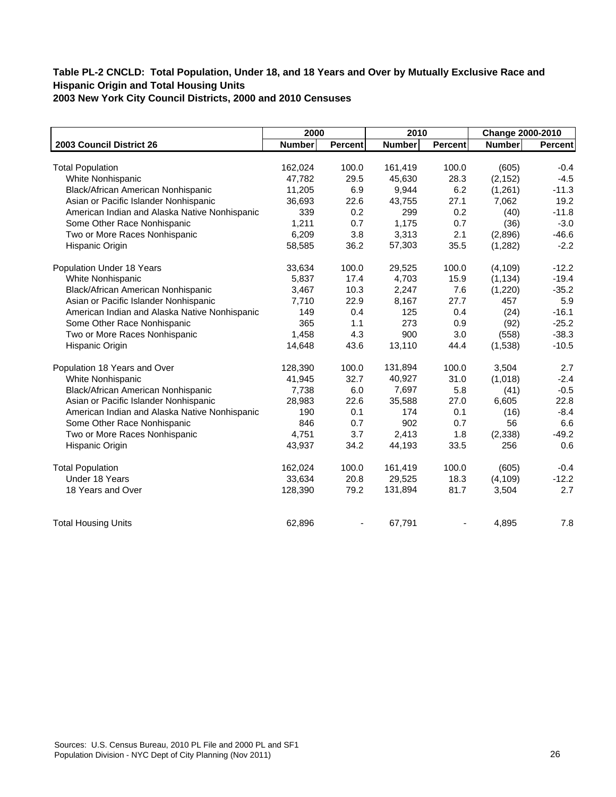|                                               | 2000          |         | 2010          |                | Change 2000-2010 |                |
|-----------------------------------------------|---------------|---------|---------------|----------------|------------------|----------------|
| 2003 Council District 26                      | <b>Number</b> | Percent | <b>Number</b> | <b>Percent</b> | <b>Number</b>    | <b>Percent</b> |
|                                               |               |         |               |                |                  |                |
| <b>Total Population</b>                       | 162,024       | 100.0   | 161,419       | 100.0          | (605)            | $-0.4$         |
| White Nonhispanic                             | 47,782        | 29.5    | 45,630        | 28.3           | (2, 152)         | $-4.5$         |
| Black/African American Nonhispanic            | 11,205        | 6.9     | 9,944         | 6.2            | (1,261)          | $-11.3$        |
| Asian or Pacific Islander Nonhispanic         | 36,693        | 22.6    | 43,755        | 27.1           | 7,062            | 19.2           |
| American Indian and Alaska Native Nonhispanic | 339           | 0.2     | 299           | 0.2            | (40)             | $-11.8$        |
| Some Other Race Nonhispanic                   | 1,211         | 0.7     | 1,175         | 0.7            | (36)             | $-3.0$         |
| Two or More Races Nonhispanic                 | 6,209         | 3.8     | 3,313         | 2.1            | (2,896)          | $-46.6$        |
| Hispanic Origin                               | 58,585        | 36.2    | 57,303        | 35.5           | (1, 282)         | $-2.2$         |
| Population Under 18 Years                     | 33,634        | 100.0   | 29,525        | 100.0          | (4, 109)         | $-12.2$        |
| White Nonhispanic                             | 5,837         | 17.4    | 4,703         | 15.9           | (1, 134)         | $-19.4$        |
| Black/African American Nonhispanic            | 3,467         | 10.3    | 2,247         | 7.6            | (1,220)          | $-35.2$        |
| Asian or Pacific Islander Nonhispanic         | 7,710         | 22.9    | 8,167         | 27.7           | 457              | 5.9            |
| American Indian and Alaska Native Nonhispanic | 149           | 0.4     | 125           | 0.4            | (24)             | $-16.1$        |
| Some Other Race Nonhispanic                   | 365           | 1.1     | 273           | 0.9            | (92)             | $-25.2$        |
| Two or More Races Nonhispanic                 | 1,458         | 4.3     | 900           | 3.0            | (558)            | $-38.3$        |
| Hispanic Origin                               | 14,648        | 43.6    | 13,110        | 44.4           | (1,538)          | $-10.5$        |
| Population 18 Years and Over                  | 128,390       | 100.0   | 131,894       | 100.0          | 3,504            | 2.7            |
| White Nonhispanic                             | 41,945        | 32.7    | 40,927        | 31.0           | (1,018)          | $-2.4$         |
| Black/African American Nonhispanic            | 7,738         | 6.0     | 7,697         | 5.8            | (41)             | $-0.5$         |
| Asian or Pacific Islander Nonhispanic         | 28,983        | 22.6    | 35,588        | 27.0           | 6,605            | 22.8           |
| American Indian and Alaska Native Nonhispanic | 190           | 0.1     | 174           | 0.1            | (16)             | $-8.4$         |
| Some Other Race Nonhispanic                   | 846           | 0.7     | 902           | 0.7            | 56               | 6.6            |
| Two or More Races Nonhispanic                 | 4,751         | 3.7     | 2,413         | 1.8            | (2, 338)         | $-49.2$        |
| Hispanic Origin                               | 43,937        | 34.2    | 44,193        | 33.5           | 256              | 0.6            |
| <b>Total Population</b>                       | 162,024       | 100.0   | 161,419       | 100.0          | (605)            | $-0.4$         |
| Under 18 Years                                | 33,634        | 20.8    | 29,525        | 18.3           | (4, 109)         | $-12.2$        |
| 18 Years and Over                             | 128,390       | 79.2    | 131,894       | 81.7           | 3,504            | 2.7            |
| <b>Total Housing Units</b>                    | 62,896        |         | 67,791        |                | 4,895            | 7.8            |
|                                               |               |         |               |                |                  |                |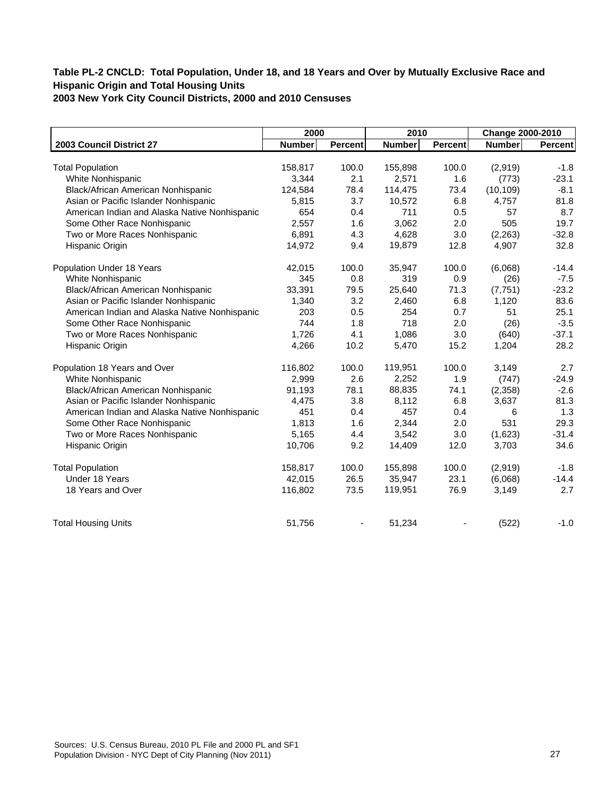|                                               | 2000          |         | 2010          |                | Change 2000-2010 |                |
|-----------------------------------------------|---------------|---------|---------------|----------------|------------------|----------------|
| 2003 Council District 27                      | <b>Number</b> | Percent | <b>Number</b> | <b>Percent</b> | Number           | <b>Percent</b> |
|                                               |               |         |               |                |                  |                |
| <b>Total Population</b>                       | 158,817       | 100.0   | 155,898       | 100.0          | (2,919)          | $-1.8$         |
| White Nonhispanic                             | 3,344         | 2.1     | 2,571         | 1.6            | (773)            | $-23.1$        |
| Black/African American Nonhispanic            | 124,584       | 78.4    | 114,475       | 73.4           | (10, 109)        | $-8.1$         |
| Asian or Pacific Islander Nonhispanic         | 5,815         | 3.7     | 10,572        | 6.8            | 4,757            | 81.8           |
| American Indian and Alaska Native Nonhispanic | 654           | 0.4     | 711           | 0.5            | 57               | 8.7            |
| Some Other Race Nonhispanic                   | 2,557         | 1.6     | 3,062         | 2.0            | 505              | 19.7           |
| Two or More Races Nonhispanic                 | 6,891         | 4.3     | 4,628         | 3.0            | (2,263)          | $-32.8$        |
| Hispanic Origin                               | 14,972        | 9.4     | 19,879        | 12.8           | 4,907            | 32.8           |
| Population Under 18 Years                     | 42,015        | 100.0   | 35,947        | 100.0          | (6,068)          | $-14.4$        |
| White Nonhispanic                             | 345           | 0.8     | 319           | 0.9            | (26)             | $-7.5$         |
| Black/African American Nonhispanic            | 33,391        | 79.5    | 25,640        | 71.3           | (7, 751)         | $-23.2$        |
| Asian or Pacific Islander Nonhispanic         | 1,340         | 3.2     | 2,460         | 6.8            | 1,120            | 83.6           |
| American Indian and Alaska Native Nonhispanic | 203           | 0.5     | 254           | 0.7            | 51               | 25.1           |
| Some Other Race Nonhispanic                   | 744           | 1.8     | 718           | 2.0            | (26)             | $-3.5$         |
| Two or More Races Nonhispanic                 | 1,726         | 4.1     | 1,086         | 3.0            | (640)            | $-37.1$        |
| Hispanic Origin                               | 4,266         | 10.2    | 5,470         | 15.2           | 1,204            | 28.2           |
| Population 18 Years and Over                  | 116,802       | 100.0   | 119,951       | 100.0          | 3,149            | 2.7            |
| White Nonhispanic                             | 2,999         | 2.6     | 2,252         | 1.9            | (747)            | $-24.9$        |
| Black/African American Nonhispanic            | 91,193        | 78.1    | 88,835        | 74.1           | (2,358)          | $-2.6$         |
| Asian or Pacific Islander Nonhispanic         | 4,475         | 3.8     | 8,112         | 6.8            | 3,637            | 81.3           |
| American Indian and Alaska Native Nonhispanic | 451           | 0.4     | 457           | 0.4            | 6                | 1.3            |
| Some Other Race Nonhispanic                   | 1,813         | 1.6     | 2,344         | 2.0            | 531              | 29.3           |
| Two or More Races Nonhispanic                 | 5,165         | 4.4     | 3,542         | 3.0            | (1,623)          | $-31.4$        |
| Hispanic Origin                               | 10,706        | 9.2     | 14,409        | 12.0           | 3,703            | 34.6           |
| <b>Total Population</b>                       | 158,817       | 100.0   | 155,898       | 100.0          | (2,919)          | $-1.8$         |
| Under 18 Years                                | 42,015        | 26.5    | 35,947        | 23.1           | (6,068)          | $-14.4$        |
| 18 Years and Over                             | 116,802       | 73.5    | 119,951       | 76.9           | 3,149            | 2.7            |
| <b>Total Housing Units</b>                    | 51,756        |         | 51,234        |                | (522)            | $-1.0$         |
|                                               |               |         |               |                |                  |                |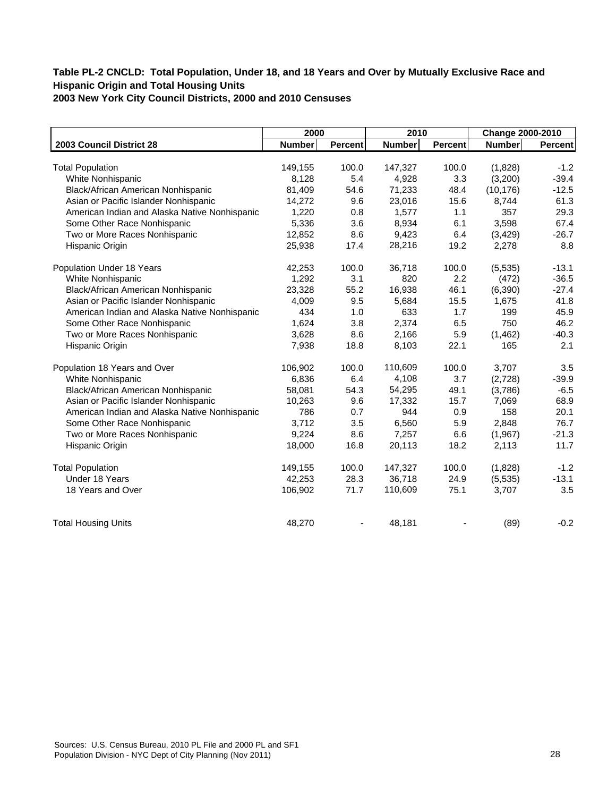|                                               | 2000          |                | 2010          |                | Change 2000-2010 |         |
|-----------------------------------------------|---------------|----------------|---------------|----------------|------------------|---------|
| 2003 Council District 28                      | <b>Number</b> | <b>Percent</b> | <b>Number</b> | <b>Percent</b> | <b>Number</b>    | Percent |
|                                               |               |                |               |                |                  |         |
| <b>Total Population</b>                       | 149,155       | 100.0          | 147,327       | 100.0          | (1,828)          | $-1.2$  |
| White Nonhispanic                             | 8,128         | 5.4            | 4,928         | 3.3            | (3,200)          | $-39.4$ |
| Black/African American Nonhispanic            | 81,409        | 54.6           | 71,233        | 48.4           | (10, 176)        | $-12.5$ |
| Asian or Pacific Islander Nonhispanic         | 14,272        | 9.6            | 23,016        | 15.6           | 8,744            | 61.3    |
| American Indian and Alaska Native Nonhispanic | 1.220         | 0.8            | 1,577         | 1.1            | 357              | 29.3    |
| Some Other Race Nonhispanic                   | 5,336         | 3.6            | 8,934         | 6.1            | 3,598            | 67.4    |
| Two or More Races Nonhispanic                 | 12,852        | 8.6            | 9,423         | 6.4            | (3, 429)         | $-26.7$ |
| Hispanic Origin                               | 25,938        | 17.4           | 28,216        | 19.2           | 2,278            | 8.8     |
| Population Under 18 Years                     | 42,253        | 100.0          | 36,718        | 100.0          | (5,535)          | $-13.1$ |
| White Nonhispanic                             | 1,292         | 3.1            | 820           | 2.2            | (472)            | $-36.5$ |
| Black/African American Nonhispanic            | 23,328        | 55.2           | 16,938        | 46.1           | (6,390)          | $-27.4$ |
| Asian or Pacific Islander Nonhispanic         | 4,009         | 9.5            | 5,684         | 15.5           | 1,675            | 41.8    |
| American Indian and Alaska Native Nonhispanic | 434           | 1.0            | 633           | 1.7            | 199              | 45.9    |
| Some Other Race Nonhispanic                   | 1,624         | 3.8            | 2,374         | 6.5            | 750              | 46.2    |
| Two or More Races Nonhispanic                 | 3,628         | 8.6            | 2,166         | 5.9            | (1, 462)         | $-40.3$ |
| Hispanic Origin                               | 7,938         | 18.8           | 8,103         | 22.1           | 165              | 2.1     |
| Population 18 Years and Over                  | 106.902       | 100.0          | 110,609       | 100.0          | 3,707            | 3.5     |
| White Nonhispanic                             | 6,836         | 6.4            | 4,108         | 3.7            | (2,728)          | $-39.9$ |
| Black/African American Nonhispanic            | 58,081        | 54.3           | 54,295        | 49.1           | (3,786)          | $-6.5$  |
| Asian or Pacific Islander Nonhispanic         | 10,263        | 9.6            | 17,332        | 15.7           | 7,069            | 68.9    |
| American Indian and Alaska Native Nonhispanic | 786           | 0.7            | 944           | 0.9            | 158              | 20.1    |
| Some Other Race Nonhispanic                   | 3,712         | 3.5            | 6,560         | 5.9            | 2,848            | 76.7    |
| Two or More Races Nonhispanic                 | 9,224         | 8.6            | 7,257         | 6.6            | (1,967)          | $-21.3$ |
| Hispanic Origin                               | 18,000        | 16.8           | 20,113        | 18.2           | 2,113            | 11.7    |
| <b>Total Population</b>                       | 149,155       | 100.0          | 147,327       | 100.0          | (1,828)          | $-1.2$  |
| Under 18 Years                                | 42,253        | 28.3           | 36,718        | 24.9           | (5,535)          | $-13.1$ |
| 18 Years and Over                             | 106,902       | 71.7           | 110,609       | 75.1           | 3,707            | 3.5     |
| <b>Total Housing Units</b>                    | 48,270        |                | 48,181        |                | (89)             | $-0.2$  |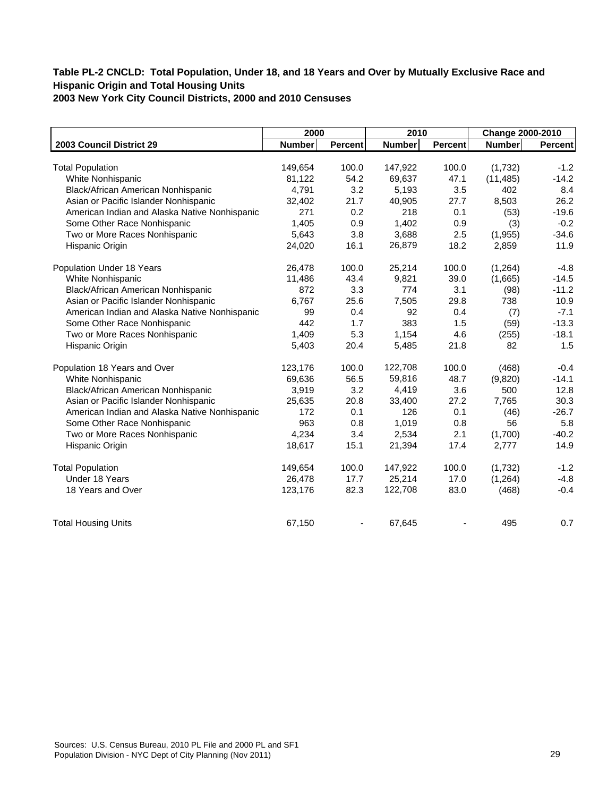|                                               | 2000          |                | 2010          |                | Change 2000-2010 |         |
|-----------------------------------------------|---------------|----------------|---------------|----------------|------------------|---------|
| 2003 Council District 29                      | <b>Number</b> | <b>Percent</b> | <b>Number</b> | <b>Percent</b> | <b>Number</b>    | Percent |
|                                               |               |                |               |                |                  |         |
| <b>Total Population</b>                       | 149,654       | 100.0          | 147,922       | 100.0          | (1,732)          | $-1.2$  |
| White Nonhispanic                             | 81,122        | 54.2           | 69,637        | 47.1           | (11, 485)        | $-14.2$ |
| Black/African American Nonhispanic            | 4,791         | 3.2            | 5,193         | 3.5            | 402              | 8.4     |
| Asian or Pacific Islander Nonhispanic         | 32,402        | 21.7           | 40,905        | 27.7           | 8,503            | 26.2    |
| American Indian and Alaska Native Nonhispanic | 271           | 0.2            | 218           | 0.1            | (53)             | $-19.6$ |
| Some Other Race Nonhispanic                   | 1,405         | 0.9            | 1,402         | 0.9            | (3)              | $-0.2$  |
| Two or More Races Nonhispanic                 | 5,643         | 3.8            | 3,688         | 2.5            | (1,955)          | $-34.6$ |
| Hispanic Origin                               | 24,020        | 16.1           | 26,879        | 18.2           | 2,859            | 11.9    |
| Population Under 18 Years                     | 26,478        | 100.0          | 25,214        | 100.0          | (1, 264)         | $-4.8$  |
| White Nonhispanic                             | 11,486        | 43.4           | 9,821         | 39.0           | (1,665)          | $-14.5$ |
| Black/African American Nonhispanic            | 872           | 3.3            | 774           | 3.1            | (98)             | $-11.2$ |
| Asian or Pacific Islander Nonhispanic         | 6,767         | 25.6           | 7,505         | 29.8           | 738              | 10.9    |
| American Indian and Alaska Native Nonhispanic | 99            | 0.4            | 92            | 0.4            | (7)              | $-7.1$  |
| Some Other Race Nonhispanic                   | 442           | 1.7            | 383           | 1.5            | (59)             | $-13.3$ |
| Two or More Races Nonhispanic                 | 1,409         | 5.3            | 1,154         | 4.6            | (255)            | $-18.1$ |
| Hispanic Origin                               | 5,403         | 20.4           | 5,485         | 21.8           | 82               | 1.5     |
| Population 18 Years and Over                  | 123,176       | 100.0          | 122,708       | 100.0          | (468)            | $-0.4$  |
| White Nonhispanic                             | 69,636        | 56.5           | 59,816        | 48.7           | (9,820)          | $-14.1$ |
| Black/African American Nonhispanic            | 3,919         | 3.2            | 4,419         | 3.6            | 500              | 12.8    |
| Asian or Pacific Islander Nonhispanic         | 25,635        | 20.8           | 33,400        | 27.2           | 7,765            | 30.3    |
| American Indian and Alaska Native Nonhispanic | 172           | 0.1            | 126           | 0.1            | (46)             | $-26.7$ |
| Some Other Race Nonhispanic                   | 963           | 0.8            | 1,019         | 0.8            | 56               | 5.8     |
| Two or More Races Nonhispanic                 | 4,234         | 3.4            | 2,534         | 2.1            | (1,700)          | $-40.2$ |
| Hispanic Origin                               | 18,617        | 15.1           | 21,394        | 17.4           | 2,777            | 14.9    |
| <b>Total Population</b>                       | 149,654       | 100.0          | 147,922       | 100.0          | (1,732)          | $-1.2$  |
| Under 18 Years                                | 26,478        | 17.7           | 25,214        | 17.0           | (1,264)          | $-4.8$  |
| 18 Years and Over                             | 123,176       | 82.3           | 122,708       | 83.0           | (468)            | $-0.4$  |
| <b>Total Housing Units</b>                    | 67,150        |                | 67,645        |                | 495              | 0.7     |
|                                               |               |                |               |                |                  |         |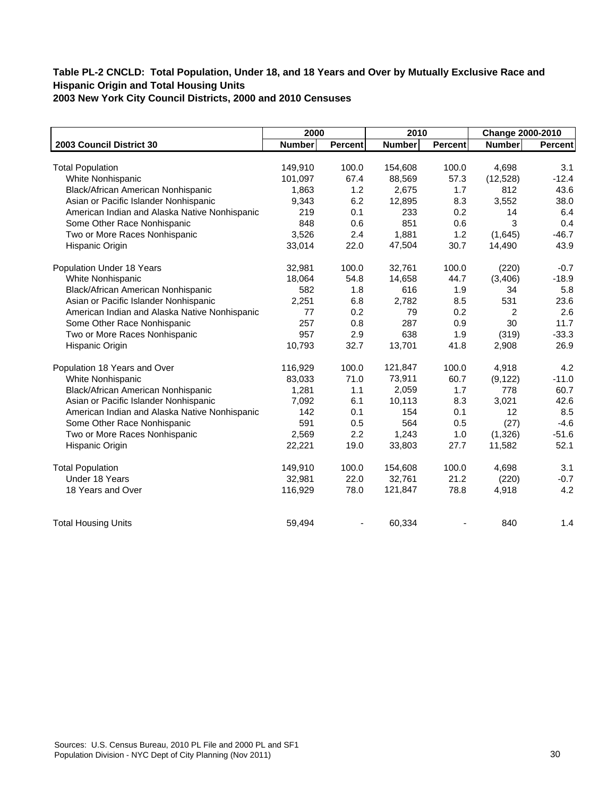|                                               | 2000          |         | 2010          |                | Change 2000-2010 |         |
|-----------------------------------------------|---------------|---------|---------------|----------------|------------------|---------|
| 2003 Council District 30                      | <b>Number</b> | Percent | <b>Number</b> | <b>Percent</b> | <b>Number</b>    | Percent |
|                                               |               |         |               |                |                  |         |
| <b>Total Population</b>                       | 149,910       | 100.0   | 154,608       | 100.0          | 4,698            | 3.1     |
| White Nonhispanic                             | 101,097       | 67.4    | 88,569        | 57.3           | (12, 528)        | $-12.4$ |
| Black/African American Nonhispanic            | 1,863         | 1.2     | 2,675         | 1.7            | 812              | 43.6    |
| Asian or Pacific Islander Nonhispanic         | 9,343         | 6.2     | 12,895        | 8.3            | 3,552            | 38.0    |
| American Indian and Alaska Native Nonhispanic | 219           | 0.1     | 233           | 0.2            | 14               | 6.4     |
| Some Other Race Nonhispanic                   | 848           | 0.6     | 851           | 0.6            | 3                | 0.4     |
| Two or More Races Nonhispanic                 | 3,526         | 2.4     | 1,881         | 1.2            | (1,645)          | $-46.7$ |
| Hispanic Origin                               | 33,014        | 22.0    | 47,504        | 30.7           | 14,490           | 43.9    |
| Population Under 18 Years                     | 32,981        | 100.0   | 32,761        | 100.0          | (220)            | $-0.7$  |
| White Nonhispanic                             | 18,064        | 54.8    | 14,658        | 44.7           | (3,406)          | $-18.9$ |
| Black/African American Nonhispanic            | 582           | 1.8     | 616           | 1.9            | 34               | 5.8     |
| Asian or Pacific Islander Nonhispanic         | 2,251         | 6.8     | 2,782         | 8.5            | 531              | 23.6    |
| American Indian and Alaska Native Nonhispanic | 77            | 0.2     | 79            | 0.2            | 2                | 2.6     |
| Some Other Race Nonhispanic                   | 257           | 0.8     | 287           | 0.9            | 30               | 11.7    |
| Two or More Races Nonhispanic                 | 957           | 2.9     | 638           | 1.9            | (319)            | $-33.3$ |
| Hispanic Origin                               | 10,793        | 32.7    | 13,701        | 41.8           | 2,908            | 26.9    |
| Population 18 Years and Over                  | 116,929       | 100.0   | 121,847       | 100.0          | 4,918            | 4.2     |
| White Nonhispanic                             | 83,033        | 71.0    | 73,911        | 60.7           | (9, 122)         | $-11.0$ |
| Black/African American Nonhispanic            | 1,281         | 1.1     | 2,059         | 1.7            | 778              | 60.7    |
| Asian or Pacific Islander Nonhispanic         | 7,092         | 6.1     | 10,113        | 8.3            | 3,021            | 42.6    |
| American Indian and Alaska Native Nonhispanic | 142           | 0.1     | 154           | 0.1            | 12               | 8.5     |
| Some Other Race Nonhispanic                   | 591           | 0.5     | 564           | 0.5            | (27)             | $-4.6$  |
| Two or More Races Nonhispanic                 | 2,569         | 2.2     | 1,243         | 1.0            | (1,326)          | $-51.6$ |
| Hispanic Origin                               | 22,221        | 19.0    | 33,803        | 27.7           | 11,582           | 52.1    |
| <b>Total Population</b>                       | 149,910       | 100.0   | 154,608       | 100.0          | 4,698            | 3.1     |
| Under 18 Years                                | 32,981        | 22.0    | 32,761        | 21.2           | (220)            | $-0.7$  |
| 18 Years and Over                             | 116,929       | 78.0    | 121,847       | 78.8           | 4,918            | 4.2     |
| <b>Total Housing Units</b>                    | 59,494        |         | 60,334        |                | 840              | 1.4     |
|                                               |               |         |               |                |                  |         |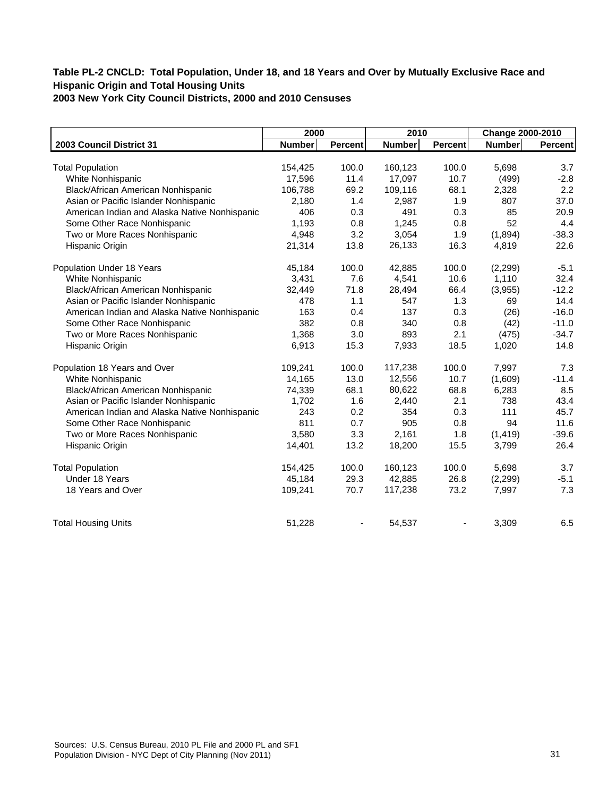|                                               | 2000          |                | 2010          |                | Change 2000-2010 |         |
|-----------------------------------------------|---------------|----------------|---------------|----------------|------------------|---------|
| 2003 Council District 31                      | <b>Number</b> | <b>Percent</b> | <b>Number</b> | <b>Percent</b> | <b>Number</b>    | Percent |
|                                               |               |                |               |                |                  |         |
| <b>Total Population</b>                       | 154,425       | 100.0          | 160,123       | 100.0          | 5,698            | 3.7     |
| White Nonhispanic                             | 17,596        | 11.4           | 17,097        | 10.7           | (499)            | $-2.8$  |
| Black/African American Nonhispanic            | 106,788       | 69.2           | 109,116       | 68.1           | 2,328            | 2.2     |
| Asian or Pacific Islander Nonhispanic         | 2,180         | 1.4            | 2,987         | 1.9            | 807              | 37.0    |
| American Indian and Alaska Native Nonhispanic | 406           | 0.3            | 491           | 0.3            | 85               | 20.9    |
| Some Other Race Nonhispanic                   | 1,193         | 0.8            | 1,245         | 0.8            | 52               | 4.4     |
| Two or More Races Nonhispanic                 | 4,948         | 3.2            | 3,054         | 1.9            | (1,894)          | $-38.3$ |
| Hispanic Origin                               | 21,314        | 13.8           | 26,133        | 16.3           | 4,819            | 22.6    |
| Population Under 18 Years                     | 45,184        | 100.0          | 42,885        | 100.0          | (2, 299)         | $-5.1$  |
| White Nonhispanic                             | 3,431         | 7.6            | 4,541         | 10.6           | 1,110            | 32.4    |
| Black/African American Nonhispanic            | 32,449        | 71.8           | 28,494        | 66.4           | (3,955)          | $-12.2$ |
| Asian or Pacific Islander Nonhispanic         | 478           | 1.1            | 547           | 1.3            | 69               | 14.4    |
| American Indian and Alaska Native Nonhispanic | 163           | 0.4            | 137           | 0.3            | (26)             | $-16.0$ |
| Some Other Race Nonhispanic                   | 382           | 0.8            | 340           | 0.8            | (42)             | $-11.0$ |
| Two or More Races Nonhispanic                 | 1,368         | 3.0            | 893           | 2.1            | (475)            | $-34.7$ |
| Hispanic Origin                               | 6,913         | 15.3           | 7,933         | 18.5           | 1,020            | 14.8    |
| Population 18 Years and Over                  | 109,241       | 100.0          | 117,238       | 100.0          | 7,997            | 7.3     |
| White Nonhispanic                             | 14,165        | 13.0           | 12,556        | 10.7           | (1,609)          | $-11.4$ |
| Black/African American Nonhispanic            | 74,339        | 68.1           | 80,622        | 68.8           | 6,283            | 8.5     |
| Asian or Pacific Islander Nonhispanic         | 1,702         | 1.6            | 2,440         | 2.1            | 738              | 43.4    |
| American Indian and Alaska Native Nonhispanic | 243           | 0.2            | 354           | 0.3            | 111              | 45.7    |
| Some Other Race Nonhispanic                   | 811           | 0.7            | 905           | 0.8            | 94               | 11.6    |
| Two or More Races Nonhispanic                 | 3,580         | 3.3            | 2,161         | 1.8            | (1, 419)         | $-39.6$ |
| Hispanic Origin                               | 14,401        | 13.2           | 18,200        | 15.5           | 3,799            | 26.4    |
| <b>Total Population</b>                       | 154,425       | 100.0          | 160,123       | 100.0          | 5,698            | 3.7     |
| Under 18 Years                                | 45,184        | 29.3           | 42,885        | 26.8           | (2, 299)         | $-5.1$  |
| 18 Years and Over                             | 109,241       | 70.7           | 117,238       | 73.2           | 7,997            | 7.3     |
| <b>Total Housing Units</b>                    | 51,228        |                | 54,537        |                | 3,309            | 6.5     |
|                                               |               |                |               |                |                  |         |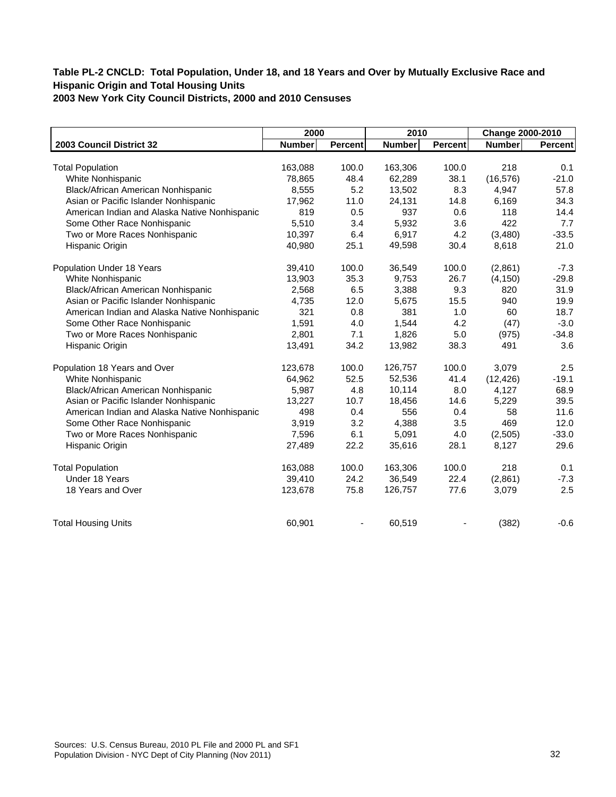|                                               | 2000          |                | 2010          |                | Change 2000-2010 |         |
|-----------------------------------------------|---------------|----------------|---------------|----------------|------------------|---------|
| 2003 Council District 32                      | <b>Number</b> | <b>Percent</b> | <b>Number</b> | <b>Percent</b> | <b>Number</b>    | Percent |
|                                               |               |                |               |                |                  |         |
| <b>Total Population</b>                       | 163,088       | 100.0          | 163,306       | 100.0          | 218              | 0.1     |
| White Nonhispanic                             | 78,865        | 48.4           | 62,289        | 38.1           | (16, 576)        | $-21.0$ |
| Black/African American Nonhispanic            | 8,555         | 5.2            | 13,502        | 8.3            | 4,947            | 57.8    |
| Asian or Pacific Islander Nonhispanic         | 17,962        | 11.0           | 24,131        | 14.8           | 6,169            | 34.3    |
| American Indian and Alaska Native Nonhispanic | 819           | 0.5            | 937           | 0.6            | 118              | 14.4    |
| Some Other Race Nonhispanic                   | 5,510         | 3.4            | 5,932         | 3.6            | 422              | 7.7     |
| Two or More Races Nonhispanic                 | 10,397        | 6.4            | 6,917         | 4.2            | (3,480)          | $-33.5$ |
| Hispanic Origin                               | 40,980        | 25.1           | 49,598        | 30.4           | 8,618            | 21.0    |
| Population Under 18 Years                     | 39,410        | 100.0          | 36,549        | 100.0          | (2,861)          | $-7.3$  |
| White Nonhispanic                             | 13,903        | 35.3           | 9,753         | 26.7           | (4, 150)         | $-29.8$ |
| Black/African American Nonhispanic            | 2,568         | 6.5            | 3,388         | 9.3            | 820              | 31.9    |
| Asian or Pacific Islander Nonhispanic         | 4,735         | 12.0           | 5,675         | 15.5           | 940              | 19.9    |
| American Indian and Alaska Native Nonhispanic | 321           | 0.8            | 381           | 1.0            | 60               | 18.7    |
| Some Other Race Nonhispanic                   | 1,591         | 4.0            | 1,544         | 4.2            | (47)             | $-3.0$  |
| Two or More Races Nonhispanic                 | 2,801         | 7.1            | 1,826         | 5.0            | (975)            | $-34.8$ |
| Hispanic Origin                               | 13,491        | 34.2           | 13,982        | 38.3           | 491              | 3.6     |
| Population 18 Years and Over                  | 123,678       | 100.0          | 126,757       | 100.0          | 3,079            | 2.5     |
| White Nonhispanic                             | 64,962        | 52.5           | 52,536        | 41.4           | (12, 426)        | $-19.1$ |
| Black/African American Nonhispanic            | 5,987         | 4.8            | 10,114        | 8.0            | 4,127            | 68.9    |
| Asian or Pacific Islander Nonhispanic         | 13,227        | 10.7           | 18,456        | 14.6           | 5,229            | 39.5    |
| American Indian and Alaska Native Nonhispanic | 498           | 0.4            | 556           | 0.4            | 58               | 11.6    |
| Some Other Race Nonhispanic                   | 3,919         | 3.2            | 4,388         | 3.5            | 469              | 12.0    |
| Two or More Races Nonhispanic                 | 7,596         | 6.1            | 5,091         | 4.0            | (2,505)          | $-33.0$ |
| Hispanic Origin                               | 27,489        | 22.2           | 35,616        | 28.1           | 8,127            | 29.6    |
| <b>Total Population</b>                       | 163,088       | 100.0          | 163,306       | 100.0          | 218              | 0.1     |
| Under 18 Years                                | 39,410        | 24.2           | 36,549        | 22.4           | (2,861)          | $-7.3$  |
| 18 Years and Over                             | 123,678       | 75.8           | 126,757       | 77.6           | 3,079            | 2.5     |
| <b>Total Housing Units</b>                    | 60,901        |                | 60,519        |                | (382)            | $-0.6$  |
|                                               |               |                |               |                |                  |         |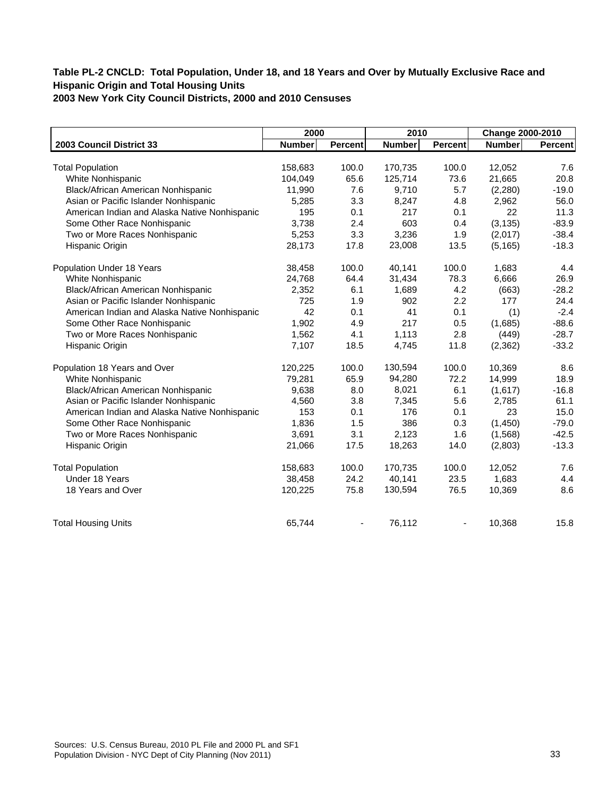|                                               | 2000          |                | 2010          |                | Change 2000-2010 |         |
|-----------------------------------------------|---------------|----------------|---------------|----------------|------------------|---------|
| 2003 Council District 33                      | <b>Number</b> | <b>Percent</b> | <b>Number</b> | <b>Percent</b> | <b>Number</b>    | Percent |
|                                               |               |                |               |                |                  |         |
| <b>Total Population</b>                       | 158,683       | 100.0          | 170,735       | 100.0          | 12,052           | 7.6     |
| White Nonhispanic                             | 104,049       | 65.6           | 125,714       | 73.6           | 21,665           | 20.8    |
| Black/African American Nonhispanic            | 11,990        | 7.6            | 9,710         | 5.7            | (2,280)          | $-19.0$ |
| Asian or Pacific Islander Nonhispanic         | 5,285         | 3.3            | 8,247         | 4.8            | 2,962            | 56.0    |
| American Indian and Alaska Native Nonhispanic | 195           | 0.1            | 217           | 0.1            | 22               | 11.3    |
| Some Other Race Nonhispanic                   | 3,738         | 2.4            | 603           | 0.4            | (3, 135)         | $-83.9$ |
| Two or More Races Nonhispanic                 | 5,253         | 3.3            | 3,236         | 1.9            | (2,017)          | $-38.4$ |
| Hispanic Origin                               | 28,173        | 17.8           | 23,008        | 13.5           | (5, 165)         | $-18.3$ |
| Population Under 18 Years                     | 38,458        | 100.0          | 40,141        | 100.0          | 1,683            | 4.4     |
| White Nonhispanic                             | 24,768        | 64.4           | 31,434        | 78.3           | 6,666            | 26.9    |
| Black/African American Nonhispanic            | 2,352         | 6.1            | 1,689         | 4.2            | (663)            | $-28.2$ |
| Asian or Pacific Islander Nonhispanic         | 725           | 1.9            | 902           | 2.2            | 177              | 24.4    |
| American Indian and Alaska Native Nonhispanic | 42            | 0.1            | 41            | 0.1            | (1)              | $-2.4$  |
| Some Other Race Nonhispanic                   | 1,902         | 4.9            | 217           | 0.5            | (1,685)          | $-88.6$ |
| Two or More Races Nonhispanic                 | 1,562         | 4.1            | 1,113         | 2.8            | (449)            | $-28.7$ |
| Hispanic Origin                               | 7,107         | 18.5           | 4,745         | 11.8           | (2, 362)         | $-33.2$ |
| Population 18 Years and Over                  | 120,225       | 100.0          | 130,594       | 100.0          | 10,369           | 8.6     |
| White Nonhispanic                             | 79,281        | 65.9           | 94,280        | 72.2           | 14,999           | 18.9    |
| Black/African American Nonhispanic            | 9,638         | 8.0            | 8,021         | 6.1            | (1,617)          | $-16.8$ |
| Asian or Pacific Islander Nonhispanic         | 4,560         | 3.8            | 7,345         | 5.6            | 2,785            | 61.1    |
| American Indian and Alaska Native Nonhispanic | 153           | 0.1            | 176           | 0.1            | 23               | 15.0    |
| Some Other Race Nonhispanic                   | 1,836         | 1.5            | 386           | 0.3            | (1,450)          | $-79.0$ |
| Two or More Races Nonhispanic                 | 3,691         | 3.1            | 2,123         | 1.6            | (1, 568)         | $-42.5$ |
| Hispanic Origin                               | 21,066        | 17.5           | 18,263        | 14.0           | (2,803)          | $-13.3$ |
| <b>Total Population</b>                       | 158,683       | 100.0          | 170,735       | 100.0          | 12,052           | 7.6     |
| Under 18 Years                                | 38,458        | 24.2           | 40,141        | 23.5           | 1,683            | 4.4     |
| 18 Years and Over                             | 120,225       | 75.8           | 130,594       | 76.5           | 10,369           | 8.6     |
| <b>Total Housing Units</b>                    | 65,744        |                | 76,112        |                | 10,368           | 15.8    |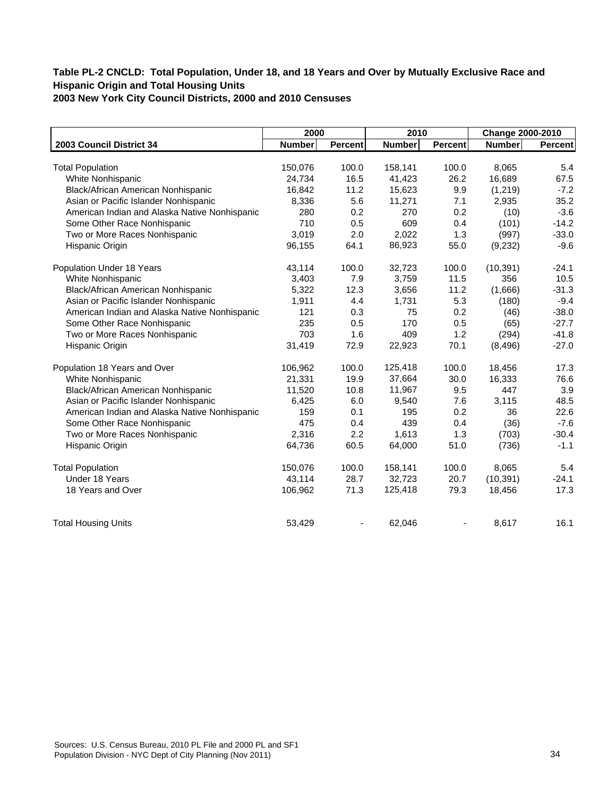|                                               | 2000          |                | 2010          |                | Change 2000-2010 |         |
|-----------------------------------------------|---------------|----------------|---------------|----------------|------------------|---------|
| 2003 Council District 34                      | <b>Number</b> | <b>Percent</b> | <b>Number</b> | <b>Percent</b> | <b>Number</b>    | Percent |
|                                               |               |                |               |                |                  |         |
| <b>Total Population</b>                       | 150,076       | 100.0          | 158,141       | 100.0          | 8,065            | 5.4     |
| White Nonhispanic                             | 24,734        | 16.5           | 41,423        | 26.2           | 16,689           | 67.5    |
| Black/African American Nonhispanic            | 16,842        | 11.2           | 15,623        | 9.9            | (1,219)          | $-7.2$  |
| Asian or Pacific Islander Nonhispanic         | 8,336         | 5.6            | 11,271        | 7.1            | 2,935            | 35.2    |
| American Indian and Alaska Native Nonhispanic | 280           | 0.2            | 270           | 0.2            | (10)             | $-3.6$  |
| Some Other Race Nonhispanic                   | 710           | 0.5            | 609           | 0.4            | (101)            | $-14.2$ |
| Two or More Races Nonhispanic                 | 3,019         | 2.0            | 2,022         | 1.3            | (997)            | $-33.0$ |
| Hispanic Origin                               | 96,155        | 64.1           | 86,923        | 55.0           | (9, 232)         | $-9.6$  |
| Population Under 18 Years                     | 43,114        | 100.0          | 32,723        | 100.0          | (10, 391)        | $-24.1$ |
| White Nonhispanic                             | 3,403         | 7.9            | 3,759         | 11.5           | 356              | 10.5    |
| Black/African American Nonhispanic            | 5,322         | 12.3           | 3,656         | 11.2           | (1,666)          | $-31.3$ |
| Asian or Pacific Islander Nonhispanic         | 1,911         | 4.4            | 1,731         | 5.3            | (180)            | $-9.4$  |
| American Indian and Alaska Native Nonhispanic | 121           | 0.3            | 75            | 0.2            | (46)             | $-38.0$ |
| Some Other Race Nonhispanic                   | 235           | 0.5            | 170           | 0.5            | (65)             | $-27.7$ |
| Two or More Races Nonhispanic                 | 703           | 1.6            | 409           | 1.2            | (294)            | $-41.8$ |
| Hispanic Origin                               | 31,419        | 72.9           | 22,923        | 70.1           | (8, 496)         | $-27.0$ |
| Population 18 Years and Over                  | 106,962       | 100.0          | 125,418       | 100.0          | 18,456           | 17.3    |
| White Nonhispanic                             | 21,331        | 19.9           | 37,664        | 30.0           | 16,333           | 76.6    |
| Black/African American Nonhispanic            | 11,520        | 10.8           | 11,967        | 9.5            | 447              | 3.9     |
| Asian or Pacific Islander Nonhispanic         | 6,425         | 6.0            | 9,540         | 7.6            | 3,115            | 48.5    |
| American Indian and Alaska Native Nonhispanic | 159           | 0.1            | 195           | 0.2            | 36               | 22.6    |
| Some Other Race Nonhispanic                   | 475           | 0.4            | 439           | 0.4            | (36)             | $-7.6$  |
| Two or More Races Nonhispanic                 | 2,316         | 2.2            | 1,613         | 1.3            | (703)            | $-30.4$ |
| Hispanic Origin                               | 64,736        | 60.5           | 64,000        | 51.0           | (736)            | $-1.1$  |
| <b>Total Population</b>                       | 150,076       | 100.0          | 158,141       | 100.0          | 8,065            | 5.4     |
| Under 18 Years                                | 43,114        | 28.7           | 32,723        | 20.7           | (10, 391)        | $-24.1$ |
| 18 Years and Over                             | 106,962       | 71.3           | 125,418       | 79.3           | 18,456           | 17.3    |
| <b>Total Housing Units</b>                    | 53,429        |                | 62,046        |                | 8,617            | 16.1    |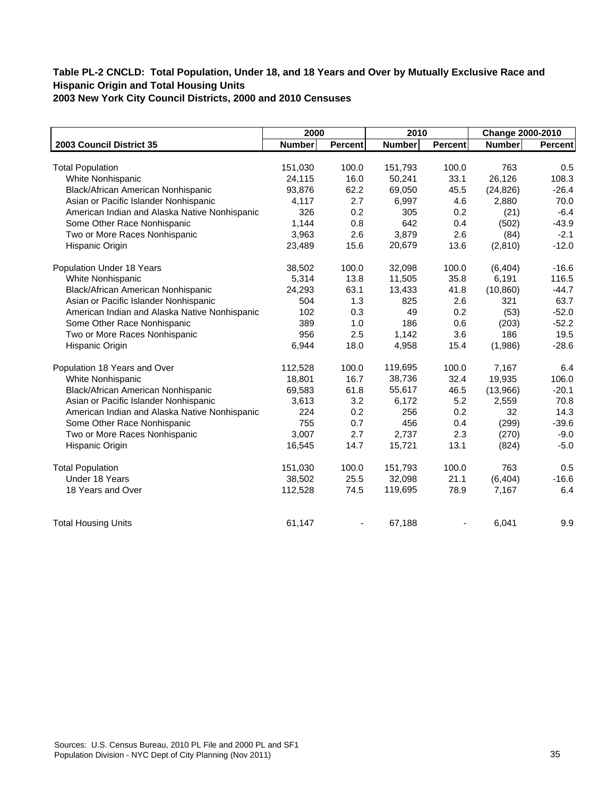|                                               | 2000          |                | 2010          |                | Change 2000-2010 |         |
|-----------------------------------------------|---------------|----------------|---------------|----------------|------------------|---------|
| 2003 Council District 35                      | <b>Number</b> | <b>Percent</b> | <b>Number</b> | <b>Percent</b> | <b>Number</b>    | Percent |
|                                               |               |                |               |                |                  |         |
| <b>Total Population</b>                       | 151,030       | 100.0          | 151,793       | 100.0          | 763              | 0.5     |
| White Nonhispanic                             | 24,115        | 16.0           | 50,241        | 33.1           | 26,126           | 108.3   |
| Black/African American Nonhispanic            | 93,876        | 62.2           | 69,050        | 45.5           | (24, 826)        | $-26.4$ |
| Asian or Pacific Islander Nonhispanic         | 4,117         | 2.7            | 6,997         | 4.6            | 2,880            | 70.0    |
| American Indian and Alaska Native Nonhispanic | 326           | 0.2            | 305           | 0.2            | (21)             | $-6.4$  |
| Some Other Race Nonhispanic                   | 1,144         | 0.8            | 642           | 0.4            | (502)            | $-43.9$ |
| Two or More Races Nonhispanic                 | 3,963         | 2.6            | 3,879         | 2.6            | (84)             | $-2.1$  |
| Hispanic Origin                               | 23,489        | 15.6           | 20,679        | 13.6           | (2,810)          | $-12.0$ |
| Population Under 18 Years                     | 38,502        | 100.0          | 32,098        | 100.0          | (6, 404)         | $-16.6$ |
| White Nonhispanic                             | 5,314         | 13.8           | 11,505        | 35.8           | 6,191            | 116.5   |
| Black/African American Nonhispanic            | 24,293        | 63.1           | 13,433        | 41.8           | (10, 860)        | $-44.7$ |
| Asian or Pacific Islander Nonhispanic         | 504           | 1.3            | 825           | 2.6            | 321              | 63.7    |
| American Indian and Alaska Native Nonhispanic | 102           | 0.3            | 49            | 0.2            | (53)             | $-52.0$ |
| Some Other Race Nonhispanic                   | 389           | 1.0            | 186           | 0.6            | (203)            | $-52.2$ |
| Two or More Races Nonhispanic                 | 956           | 2.5            | 1,142         | 3.6            | 186              | 19.5    |
| Hispanic Origin                               | 6,944         | 18.0           | 4,958         | 15.4           | (1,986)          | $-28.6$ |
| Population 18 Years and Over                  | 112,528       | 100.0          | 119,695       | 100.0          | 7,167            | 6.4     |
| White Nonhispanic                             | 18,801        | 16.7           | 38,736        | 32.4           | 19,935           | 106.0   |
| Black/African American Nonhispanic            | 69,583        | 61.8           | 55,617        | 46.5           | (13,966)         | $-20.1$ |
| Asian or Pacific Islander Nonhispanic         | 3,613         | 3.2            | 6,172         | 5.2            | 2,559            | 70.8    |
| American Indian and Alaska Native Nonhispanic | 224           | 0.2            | 256           | 0.2            | 32               | 14.3    |
| Some Other Race Nonhispanic                   | 755           | 0.7            | 456           | 0.4            | (299)            | $-39.6$ |
| Two or More Races Nonhispanic                 | 3,007         | 2.7            | 2,737         | 2.3            | (270)            | $-9.0$  |
| Hispanic Origin                               | 16,545        | 14.7           | 15,721        | 13.1           | (824)            | $-5.0$  |
| <b>Total Population</b>                       | 151,030       | 100.0          | 151,793       | 100.0          | 763              | 0.5     |
| Under 18 Years                                | 38,502        | 25.5           | 32,098        | 21.1           | (6, 404)         | $-16.6$ |
| 18 Years and Over                             | 112,528       | 74.5           | 119,695       | 78.9           | 7,167            | 6.4     |
| <b>Total Housing Units</b>                    | 61,147        |                | 67,188        |                | 6,041            | 9.9     |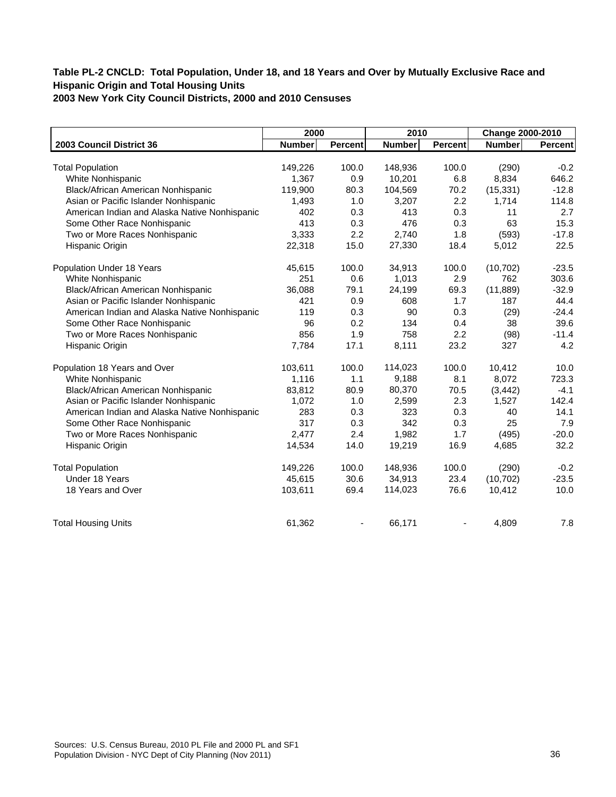|                                               | 2000          |         | 2010          |                | Change 2000-2010 |                |
|-----------------------------------------------|---------------|---------|---------------|----------------|------------------|----------------|
| 2003 Council District 36                      | <b>Number</b> | Percent | <b>Number</b> | <b>Percent</b> | Number           | <b>Percent</b> |
|                                               |               |         |               |                |                  |                |
| <b>Total Population</b>                       | 149,226       | 100.0   | 148,936       | 100.0          | (290)            | $-0.2$         |
| White Nonhispanic                             | 1,367         | 0.9     | 10,201        | 6.8            | 8,834            | 646.2          |
| Black/African American Nonhispanic            | 119,900       | 80.3    | 104,569       | 70.2           | (15, 331)        | $-12.8$        |
| Asian or Pacific Islander Nonhispanic         | 1,493         | 1.0     | 3,207         | 2.2            | 1,714            | 114.8          |
| American Indian and Alaska Native Nonhispanic | 402           | 0.3     | 413           | 0.3            | 11               | 2.7            |
| Some Other Race Nonhispanic                   | 413           | 0.3     | 476           | 0.3            | 63               | 15.3           |
| Two or More Races Nonhispanic                 | 3.333         | 2.2     | 2,740         | 1.8            | (593)            | $-17.8$        |
| Hispanic Origin                               | 22,318        | 15.0    | 27,330        | 18.4           | 5,012            | 22.5           |
| Population Under 18 Years                     | 45,615        | 100.0   | 34,913        | 100.0          | (10, 702)        | $-23.5$        |
| White Nonhispanic                             | 251           | 0.6     | 1,013         | 2.9            | 762              | 303.6          |
| Black/African American Nonhispanic            | 36,088        | 79.1    | 24,199        | 69.3           | (11, 889)        | $-32.9$        |
| Asian or Pacific Islander Nonhispanic         | 421           | 0.9     | 608           | 1.7            | 187              | 44.4           |
| American Indian and Alaska Native Nonhispanic | 119           | 0.3     | 90            | 0.3            | (29)             | $-24.4$        |
| Some Other Race Nonhispanic                   | 96            | 0.2     | 134           | 0.4            | 38               | 39.6           |
| Two or More Races Nonhispanic                 | 856           | 1.9     | 758           | 2.2            | (98)             | $-11.4$        |
| Hispanic Origin                               | 7,784         | 17.1    | 8,111         | 23.2           | 327              | 4.2            |
| Population 18 Years and Over                  | 103,611       | 100.0   | 114,023       | 100.0          | 10,412           | 10.0           |
| White Nonhispanic                             | 1,116         | 1.1     | 9,188         | 8.1            | 8,072            | 723.3          |
| Black/African American Nonhispanic            | 83,812        | 80.9    | 80,370        | 70.5           | (3, 442)         | $-4.1$         |
| Asian or Pacific Islander Nonhispanic         | 1,072         | 1.0     | 2,599         | 2.3            | 1,527            | 142.4          |
| American Indian and Alaska Native Nonhispanic | 283           | 0.3     | 323           | 0.3            | 40               | 14.1           |
| Some Other Race Nonhispanic                   | 317           | 0.3     | 342           | 0.3            | 25               | 7.9            |
| Two or More Races Nonhispanic                 | 2,477         | 2.4     | 1,982         | 1.7            | (495)            | $-20.0$        |
| Hispanic Origin                               | 14,534        | 14.0    | 19,219        | 16.9           | 4,685            | 32.2           |
| <b>Total Population</b>                       | 149,226       | 100.0   | 148,936       | 100.0          | (290)            | $-0.2$         |
| Under 18 Years                                | 45,615        | 30.6    | 34,913        | 23.4           | (10, 702)        | $-23.5$        |
| 18 Years and Over                             | 103,611       | 69.4    | 114,023       | 76.6           | 10,412           | 10.0           |
| <b>Total Housing Units</b>                    | 61,362        |         | 66,171        |                | 4,809            | 7.8            |
|                                               |               |         |               |                |                  |                |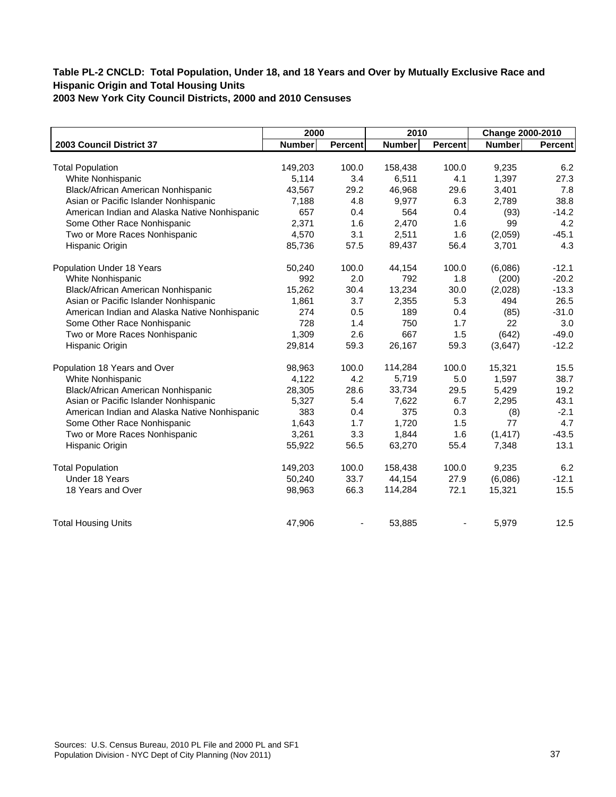|                                               | 2000          |                | 2010          |                | Change 2000-2010 |         |
|-----------------------------------------------|---------------|----------------|---------------|----------------|------------------|---------|
| 2003 Council District 37                      | <b>Number</b> | <b>Percent</b> | <b>Number</b> | <b>Percent</b> | <b>Number</b>    | Percent |
|                                               |               |                |               |                |                  |         |
| <b>Total Population</b>                       | 149,203       | 100.0          | 158,438       | 100.0          | 9,235            | 6.2     |
| White Nonhispanic                             | 5,114         | 3.4            | 6,511         | 4.1            | 1,397            | 27.3    |
| Black/African American Nonhispanic            | 43,567        | 29.2           | 46,968        | 29.6           | 3,401            | 7.8     |
| Asian or Pacific Islander Nonhispanic         | 7,188         | 4.8            | 9,977         | 6.3            | 2,789            | 38.8    |
| American Indian and Alaska Native Nonhispanic | 657           | 0.4            | 564           | 0.4            | (93)             | $-14.2$ |
| Some Other Race Nonhispanic                   | 2,371         | 1.6            | 2,470         | 1.6            | 99               | 4.2     |
| Two or More Races Nonhispanic                 | 4,570         | 3.1            | 2,511         | 1.6            | (2,059)          | $-45.1$ |
| Hispanic Origin                               | 85,736        | 57.5           | 89,437        | 56.4           | 3,701            | 4.3     |
| Population Under 18 Years                     | 50,240        | 100.0          | 44,154        | 100.0          | (6,086)          | $-12.1$ |
| White Nonhispanic                             | 992           | 2.0            | 792           | 1.8            | (200)            | $-20.2$ |
| Black/African American Nonhispanic            | 15,262        | 30.4           | 13,234        | 30.0           | (2,028)          | $-13.3$ |
| Asian or Pacific Islander Nonhispanic         | 1,861         | 3.7            | 2,355         | 5.3            | 494              | 26.5    |
| American Indian and Alaska Native Nonhispanic | 274           | 0.5            | 189           | 0.4            | (85)             | $-31.0$ |
| Some Other Race Nonhispanic                   | 728           | 1.4            | 750           | 1.7            | 22               | 3.0     |
| Two or More Races Nonhispanic                 | 1,309         | 2.6            | 667           | 1.5            | (642)            | $-49.0$ |
| Hispanic Origin                               | 29,814        | 59.3           | 26,167        | 59.3           | (3,647)          | $-12.2$ |
| Population 18 Years and Over                  | 98,963        | 100.0          | 114,284       | 100.0          | 15,321           | 15.5    |
| White Nonhispanic                             | 4,122         | 4.2            | 5,719         | 5.0            | 1,597            | 38.7    |
| Black/African American Nonhispanic            | 28,305        | 28.6           | 33,734        | 29.5           | 5,429            | 19.2    |
| Asian or Pacific Islander Nonhispanic         | 5,327         | 5.4            | 7,622         | 6.7            | 2,295            | 43.1    |
| American Indian and Alaska Native Nonhispanic | 383           | 0.4            | 375           | 0.3            | (8)              | $-2.1$  |
| Some Other Race Nonhispanic                   | 1,643         | 1.7            | 1,720         | 1.5            | 77               | 4.7     |
| Two or More Races Nonhispanic                 | 3,261         | 3.3            | 1,844         | 1.6            | (1, 417)         | $-43.5$ |
| Hispanic Origin                               | 55,922        | 56.5           | 63,270        | 55.4           | 7,348            | 13.1    |
| <b>Total Population</b>                       | 149,203       | 100.0          | 158,438       | 100.0          | 9,235            | 6.2     |
| Under 18 Years                                | 50,240        | 33.7           | 44,154        | 27.9           | (6,086)          | $-12.1$ |
| 18 Years and Over                             | 98,963        | 66.3           | 114,284       | 72.1           | 15,321           | 15.5    |
| <b>Total Housing Units</b>                    | 47,906        |                | 53,885        |                | 5,979            | 12.5    |
|                                               |               |                |               |                |                  |         |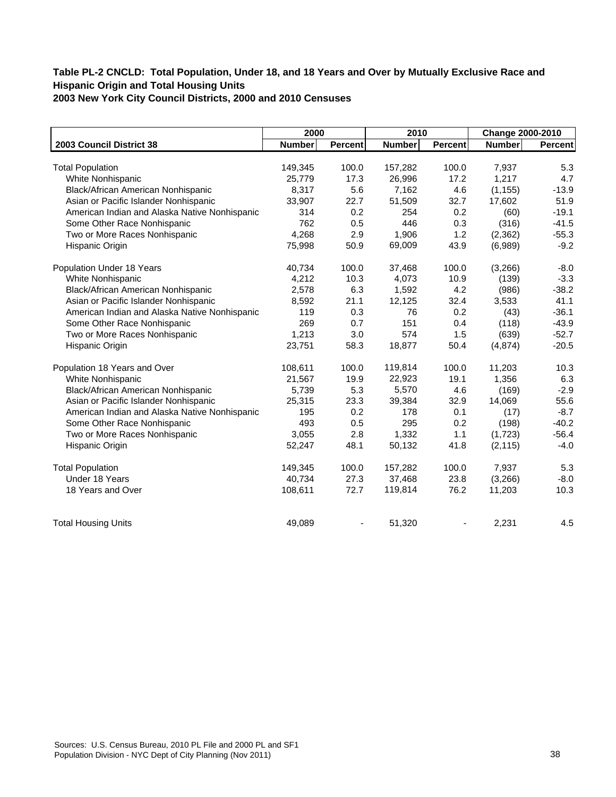|                                               | 2000          |                | 2010          |                | Change 2000-2010 |         |
|-----------------------------------------------|---------------|----------------|---------------|----------------|------------------|---------|
| 2003 Council District 38                      | <b>Number</b> | <b>Percent</b> | <b>Number</b> | <b>Percent</b> | <b>Number</b>    | Percent |
|                                               |               |                |               |                |                  |         |
| <b>Total Population</b>                       | 149,345       | 100.0          | 157,282       | 100.0          | 7,937            | 5.3     |
| White Nonhispanic                             | 25,779        | 17.3           | 26,996        | 17.2           | 1,217            | 4.7     |
| Black/African American Nonhispanic            | 8,317         | 5.6            | 7,162         | 4.6            | (1, 155)         | $-13.9$ |
| Asian or Pacific Islander Nonhispanic         | 33,907        | 22.7           | 51,509        | 32.7           | 17,602           | 51.9    |
| American Indian and Alaska Native Nonhispanic | 314           | 0.2            | 254           | 0.2            | (60)             | $-19.1$ |
| Some Other Race Nonhispanic                   | 762           | 0.5            | 446           | 0.3            | (316)            | $-41.5$ |
| Two or More Races Nonhispanic                 | 4,268         | 2.9            | 1,906         | 1.2            | (2, 362)         | $-55.3$ |
| Hispanic Origin                               | 75,998        | 50.9           | 69,009        | 43.9           | (6,989)          | $-9.2$  |
| Population Under 18 Years                     | 40,734        | 100.0          | 37,468        | 100.0          | (3,266)          | $-8.0$  |
| White Nonhispanic                             | 4,212         | 10.3           | 4,073         | 10.9           | (139)            | $-3.3$  |
| Black/African American Nonhispanic            | 2,578         | 6.3            | 1,592         | 4.2            | (986)            | $-38.2$ |
| Asian or Pacific Islander Nonhispanic         | 8,592         | 21.1           | 12,125        | 32.4           | 3,533            | 41.1    |
| American Indian and Alaska Native Nonhispanic | 119           | 0.3            | 76            | 0.2            | (43)             | $-36.1$ |
| Some Other Race Nonhispanic                   | 269           | 0.7            | 151           | 0.4            | (118)            | $-43.9$ |
| Two or More Races Nonhispanic                 | 1,213         | 3.0            | 574           | 1.5            | (639)            | $-52.7$ |
| Hispanic Origin                               | 23,751        | 58.3           | 18,877        | 50.4           | (4, 874)         | $-20.5$ |
| Population 18 Years and Over                  | 108,611       | 100.0          | 119,814       | 100.0          | 11,203           | 10.3    |
| White Nonhispanic                             | 21,567        | 19.9           | 22,923        | 19.1           | 1,356            | 6.3     |
| Black/African American Nonhispanic            | 5,739         | 5.3            | 5,570         | 4.6            | (169)            | $-2.9$  |
| Asian or Pacific Islander Nonhispanic         | 25,315        | 23.3           | 39,384        | 32.9           | 14,069           | 55.6    |
| American Indian and Alaska Native Nonhispanic | 195           | 0.2            | 178           | 0.1            | (17)             | $-8.7$  |
| Some Other Race Nonhispanic                   | 493           | 0.5            | 295           | 0.2            | (198)            | $-40.2$ |
| Two or More Races Nonhispanic                 | 3,055         | 2.8            | 1,332         | 1.1            | (1,723)          | $-56.4$ |
| Hispanic Origin                               | 52,247        | 48.1           | 50,132        | 41.8           | (2, 115)         | $-4.0$  |
| <b>Total Population</b>                       | 149,345       | 100.0          | 157,282       | 100.0          | 7,937            | 5.3     |
| Under 18 Years                                | 40,734        | 27.3           | 37,468        | 23.8           | (3,266)          | $-8.0$  |
| 18 Years and Over                             | 108,611       | 72.7           | 119,814       | 76.2           | 11,203           | 10.3    |
| <b>Total Housing Units</b>                    | 49,089        |                | 51,320        |                | 2,231            | 4.5     |
|                                               |               |                |               |                |                  |         |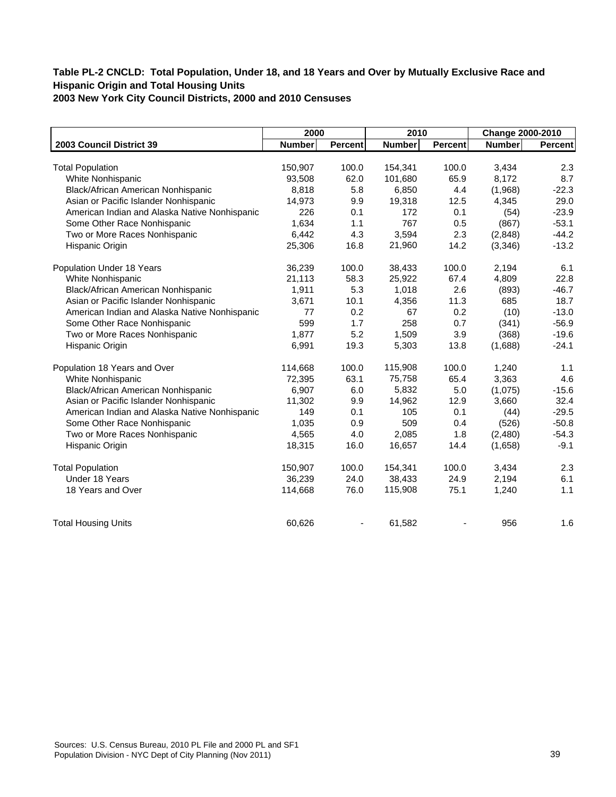|                                               | 2000          |         | 2010          |                | Change 2000-2010 |                |
|-----------------------------------------------|---------------|---------|---------------|----------------|------------------|----------------|
| 2003 Council District 39                      | <b>Number</b> | Percent | <b>Number</b> | <b>Percent</b> | Number           | <b>Percent</b> |
|                                               |               |         |               |                |                  |                |
| <b>Total Population</b>                       | 150,907       | 100.0   | 154,341       | 100.0          | 3,434            | 2.3            |
| White Nonhispanic                             | 93,508        | 62.0    | 101,680       | 65.9           | 8,172            | 8.7            |
| Black/African American Nonhispanic            | 8,818         | 5.8     | 6,850         | 4.4            | (1,968)          | $-22.3$        |
| Asian or Pacific Islander Nonhispanic         | 14,973        | 9.9     | 19,318        | 12.5           | 4,345            | 29.0           |
| American Indian and Alaska Native Nonhispanic | 226           | 0.1     | 172           | 0.1            | (54)             | $-23.9$        |
| Some Other Race Nonhispanic                   | 1,634         | 1.1     | 767           | 0.5            | (867)            | $-53.1$        |
| Two or More Races Nonhispanic                 | 6,442         | 4.3     | 3,594         | 2.3            | (2,848)          | $-44.2$        |
| Hispanic Origin                               | 25,306        | 16.8    | 21,960        | 14.2           | (3,346)          | $-13.2$        |
| Population Under 18 Years                     | 36,239        | 100.0   | 38,433        | 100.0          | 2,194            | 6.1            |
| White Nonhispanic                             | 21,113        | 58.3    | 25,922        | 67.4           | 4,809            | 22.8           |
| Black/African American Nonhispanic            | 1,911         | 5.3     | 1,018         | 2.6            | (893)            | $-46.7$        |
| Asian or Pacific Islander Nonhispanic         | 3,671         | 10.1    | 4,356         | 11.3           | 685              | 18.7           |
| American Indian and Alaska Native Nonhispanic | 77            | 0.2     | 67            | 0.2            | (10)             | $-13.0$        |
| Some Other Race Nonhispanic                   | 599           | 1.7     | 258           | 0.7            | (341)            | $-56.9$        |
| Two or More Races Nonhispanic                 | 1,877         | 5.2     | 1,509         | 3.9            | (368)            | $-19.6$        |
| Hispanic Origin                               | 6,991         | 19.3    | 5,303         | 13.8           | (1,688)          | $-24.1$        |
| Population 18 Years and Over                  | 114,668       | 100.0   | 115,908       | 100.0          | 1,240            | 1.1            |
| White Nonhispanic                             | 72,395        | 63.1    | 75,758        | 65.4           | 3,363            | 4.6            |
| Black/African American Nonhispanic            | 6,907         | 6.0     | 5,832         | 5.0            | (1,075)          | $-15.6$        |
| Asian or Pacific Islander Nonhispanic         | 11,302        | 9.9     | 14,962        | 12.9           | 3,660            | 32.4           |
| American Indian and Alaska Native Nonhispanic | 149           | 0.1     | 105           | 0.1            | (44)             | $-29.5$        |
| Some Other Race Nonhispanic                   | 1,035         | 0.9     | 509           | 0.4            | (526)            | $-50.8$        |
| Two or More Races Nonhispanic                 | 4,565         | 4.0     | 2,085         | 1.8            | (2,480)          | $-54.3$        |
| Hispanic Origin                               | 18,315        | 16.0    | 16,657        | 14.4           | (1,658)          | $-9.1$         |
| <b>Total Population</b>                       | 150,907       | 100.0   | 154,341       | 100.0          | 3,434            | 2.3            |
| Under 18 Years                                | 36,239        | 24.0    | 38,433        | 24.9           | 2,194            | 6.1            |
| 18 Years and Over                             | 114,668       | 76.0    | 115,908       | 75.1           | 1,240            | 1.1            |
| <b>Total Housing Units</b>                    | 60,626        |         | 61,582        |                | 956              | 1.6            |
|                                               |               |         |               |                |                  |                |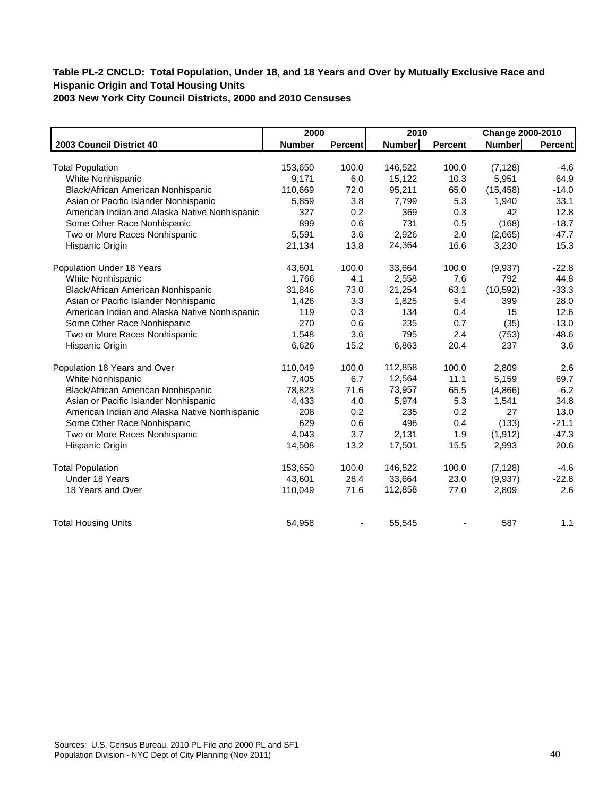|                                               | 2000          |         | 2010          |                | Change 2000-2010 |                |
|-----------------------------------------------|---------------|---------|---------------|----------------|------------------|----------------|
| 2003 Council District 40                      | <b>Number</b> | Percent | <b>Number</b> | <b>Percent</b> | Number           | <b>Percent</b> |
|                                               |               |         |               |                |                  |                |
| <b>Total Population</b>                       | 153,650       | 100.0   | 146,522       | 100.0          | (7, 128)         | $-4.6$         |
| White Nonhispanic                             | 9,171         | 6.0     | 15,122        | 10.3           | 5,951            | 64.9           |
| Black/African American Nonhispanic            | 110,669       | 72.0    | 95,211        | 65.0           | (15, 458)        | $-14.0$        |
| Asian or Pacific Islander Nonhispanic         | 5,859         | 3.8     | 7,799         | 5.3            | 1,940            | 33.1           |
| American Indian and Alaska Native Nonhispanic | 327           | 0.2     | 369           | 0.3            | 42               | 12.8           |
| Some Other Race Nonhispanic                   | 899           | 0.6     | 731           | 0.5            | (168)            | $-18.7$        |
| Two or More Races Nonhispanic                 | 5,591         | 3.6     | 2,926         | 2.0            | (2,665)          | $-47.7$        |
| Hispanic Origin                               | 21,134        | 13.8    | 24,364        | 16.6           | 3,230            | 15.3           |
| Population Under 18 Years                     | 43,601        | 100.0   | 33,664        | 100.0          | (9,937)          | $-22.8$        |
| White Nonhispanic                             | 1,766         | 4.1     | 2,558         | 7.6            | 792              | 44.8           |
| Black/African American Nonhispanic            | 31,846        | 73.0    | 21,254        | 63.1           | (10, 592)        | $-33.3$        |
| Asian or Pacific Islander Nonhispanic         | 1,426         | 3.3     | 1,825         | 5.4            | 399              | 28.0           |
| American Indian and Alaska Native Nonhispanic | 119           | 0.3     | 134           | 0.4            | 15               | 12.6           |
| Some Other Race Nonhispanic                   | 270           | 0.6     | 235           | 0.7            | (35)             | $-13.0$        |
| Two or More Races Nonhispanic                 | 1,548         | 3.6     | 795           | 2.4            | (753)            | $-48.6$        |
| Hispanic Origin                               | 6,626         | 15.2    | 6,863         | 20.4           | 237              | 3.6            |
| Population 18 Years and Over                  | 110,049       | 100.0   | 112,858       | 100.0          | 2,809            | 2.6            |
| White Nonhispanic                             | 7,405         | 6.7     | 12,564        | 11.1           | 5,159            | 69.7           |
| Black/African American Nonhispanic            | 78,823        | 71.6    | 73,957        | 65.5           | (4,866)          | $-6.2$         |
| Asian or Pacific Islander Nonhispanic         | 4,433         | 4.0     | 5,974         | 5.3            | 1,541            | 34.8           |
| American Indian and Alaska Native Nonhispanic | 208           | 0.2     | 235           | 0.2            | 27               | 13.0           |
| Some Other Race Nonhispanic                   | 629           | 0.6     | 496           | 0.4            | (133)            | $-21.1$        |
| Two or More Races Nonhispanic                 | 4,043         | 3.7     | 2,131         | 1.9            | (1, 912)         | $-47.3$        |
| Hispanic Origin                               | 14,508        | 13.2    | 17,501        | 15.5           | 2,993            | 20.6           |
| <b>Total Population</b>                       | 153,650       | 100.0   | 146,522       | 100.0          | (7, 128)         | $-4.6$         |
| Under 18 Years                                | 43,601        | 28.4    | 33,664        | 23.0           | (9,937)          | $-22.8$        |
| 18 Years and Over                             | 110,049       | 71.6    | 112,858       | 77.0           | 2,809            | 2.6            |
| <b>Total Housing Units</b>                    | 54,958        |         | 55,545        |                | 587              | 1.1            |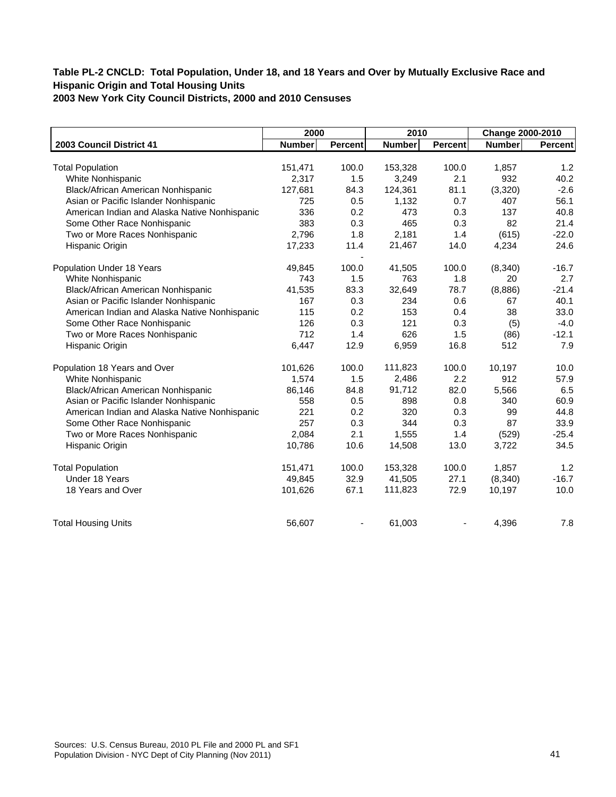|                                               | 2000          |                | 2010          |                | Change 2000-2010 |         |
|-----------------------------------------------|---------------|----------------|---------------|----------------|------------------|---------|
| 2003 Council District 41                      | <b>Number</b> | <b>Percent</b> | <b>Number</b> | <b>Percent</b> | <b>Number</b>    | Percent |
|                                               |               |                |               |                |                  |         |
| <b>Total Population</b>                       | 151,471       | 100.0          | 153,328       | 100.0          | 1,857            | 1.2     |
| White Nonhispanic                             | 2,317         | 1.5            | 3,249         | 2.1            | 932              | 40.2    |
| Black/African American Nonhispanic            | 127,681       | 84.3           | 124,361       | 81.1           | (3, 320)         | $-2.6$  |
| Asian or Pacific Islander Nonhispanic         | 725           | 0.5            | 1,132         | 0.7            | 407              | 56.1    |
| American Indian and Alaska Native Nonhispanic | 336           | 0.2            | 473           | 0.3            | 137              | 40.8    |
| Some Other Race Nonhispanic                   | 383           | 0.3            | 465           | 0.3            | 82               | 21.4    |
| Two or More Races Nonhispanic                 | 2,796         | 1.8            | 2,181         | 1.4            | (615)            | $-22.0$ |
| Hispanic Origin                               | 17,233        | 11.4           | 21,467        | 14.0           | 4,234            | 24.6    |
|                                               |               |                |               |                |                  |         |
| Population Under 18 Years                     | 49,845        | 100.0          | 41,505        | 100.0          | (8, 340)         | $-16.7$ |
| White Nonhispanic                             | 743           | 1.5            | 763           | 1.8            | 20               | 2.7     |
| Black/African American Nonhispanic            | 41,535        | 83.3           | 32,649        | 78.7           | (8,886)          | $-21.4$ |
| Asian or Pacific Islander Nonhispanic         | 167           | 0.3            | 234           | 0.6            | 67               | 40.1    |
| American Indian and Alaska Native Nonhispanic | 115           | 0.2            | 153           | 0.4            | 38               | 33.0    |
| Some Other Race Nonhispanic                   | 126           | 0.3            | 121           | 0.3            | (5)              | $-4.0$  |
| Two or More Races Nonhispanic                 | 712           | 1.4            | 626           | 1.5            | (86)             | $-12.1$ |
| Hispanic Origin                               | 6,447         | 12.9           | 6,959         | 16.8           | 512              | 7.9     |
| Population 18 Years and Over                  | 101,626       | 100.0          | 111,823       | 100.0          | 10,197           | 10.0    |
| White Nonhispanic                             | 1,574         | 1.5            | 2,486         | 2.2            | 912              | 57.9    |
| Black/African American Nonhispanic            | 86,146        | 84.8           | 91,712        | 82.0           | 5,566            | 6.5     |
| Asian or Pacific Islander Nonhispanic         | 558           | 0.5            | 898           | 0.8            | 340              | 60.9    |
| American Indian and Alaska Native Nonhispanic | 221           | 0.2            | 320           | 0.3            | 99               | 44.8    |
| Some Other Race Nonhispanic                   | 257           | 0.3            | 344           | 0.3            | 87               | 33.9    |
| Two or More Races Nonhispanic                 | 2,084         | 2.1            | 1,555         | 1.4            | (529)            | $-25.4$ |
| Hispanic Origin                               | 10,786        | 10.6           | 14,508        | 13.0           | 3,722            | 34.5    |
|                                               |               |                |               |                |                  |         |
| <b>Total Population</b>                       | 151,471       | 100.0          | 153,328       | 100.0          | 1,857            | 1.2     |
| Under 18 Years                                | 49,845        | 32.9           | 41,505        | 27.1           | (8,340)          | $-16.7$ |
| 18 Years and Over                             | 101,626       | 67.1           | 111,823       | 72.9           | 10,197           | 10.0    |
| <b>Total Housing Units</b>                    | 56,607        |                | 61,003        |                | 4,396            | 7.8     |
|                                               |               |                |               |                |                  |         |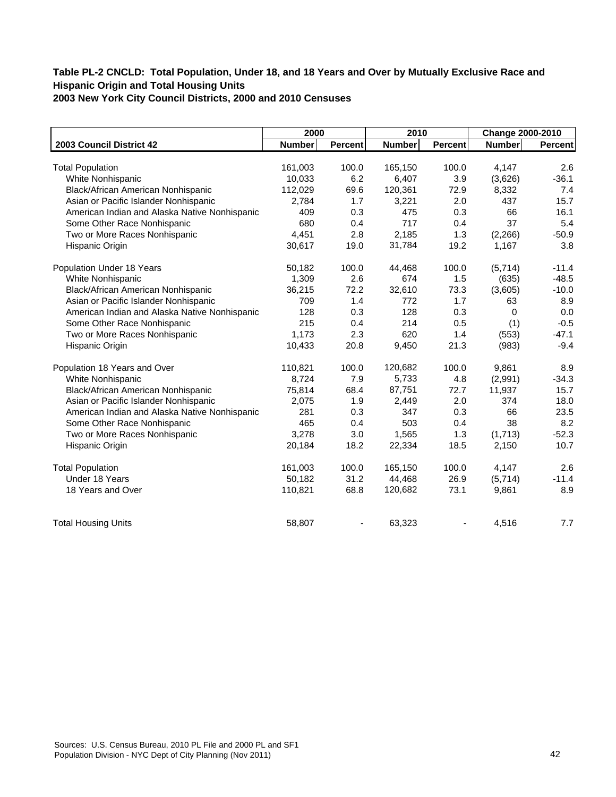|                                               | 2000          |                | 2010          |                | Change 2000-2010 |         |
|-----------------------------------------------|---------------|----------------|---------------|----------------|------------------|---------|
| 2003 Council District 42                      | <b>Number</b> | <b>Percent</b> | <b>Number</b> | <b>Percent</b> | <b>Number</b>    | Percent |
|                                               |               |                |               |                |                  |         |
| <b>Total Population</b>                       | 161,003       | 100.0          | 165,150       | 100.0          | 4,147            | 2.6     |
| White Nonhispanic                             | 10,033        | 6.2            | 6,407         | 3.9            | (3,626)          | $-36.1$ |
| Black/African American Nonhispanic            | 112,029       | 69.6           | 120,361       | 72.9           | 8,332            | 7.4     |
| Asian or Pacific Islander Nonhispanic         | 2,784         | 1.7            | 3,221         | 2.0            | 437              | 15.7    |
| American Indian and Alaska Native Nonhispanic | 409           | 0.3            | 475           | 0.3            | 66               | 16.1    |
| Some Other Race Nonhispanic                   | 680           | 0.4            | 717           | 0.4            | 37               | 5.4     |
| Two or More Races Nonhispanic                 | 4,451         | 2.8            | 2,185         | 1.3            | (2, 266)         | $-50.9$ |
| Hispanic Origin                               | 30,617        | 19.0           | 31,784        | 19.2           | 1,167            | 3.8     |
| Population Under 18 Years                     | 50,182        | 100.0          | 44,468        | 100.0          | (5,714)          | $-11.4$ |
| White Nonhispanic                             | 1,309         | 2.6            | 674           | 1.5            | (635)            | $-48.5$ |
| Black/African American Nonhispanic            | 36,215        | 72.2           | 32,610        | 73.3           | (3,605)          | $-10.0$ |
| Asian or Pacific Islander Nonhispanic         | 709           | 1.4            | 772           | 1.7            | 63               | 8.9     |
| American Indian and Alaska Native Nonhispanic | 128           | 0.3            | 128           | 0.3            | $\Omega$         | 0.0     |
| Some Other Race Nonhispanic                   | 215           | 0.4            | 214           | 0.5            | (1)              | $-0.5$  |
| Two or More Races Nonhispanic                 | 1,173         | 2.3            | 620           | 1.4            | (553)            | $-47.1$ |
| Hispanic Origin                               | 10,433        | 20.8           | 9,450         | 21.3           | (983)            | $-9.4$  |
| Population 18 Years and Over                  | 110,821       | 100.0          | 120,682       | 100.0          | 9.861            | 8.9     |
| White Nonhispanic                             | 8,724         | 7.9            | 5,733         | 4.8            | (2,991)          | $-34.3$ |
| Black/African American Nonhispanic            | 75,814        | 68.4           | 87,751        | 72.7           | 11,937           | 15.7    |
| Asian or Pacific Islander Nonhispanic         | 2,075         | 1.9            | 2,449         | 2.0            | 374              | 18.0    |
| American Indian and Alaska Native Nonhispanic | 281           | 0.3            | 347           | 0.3            | 66               | 23.5    |
| Some Other Race Nonhispanic                   | 465           | 0.4            | 503           | 0.4            | 38               | 8.2     |
| Two or More Races Nonhispanic                 | 3,278         | 3.0            | 1,565         | 1.3            | (1,713)          | $-52.3$ |
| Hispanic Origin                               | 20,184        | 18.2           | 22,334        | 18.5           | 2,150            | 10.7    |
| <b>Total Population</b>                       | 161,003       | 100.0          | 165,150       | 100.0          | 4,147            | 2.6     |
| Under 18 Years                                | 50,182        | 31.2           | 44,468        | 26.9           | (5,714)          | $-11.4$ |
| 18 Years and Over                             | 110,821       | 68.8           | 120,682       | 73.1           | 9,861            | 8.9     |
| <b>Total Housing Units</b>                    | 58,807        |                | 63,323        |                | 4,516            | 7.7     |
|                                               |               |                |               |                |                  |         |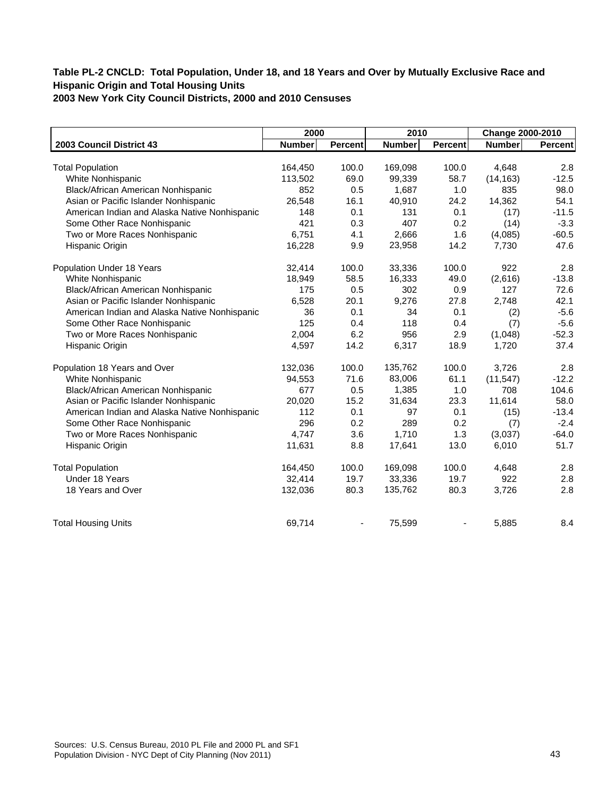|                                               | 2000          |                | 2010          |                | Change 2000-2010 |         |
|-----------------------------------------------|---------------|----------------|---------------|----------------|------------------|---------|
| 2003 Council District 43                      | <b>Number</b> | <b>Percent</b> | <b>Number</b> | <b>Percent</b> | <b>Number</b>    | Percent |
|                                               |               |                |               |                |                  |         |
| <b>Total Population</b>                       | 164,450       | 100.0          | 169,098       | 100.0          | 4,648            | 2.8     |
| White Nonhispanic                             | 113,502       | 69.0           | 99,339        | 58.7           | (14, 163)        | $-12.5$ |
| Black/African American Nonhispanic            | 852           | 0.5            | 1,687         | 1.0            | 835              | 98.0    |
| Asian or Pacific Islander Nonhispanic         | 26,548        | 16.1           | 40,910        | 24.2           | 14,362           | 54.1    |
| American Indian and Alaska Native Nonhispanic | 148           | 0.1            | 131           | 0.1            | (17)             | $-11.5$ |
| Some Other Race Nonhispanic                   | 421           | 0.3            | 407           | 0.2            | (14)             | $-3.3$  |
| Two or More Races Nonhispanic                 | 6,751         | 4.1            | 2,666         | 1.6            | (4,085)          | $-60.5$ |
| Hispanic Origin                               | 16,228        | 9.9            | 23,958        | 14.2           | 7,730            | 47.6    |
| Population Under 18 Years                     | 32,414        | 100.0          | 33,336        | 100.0          | 922              | 2.8     |
| White Nonhispanic                             | 18,949        | 58.5           | 16,333        | 49.0           | (2,616)          | $-13.8$ |
| Black/African American Nonhispanic            | 175           | 0.5            | 302           | 0.9            | 127              | 72.6    |
| Asian or Pacific Islander Nonhispanic         | 6,528         | 20.1           | 9,276         | 27.8           | 2,748            | 42.1    |
| American Indian and Alaska Native Nonhispanic | 36            | 0.1            | 34            | 0.1            | (2)              | $-5.6$  |
| Some Other Race Nonhispanic                   | 125           | 0.4            | 118           | 0.4            | (7)              | $-5.6$  |
| Two or More Races Nonhispanic                 | 2.004         | 6.2            | 956           | 2.9            | (1,048)          | $-52.3$ |
| Hispanic Origin                               | 4,597         | 14.2           | 6,317         | 18.9           | 1,720            | 37.4    |
| Population 18 Years and Over                  | 132,036       | 100.0          | 135,762       | 100.0          | 3,726            | 2.8     |
| White Nonhispanic                             | 94,553        | 71.6           | 83,006        | 61.1           | (11, 547)        | $-12.2$ |
| Black/African American Nonhispanic            | 677           | 0.5            | 1,385         | 1.0            | 708              | 104.6   |
| Asian or Pacific Islander Nonhispanic         | 20,020        | 15.2           | 31,634        | 23.3           | 11,614           | 58.0    |
| American Indian and Alaska Native Nonhispanic | 112           | 0.1            | 97            | 0.1            | (15)             | $-13.4$ |
| Some Other Race Nonhispanic                   | 296           | 0.2            | 289           | 0.2            | (7)              | $-2.4$  |
| Two or More Races Nonhispanic                 | 4,747         | 3.6            | 1,710         | 1.3            | (3,037)          | $-64.0$ |
| Hispanic Origin                               | 11,631        | 8.8            | 17,641        | 13.0           | 6,010            | 51.7    |
| <b>Total Population</b>                       | 164,450       | 100.0          | 169,098       | 100.0          | 4,648            | 2.8     |
| Under 18 Years                                | 32,414        | 19.7           | 33,336        | 19.7           | 922              | 2.8     |
| 18 Years and Over                             | 132,036       | 80.3           | 135,762       | 80.3           | 3,726            | 2.8     |
| <b>Total Housing Units</b>                    | 69,714        |                | 75,599        |                | 5,885            | 8.4     |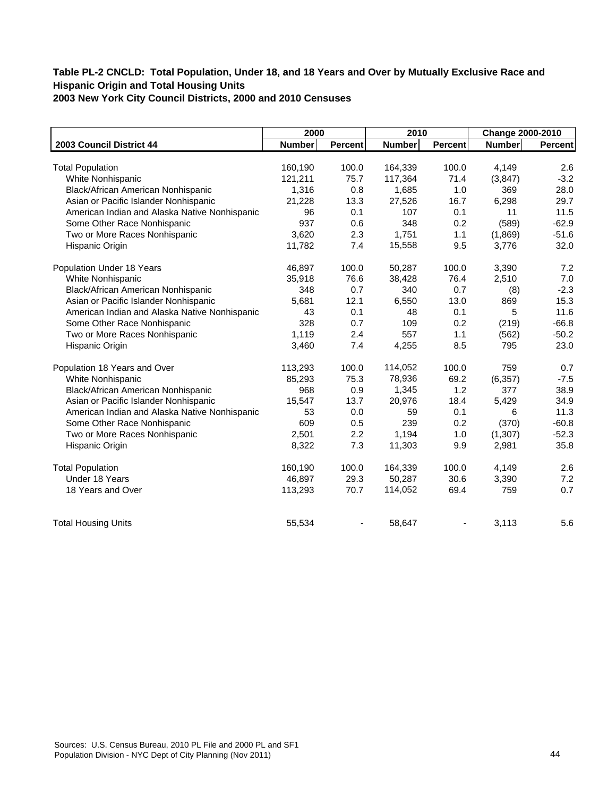|                                               | 2000          |                | 2010          |                | Change 2000-2010 |         |
|-----------------------------------------------|---------------|----------------|---------------|----------------|------------------|---------|
| 2003 Council District 44                      | <b>Number</b> | <b>Percent</b> | <b>Number</b> | <b>Percent</b> | <b>Number</b>    | Percent |
|                                               |               |                |               |                |                  |         |
| <b>Total Population</b>                       | 160,190       | 100.0          | 164,339       | 100.0          | 4,149            | 2.6     |
| White Nonhispanic                             | 121,211       | 75.7           | 117,364       | 71.4           | (3, 847)         | $-3.2$  |
| Black/African American Nonhispanic            | 1,316         | 0.8            | 1,685         | 1.0            | 369              | 28.0    |
| Asian or Pacific Islander Nonhispanic         | 21,228        | 13.3           | 27,526        | 16.7           | 6,298            | 29.7    |
| American Indian and Alaska Native Nonhispanic | 96            | 0.1            | 107           | 0.1            | 11               | 11.5    |
| Some Other Race Nonhispanic                   | 937           | 0.6            | 348           | 0.2            | (589)            | $-62.9$ |
| Two or More Races Nonhispanic                 | 3,620         | 2.3            | 1,751         | 1.1            | (1,869)          | $-51.6$ |
| Hispanic Origin                               | 11,782        | 7.4            | 15,558        | 9.5            | 3,776            | 32.0    |
| Population Under 18 Years                     | 46,897        | 100.0          | 50,287        | 100.0          | 3,390            | 7.2     |
| White Nonhispanic                             | 35,918        | 76.6           | 38,428        | 76.4           | 2,510            | 7.0     |
| Black/African American Nonhispanic            | 348           | 0.7            | 340           | 0.7            | (8)              | $-2.3$  |
| Asian or Pacific Islander Nonhispanic         | 5,681         | 12.1           | 6,550         | 13.0           | 869              | 15.3    |
| American Indian and Alaska Native Nonhispanic | 43            | 0.1            | 48            | 0.1            | 5                | 11.6    |
| Some Other Race Nonhispanic                   | 328           | 0.7            | 109           | 0.2            | (219)            | $-66.8$ |
| Two or More Races Nonhispanic                 | 1,119         | 2.4            | 557           | 1.1            | (562)            | $-50.2$ |
| Hispanic Origin                               | 3,460         | 7.4            | 4,255         | 8.5            | 795              | 23.0    |
| Population 18 Years and Over                  | 113,293       | 100.0          | 114,052       | 100.0          | 759              | 0.7     |
| White Nonhispanic                             | 85,293        | 75.3           | 78,936        | 69.2           | (6, 357)         | $-7.5$  |
| Black/African American Nonhispanic            | 968           | 0.9            | 1,345         | 1.2            | 377              | 38.9    |
| Asian or Pacific Islander Nonhispanic         | 15,547        | 13.7           | 20,976        | 18.4           | 5,429            | 34.9    |
| American Indian and Alaska Native Nonhispanic | 53            | 0.0            | 59            | 0.1            | 6                | 11.3    |
| Some Other Race Nonhispanic                   | 609           | 0.5            | 239           | 0.2            | (370)            | $-60.8$ |
| Two or More Races Nonhispanic                 | 2,501         | 2.2            | 1,194         | 1.0            | (1, 307)         | $-52.3$ |
| Hispanic Origin                               | 8,322         | 7.3            | 11,303        | 9.9            | 2,981            | 35.8    |
| <b>Total Population</b>                       | 160,190       | 100.0          | 164,339       | 100.0          | 4,149            | 2.6     |
| Under 18 Years                                | 46,897        | 29.3           | 50,287        | 30.6           | 3,390            | 7.2     |
| 18 Years and Over                             | 113,293       | 70.7           | 114,052       | 69.4           | 759              | 0.7     |
| <b>Total Housing Units</b>                    | 55,534        |                | 58,647        |                | 3,113            | 5.6     |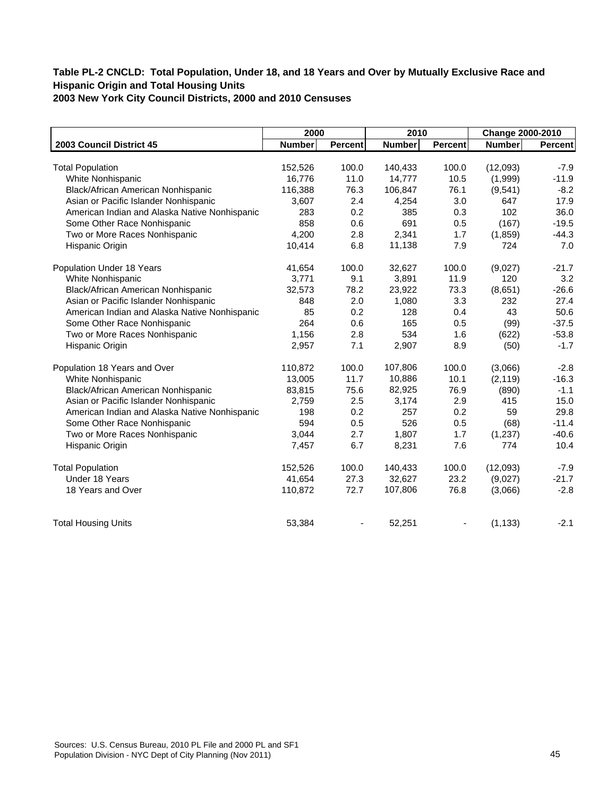|                                               | 2000          |                | 2010    |                | <b>Change 2000-2010</b> |                |
|-----------------------------------------------|---------------|----------------|---------|----------------|-------------------------|----------------|
| 2003 Council District 45                      | <b>Number</b> | <b>Percent</b> | Number  | <b>Percent</b> | Number                  | <b>Percent</b> |
|                                               |               |                |         |                |                         |                |
| <b>Total Population</b>                       | 152,526       | 100.0          | 140,433 | 100.0          | (12,093)                | $-7.9$         |
| White Nonhispanic                             | 16,776        | 11.0           | 14,777  | 10.5           | (1,999)                 | $-11.9$        |
| Black/African American Nonhispanic            | 116,388       | 76.3           | 106,847 | 76.1           | (9,541)                 | $-8.2$         |
| Asian or Pacific Islander Nonhispanic         | 3,607         | 2.4            | 4,254   | 3.0            | 647                     | 17.9           |
| American Indian and Alaska Native Nonhispanic | 283           | 0.2            | 385     | 0.3            | 102                     | 36.0           |
| Some Other Race Nonhispanic                   | 858           | 0.6            | 691     | 0.5            | (167)                   | $-19.5$        |
| Two or More Races Nonhispanic                 | 4.200         | 2.8            | 2,341   | 1.7            | (1,859)                 | $-44.3$        |
| Hispanic Origin                               | 10,414        | 6.8            | 11,138  | 7.9            | 724                     | 7.0            |
| Population Under 18 Years                     | 41,654        | 100.0          | 32,627  | 100.0          | (9,027)                 | $-21.7$        |
| White Nonhispanic                             | 3,771         | 9.1            | 3,891   | 11.9           | 120                     | 3.2            |
| Black/African American Nonhispanic            | 32,573        | 78.2           | 23,922  | 73.3           | (8,651)                 | $-26.6$        |
| Asian or Pacific Islander Nonhispanic         | 848           | 2.0            | 1,080   | 3.3            | 232                     | 27.4           |
| American Indian and Alaska Native Nonhispanic | 85            | 0.2            | 128     | 0.4            | 43                      | 50.6           |
| Some Other Race Nonhispanic                   | 264           | 0.6            | 165     | 0.5            | (99)                    | $-37.5$        |
| Two or More Races Nonhispanic                 | 1,156         | 2.8            | 534     | 1.6            | (622)                   | $-53.8$        |
| Hispanic Origin                               | 2,957         | 7.1            | 2,907   | 8.9            | (50)                    | $-1.7$         |
| Population 18 Years and Over                  | 110,872       | 100.0          | 107,806 | 100.0          | (3,066)                 | $-2.8$         |
| White Nonhispanic                             | 13,005        | 11.7           | 10,886  | 10.1           | (2, 119)                | $-16.3$        |
| Black/African American Nonhispanic            | 83,815        | 75.6           | 82,925  | 76.9           | (890)                   | $-1.1$         |
| Asian or Pacific Islander Nonhispanic         | 2,759         | 2.5            | 3,174   | 2.9            | 415                     | 15.0           |
| American Indian and Alaska Native Nonhispanic | 198           | 0.2            | 257     | 0.2            | 59                      | 29.8           |
| Some Other Race Nonhispanic                   | 594           | 0.5            | 526     | 0.5            | (68)                    | $-11.4$        |
| Two or More Races Nonhispanic                 | 3,044         | 2.7            | 1,807   | 1.7            | (1,237)                 | $-40.6$        |
| Hispanic Origin                               | 7,457         | 6.7            | 8,231   | 7.6            | 774                     | 10.4           |
| <b>Total Population</b>                       | 152,526       | 100.0          | 140,433 | 100.0          | (12,093)                | $-7.9$         |
| Under 18 Years                                | 41,654        | 27.3           | 32,627  | 23.2           | (9,027)                 | $-21.7$        |
| 18 Years and Over                             | 110,872       | 72.7           | 107,806 | 76.8           | (3,066)                 | $-2.8$         |
| <b>Total Housing Units</b>                    | 53,384        |                | 52,251  |                | (1, 133)                | $-2.1$         |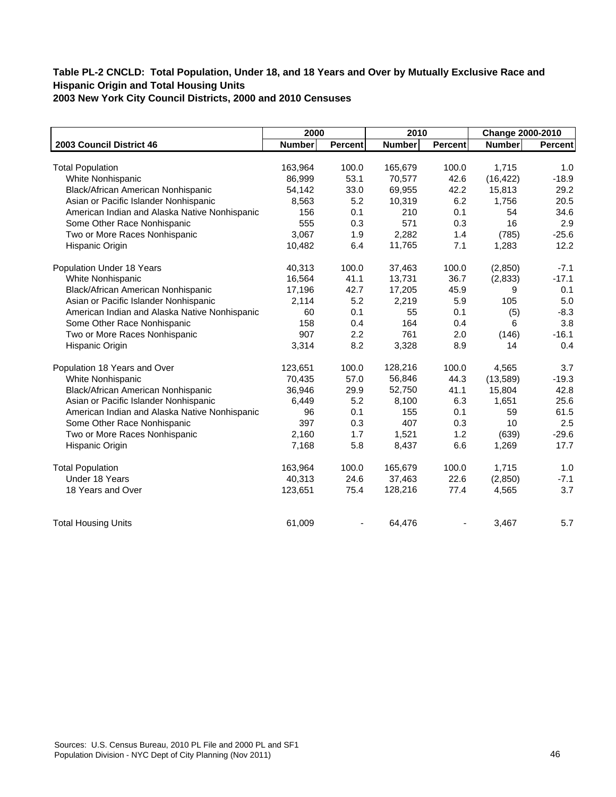|                                               | 2000          |         | 2010          |                | Change 2000-2010 |                |
|-----------------------------------------------|---------------|---------|---------------|----------------|------------------|----------------|
| 2003 Council District 46                      | <b>Number</b> | Percent | <b>Number</b> | <b>Percent</b> | <b>Number</b>    | <b>Percent</b> |
|                                               |               |         |               |                |                  |                |
| <b>Total Population</b>                       | 163,964       | 100.0   | 165,679       | 100.0          | 1,715            | 1.0            |
| White Nonhispanic                             | 86,999        | 53.1    | 70,577        | 42.6           | (16, 422)        | $-18.9$        |
| Black/African American Nonhispanic            | 54,142        | 33.0    | 69,955        | 42.2           | 15,813           | 29.2           |
| Asian or Pacific Islander Nonhispanic         | 8,563         | 5.2     | 10,319        | 6.2            | 1,756            | 20.5           |
| American Indian and Alaska Native Nonhispanic | 156           | 0.1     | 210           | 0.1            | 54               | 34.6           |
| Some Other Race Nonhispanic                   | 555           | 0.3     | 571           | 0.3            | 16               | 2.9            |
| Two or More Races Nonhispanic                 | 3.067         | 1.9     | 2,282         | 1.4            | (785)            | $-25.6$        |
| Hispanic Origin                               | 10,482        | 6.4     | 11,765        | 7.1            | 1,283            | 12.2           |
| Population Under 18 Years                     | 40,313        | 100.0   | 37,463        | 100.0          | (2,850)          | $-7.1$         |
| White Nonhispanic                             | 16,564        | 41.1    | 13,731        | 36.7           | (2,833)          | $-17.1$        |
| Black/African American Nonhispanic            | 17,196        | 42.7    | 17,205        | 45.9           | 9                | 0.1            |
| Asian or Pacific Islander Nonhispanic         | 2,114         | 5.2     | 2,219         | 5.9            | 105              | 5.0            |
| American Indian and Alaska Native Nonhispanic | 60            | 0.1     | 55            | 0.1            | (5)              | $-8.3$         |
| Some Other Race Nonhispanic                   | 158           | 0.4     | 164           | 0.4            | 6                | 3.8            |
| Two or More Races Nonhispanic                 | 907           | 2.2     | 761           | 2.0            | (146)            | $-16.1$        |
| Hispanic Origin                               | 3,314         | 8.2     | 3,328         | 8.9            | 14               | 0.4            |
| Population 18 Years and Over                  | 123,651       | 100.0   | 128,216       | 100.0          | 4,565            | 3.7            |
| White Nonhispanic                             | 70,435        | 57.0    | 56,846        | 44.3           | (13,589)         | $-19.3$        |
| Black/African American Nonhispanic            | 36,946        | 29.9    | 52,750        | 41.1           | 15,804           | 42.8           |
| Asian or Pacific Islander Nonhispanic         | 6,449         | 5.2     | 8,100         | 6.3            | 1,651            | 25.6           |
| American Indian and Alaska Native Nonhispanic | 96            | 0.1     | 155           | 0.1            | 59               | 61.5           |
| Some Other Race Nonhispanic                   | 397           | 0.3     | 407           | 0.3            | 10               | 2.5            |
| Two or More Races Nonhispanic                 | 2,160         | 1.7     | 1,521         | 1.2            | (639)            | $-29.6$        |
| Hispanic Origin                               | 7,168         | 5.8     | 8,437         | 6.6            | 1,269            | 17.7           |
| <b>Total Population</b>                       | 163,964       | 100.0   | 165,679       | 100.0          | 1,715            | 1.0            |
| Under 18 Years                                | 40,313        | 24.6    | 37,463        | 22.6           | (2,850)          | $-7.1$         |
| 18 Years and Over                             | 123,651       | 75.4    | 128,216       | 77.4           | 4,565            | 3.7            |
| <b>Total Housing Units</b>                    | 61,009        |         | 64,476        |                | 3,467            | 5.7            |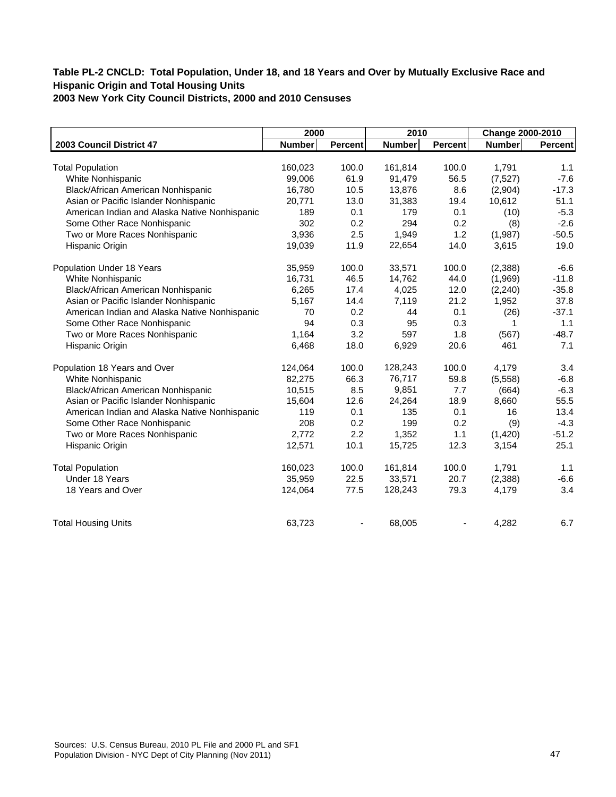|                                               | 2000          |         | 2010          |                | Change 2000-2010 |         |
|-----------------------------------------------|---------------|---------|---------------|----------------|------------------|---------|
| 2003 Council District 47                      | <b>Number</b> | Percent | <b>Number</b> | <b>Percent</b> | <b>Number</b>    | Percent |
|                                               |               |         |               |                |                  |         |
| <b>Total Population</b>                       | 160,023       | 100.0   | 161,814       | 100.0          | 1,791            | 1.1     |
| White Nonhispanic                             | 99,006        | 61.9    | 91,479        | 56.5           | (7, 527)         | $-7.6$  |
| Black/African American Nonhispanic            | 16,780        | 10.5    | 13,876        | 8.6            | (2,904)          | $-17.3$ |
| Asian or Pacific Islander Nonhispanic         | 20,771        | 13.0    | 31,383        | 19.4           | 10,612           | 51.1    |
| American Indian and Alaska Native Nonhispanic | 189           | 0.1     | 179           | 0.1            | (10)             | $-5.3$  |
| Some Other Race Nonhispanic                   | 302           | 0.2     | 294           | 0.2            | (8)              | $-2.6$  |
| Two or More Races Nonhispanic                 | 3,936         | 2.5     | 1,949         | 1.2            | (1,987)          | $-50.5$ |
| Hispanic Origin                               | 19,039        | 11.9    | 22,654        | 14.0           | 3,615            | 19.0    |
| Population Under 18 Years                     | 35,959        | 100.0   | 33,571        | 100.0          | (2,388)          | $-6.6$  |
| White Nonhispanic                             | 16,731        | 46.5    | 14,762        | 44.0           | (1,969)          | $-11.8$ |
| Black/African American Nonhispanic            | 6,265         | 17.4    | 4,025         | 12.0           | (2, 240)         | $-35.8$ |
| Asian or Pacific Islander Nonhispanic         | 5,167         | 14.4    | 7,119         | 21.2           | 1,952            | 37.8    |
| American Indian and Alaska Native Nonhispanic | 70            | 0.2     | 44            | 0.1            | (26)             | $-37.1$ |
| Some Other Race Nonhispanic                   | 94            | 0.3     | 95            | 0.3            | 1                | 1.1     |
| Two or More Races Nonhispanic                 | 1,164         | 3.2     | 597           | 1.8            | (567)            | $-48.7$ |
| Hispanic Origin                               | 6,468         | 18.0    | 6,929         | 20.6           | 461              | 7.1     |
| Population 18 Years and Over                  | 124,064       | 100.0   | 128,243       | 100.0          | 4,179            | 3.4     |
| White Nonhispanic                             | 82,275        | 66.3    | 76,717        | 59.8           | (5,558)          | $-6.8$  |
| Black/African American Nonhispanic            | 10,515        | 8.5     | 9,851         | 7.7            | (664)            | $-6.3$  |
| Asian or Pacific Islander Nonhispanic         | 15,604        | 12.6    | 24,264        | 18.9           | 8,660            | 55.5    |
| American Indian and Alaska Native Nonhispanic | 119           | 0.1     | 135           | 0.1            | 16               | 13.4    |
| Some Other Race Nonhispanic                   | 208           | 0.2     | 199           | 0.2            | (9)              | $-4.3$  |
| Two or More Races Nonhispanic                 | 2,772         | 2.2     | 1,352         | 1.1            | (1,420)          | $-51.2$ |
| Hispanic Origin                               | 12,571        | 10.1    | 15,725        | 12.3           | 3,154            | 25.1    |
| <b>Total Population</b>                       | 160,023       | 100.0   | 161,814       | 100.0          | 1,791            | 1.1     |
| Under 18 Years                                | 35,959        | 22.5    | 33,571        | 20.7           | (2,388)          | $-6.6$  |
| 18 Years and Over                             | 124,064       | 77.5    | 128,243       | 79.3           | 4,179            | 3.4     |
| <b>Total Housing Units</b>                    | 63,723        |         | 68,005        |                | 4,282            | 6.7     |
|                                               |               |         |               |                |                  |         |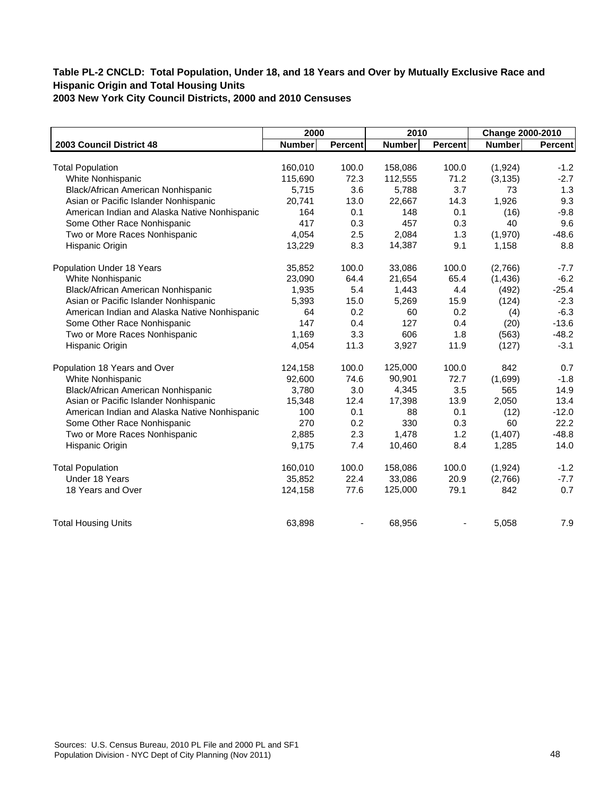|                                               | 2000          |                | 2010          |                | Change 2000-2010 |         |
|-----------------------------------------------|---------------|----------------|---------------|----------------|------------------|---------|
| 2003 Council District 48                      | <b>Number</b> | <b>Percent</b> | <b>Number</b> | <b>Percent</b> | <b>Number</b>    | Percent |
|                                               |               |                |               |                |                  |         |
| <b>Total Population</b>                       | 160,010       | 100.0          | 158,086       | 100.0          | (1,924)          | $-1.2$  |
| White Nonhispanic                             | 115,690       | 72.3           | 112,555       | 71.2           | (3, 135)         | $-2.7$  |
| Black/African American Nonhispanic            | 5,715         | 3.6            | 5,788         | 3.7            | 73               | 1.3     |
| Asian or Pacific Islander Nonhispanic         | 20,741        | 13.0           | 22,667        | 14.3           | 1,926            | 9.3     |
| American Indian and Alaska Native Nonhispanic | 164           | 0.1            | 148           | 0.1            | (16)             | $-9.8$  |
| Some Other Race Nonhispanic                   | 417           | 0.3            | 457           | 0.3            | 40               | 9.6     |
| Two or More Races Nonhispanic                 | 4,054         | 2.5            | 2,084         | 1.3            | (1,970)          | $-48.6$ |
| Hispanic Origin                               | 13,229        | 8.3            | 14,387        | 9.1            | 1,158            | 8.8     |
| Population Under 18 Years                     | 35,852        | 100.0          | 33,086        | 100.0          | (2,766)          | $-7.7$  |
| White Nonhispanic                             | 23,090        | 64.4           | 21,654        | 65.4           | (1, 436)         | $-6.2$  |
| Black/African American Nonhispanic            | 1,935         | 5.4            | 1,443         | 4.4            | (492)            | $-25.4$ |
| Asian or Pacific Islander Nonhispanic         | 5,393         | 15.0           | 5,269         | 15.9           | (124)            | $-2.3$  |
| American Indian and Alaska Native Nonhispanic | 64            | 0.2            | 60            | 0.2            | (4)              | $-6.3$  |
| Some Other Race Nonhispanic                   | 147           | 0.4            | 127           | 0.4            | (20)             | $-13.6$ |
| Two or More Races Nonhispanic                 | 1,169         | 3.3            | 606           | 1.8            | (563)            | $-48.2$ |
| Hispanic Origin                               | 4,054         | 11.3           | 3,927         | 11.9           | (127)            | $-3.1$  |
| Population 18 Years and Over                  | 124,158       | 100.0          | 125,000       | 100.0          | 842              | 0.7     |
| White Nonhispanic                             | 92,600        | 74.6           | 90,901        | 72.7           | (1,699)          | $-1.8$  |
| Black/African American Nonhispanic            | 3,780         | 3.0            | 4,345         | 3.5            | 565              | 14.9    |
| Asian or Pacific Islander Nonhispanic         | 15,348        | 12.4           | 17,398        | 13.9           | 2,050            | 13.4    |
| American Indian and Alaska Native Nonhispanic | 100           | 0.1            | 88            | 0.1            | (12)             | $-12.0$ |
| Some Other Race Nonhispanic                   | 270           | 0.2            | 330           | 0.3            | 60               | 22.2    |
| Two or More Races Nonhispanic                 | 2,885         | 2.3            | 1,478         | 1.2            | (1,407)          | $-48.8$ |
| Hispanic Origin                               | 9,175         | 7.4            | 10,460        | 8.4            | 1,285            | 14.0    |
| <b>Total Population</b>                       | 160,010       | 100.0          | 158,086       | 100.0          | (1,924)          | $-1.2$  |
| Under 18 Years                                | 35,852        | 22.4           | 33,086        | 20.9           | (2,766)          | $-7.7$  |
| 18 Years and Over                             | 124,158       | 77.6           | 125,000       | 79.1           | 842              | 0.7     |
| <b>Total Housing Units</b>                    | 63,898        |                | 68,956        |                | 5,058            | 7.9     |
|                                               |               |                |               |                |                  |         |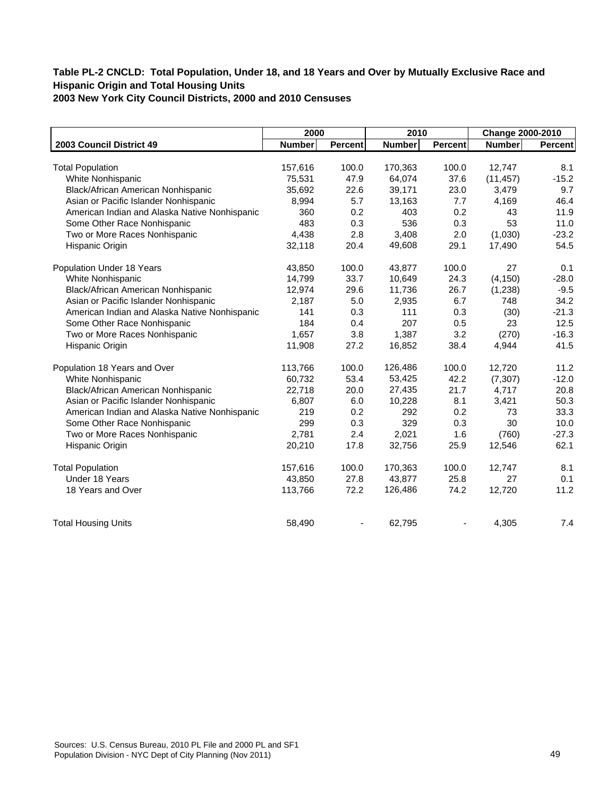|                                               | 2000          |         | 2010          |                | Change 2000-2010 |                |
|-----------------------------------------------|---------------|---------|---------------|----------------|------------------|----------------|
| 2003 Council District 49                      | <b>Number</b> | Percent | <b>Number</b> | <b>Percent</b> | Number           | <b>Percent</b> |
|                                               |               |         |               |                |                  |                |
| <b>Total Population</b>                       | 157,616       | 100.0   | 170,363       | 100.0          | 12,747           | 8.1            |
| White Nonhispanic                             | 75,531        | 47.9    | 64,074        | 37.6           | (11, 457)        | $-15.2$        |
| Black/African American Nonhispanic            | 35,692        | 22.6    | 39,171        | 23.0           | 3,479            | 9.7            |
| Asian or Pacific Islander Nonhispanic         | 8,994         | 5.7     | 13,163        | 7.7            | 4,169            | 46.4           |
| American Indian and Alaska Native Nonhispanic | 360           | 0.2     | 403           | 0.2            | 43               | 11.9           |
| Some Other Race Nonhispanic                   | 483           | 0.3     | 536           | 0.3            | 53               | 11.0           |
| Two or More Races Nonhispanic                 | 4.438         | 2.8     | 3,408         | 2.0            | (1,030)          | $-23.2$        |
| Hispanic Origin                               | 32,118        | 20.4    | 49,608        | 29.1           | 17,490           | 54.5           |
| Population Under 18 Years                     | 43,850        | 100.0   | 43,877        | 100.0          | 27               | 0.1            |
| White Nonhispanic                             | 14,799        | 33.7    | 10,649        | 24.3           | (4, 150)         | $-28.0$        |
| Black/African American Nonhispanic            | 12,974        | 29.6    | 11,736        | 26.7           | (1, 238)         | $-9.5$         |
| Asian or Pacific Islander Nonhispanic         | 2,187         | 5.0     | 2,935         | 6.7            | 748              | 34.2           |
| American Indian and Alaska Native Nonhispanic | 141           | 0.3     | 111           | 0.3            | (30)             | $-21.3$        |
| Some Other Race Nonhispanic                   | 184           | 0.4     | 207           | 0.5            | 23               | 12.5           |
| Two or More Races Nonhispanic                 | 1,657         | 3.8     | 1,387         | 3.2            | (270)            | $-16.3$        |
| Hispanic Origin                               | 11,908        | 27.2    | 16,852        | 38.4           | 4,944            | 41.5           |
| Population 18 Years and Over                  | 113,766       | 100.0   | 126,486       | 100.0          | 12,720           | 11.2           |
| White Nonhispanic                             | 60,732        | 53.4    | 53,425        | 42.2           | (7, 307)         | $-12.0$        |
| Black/African American Nonhispanic            | 22,718        | 20.0    | 27,435        | 21.7           | 4,717            | 20.8           |
| Asian or Pacific Islander Nonhispanic         | 6,807         | 6.0     | 10,228        | 8.1            | 3,421            | 50.3           |
| American Indian and Alaska Native Nonhispanic | 219           | 0.2     | 292           | 0.2            | 73               | 33.3           |
| Some Other Race Nonhispanic                   | 299           | 0.3     | 329           | 0.3            | 30               | 10.0           |
| Two or More Races Nonhispanic                 | 2,781         | 2.4     | 2,021         | 1.6            | (760)            | $-27.3$        |
| Hispanic Origin                               | 20,210        | 17.8    | 32,756        | 25.9           | 12,546           | 62.1           |
| <b>Total Population</b>                       | 157,616       | 100.0   | 170,363       | 100.0          | 12,747           | 8.1            |
| Under 18 Years                                | 43,850        | 27.8    | 43,877        | 25.8           | 27               | 0.1            |
| 18 Years and Over                             | 113,766       | 72.2    | 126,486       | 74.2           | 12,720           | 11.2           |
| <b>Total Housing Units</b>                    | 58,490        |         | 62,795        |                | 4,305            | 7.4            |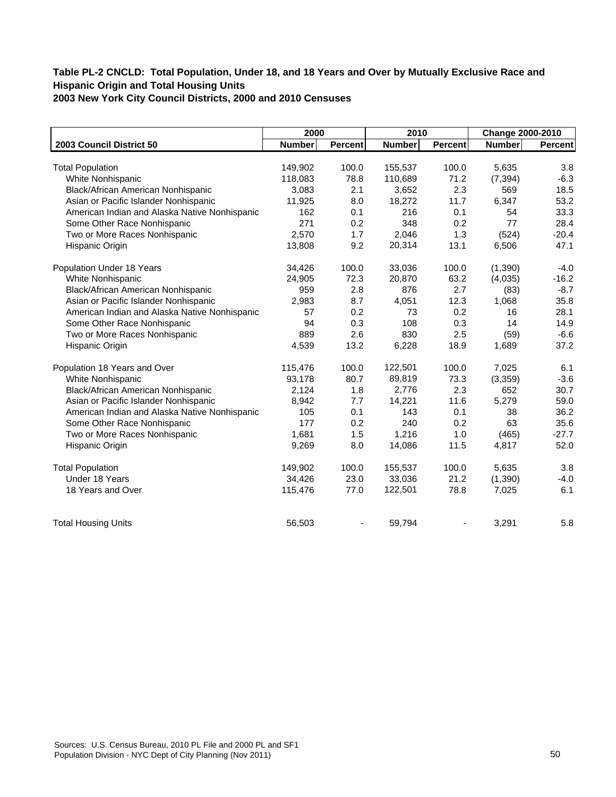| 2000          |                                                                               | 2010                                                           |                                                                        | Change 2000-2010                                                |                                                                                  |
|---------------|-------------------------------------------------------------------------------|----------------------------------------------------------------|------------------------------------------------------------------------|-----------------------------------------------------------------|----------------------------------------------------------------------------------|
| <b>Number</b> | <b>Percent</b>                                                                | <b>Number</b>                                                  | <b>Percent</b>                                                         | <b>Number</b>                                                   | Percent                                                                          |
|               |                                                                               |                                                                |                                                                        |                                                                 |                                                                                  |
|               |                                                                               |                                                                |                                                                        |                                                                 | 3.8                                                                              |
|               |                                                                               |                                                                |                                                                        |                                                                 | $-6.3$                                                                           |
|               |                                                                               |                                                                |                                                                        |                                                                 | 18.5                                                                             |
|               |                                                                               |                                                                |                                                                        |                                                                 | 53.2                                                                             |
|               |                                                                               |                                                                |                                                                        |                                                                 | 33.3                                                                             |
|               |                                                                               |                                                                |                                                                        |                                                                 | 28.4                                                                             |
| 2,570         |                                                                               |                                                                |                                                                        | (524)                                                           | $-20.4$                                                                          |
| 13,808        | 9.2                                                                           | 20,314                                                         | 13.1                                                                   | 6,506                                                           | 47.1                                                                             |
| 34,426        | 100.0                                                                         | 33,036                                                         | 100.0                                                                  | (1, 390)                                                        | $-4.0$                                                                           |
| 24,905        | 72.3                                                                          | 20,870                                                         | 63.2                                                                   | (4,035)                                                         | $-16.2$                                                                          |
| 959           | 2.8                                                                           | 876                                                            | 2.7                                                                    | (83)                                                            | $-8.7$                                                                           |
| 2,983         | 8.7                                                                           | 4,051                                                          | 12.3                                                                   | 1,068                                                           | 35.8                                                                             |
| 57            | 0.2                                                                           | 73                                                             | 0.2                                                                    | 16                                                              | 28.1                                                                             |
| 94            | 0.3                                                                           | 108                                                            | 0.3                                                                    | 14                                                              | 14.9                                                                             |
| 889           | 2.6                                                                           | 830                                                            | 2.5                                                                    | (59)                                                            | $-6.6$                                                                           |
| 4,539         | 13.2                                                                          | 6,228                                                          | 18.9                                                                   | 1,689                                                           | 37.2                                                                             |
| 115,476       | 100.0                                                                         | 122,501                                                        | 100.0                                                                  | 7,025                                                           | 6.1                                                                              |
| 93,178        | 80.7                                                                          | 89,819                                                         | 73.3                                                                   | (3,359)                                                         | $-3.6$                                                                           |
| 2,124         | 1.8                                                                           | 2,776                                                          | 2.3                                                                    | 652                                                             | 30.7                                                                             |
| 8,942         | 7.7                                                                           | 14,221                                                         | 11.6                                                                   |                                                                 | 59.0                                                                             |
|               |                                                                               | 143                                                            |                                                                        |                                                                 | 36.2                                                                             |
| 177           | 0.2                                                                           | 240                                                            | 0.2                                                                    | 63                                                              | 35.6                                                                             |
|               |                                                                               | 1,216                                                          |                                                                        |                                                                 | $-27.7$                                                                          |
| 9,269         | 8.0                                                                           | 14,086                                                         | 11.5                                                                   | 4,817                                                           | 52.0                                                                             |
| 149,902       | 100.0                                                                         | 155,537                                                        | 100.0                                                                  | 5,635                                                           | 3.8                                                                              |
|               | 23.0                                                                          |                                                                | 21.2                                                                   |                                                                 | $-4.0$                                                                           |
| 115,476       | 77.0                                                                          | 122,501                                                        | 78.8                                                                   | 7,025                                                           | 6.1                                                                              |
| 56,503        |                                                                               | 59,794                                                         |                                                                        | 3,291                                                           | 5.8                                                                              |
|               | 149,902<br>118,083<br>3,083<br>11,925<br>162<br>271<br>105<br>1,681<br>34,426 | 100.0<br>78.8<br>2.1<br>8.0<br>0.1<br>0.2<br>1.7<br>0.1<br>1.5 | 155,537<br>110,689<br>3,652<br>18,272<br>216<br>348<br>2,046<br>33,036 | 100.0<br>71.2<br>2.3<br>11.7<br>0.1<br>0.2<br>1.3<br>0.1<br>1.0 | 5,635<br>(7, 394)<br>569<br>6,347<br>54<br>77<br>5,279<br>38<br>(465)<br>(1,390) |